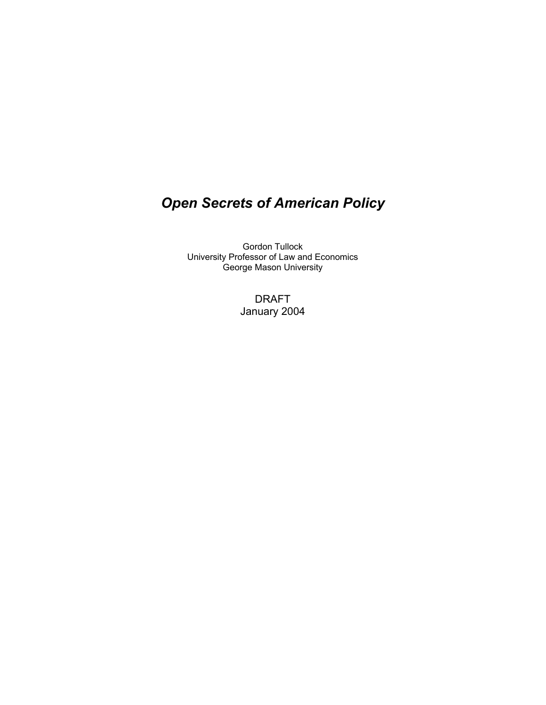# *Open Secrets of American Policy*

Gordon Tullock University Professor of Law and Economics George Mason University

> DRAFT January 2004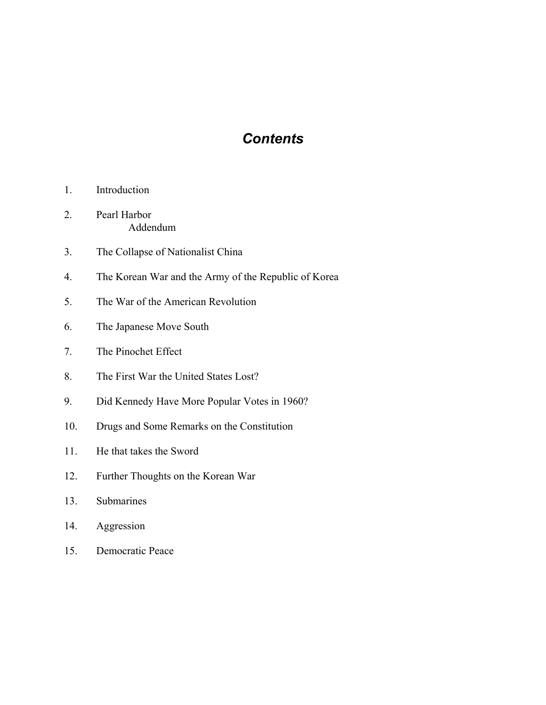# *Contents*

- 1. Introduction
- 2. Pearl Harbor Addendum
- 3. The Collapse of Nationalist China
- 4. The Korean War and the Army of the Republic of Korea
- 5. The War of the American Revolution
- 6. The Japanese Move South
- 7. The Pinochet Effect
- 8. The First War the United States Lost?
- 9. Did Kennedy Have More Popular Votes in 1960?
- 10. Drugs and Some Remarks on the Constitution
- 11. He that takes the Sword
- 12. Further Thoughts on the Korean War
- 13. Submarines
- 14. Aggression
- 15. Democratic Peace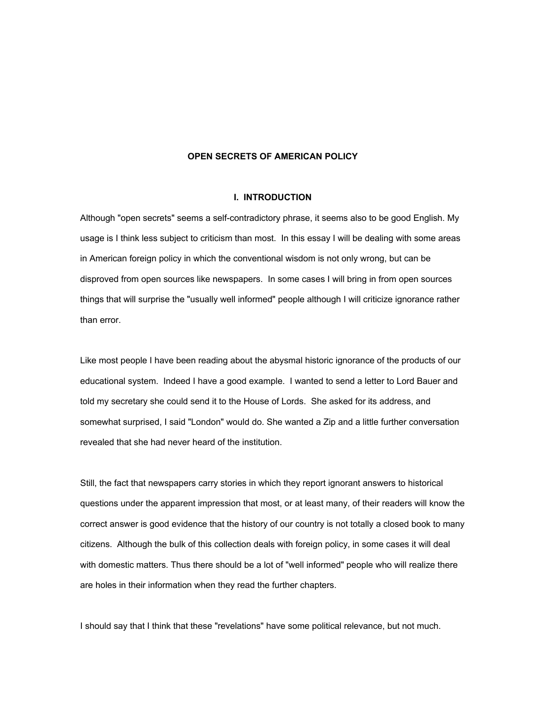## **OPEN SECRETS OF AMERICAN POLICY**

#### **I. INTRODUCTION**

Although "open secrets" seems a self-contradictory phrase, it seems also to be good English. My usage is I think less subject to criticism than most. In this essay I will be dealing with some areas in American foreign policy in which the conventional wisdom is not only wrong, but can be disproved from open sources like newspapers. In some cases I will bring in from open sources things that will surprise the "usually well informed" people although I will criticize ignorance rather than error.

Like most people I have been reading about the abysmal historic ignorance of the products of our educational system. Indeed I have a good example. I wanted to send a letter to Lord Bauer and told my secretary she could send it to the House of Lords. She asked for its address, and somewhat surprised, I said "London" would do. She wanted a Zip and a little further conversation revealed that she had never heard of the institution.

Still, the fact that newspapers carry stories in which they report ignorant answers to historical questions under the apparent impression that most, or at least many, of their readers will know the correct answer is good evidence that the history of our country is not totally a closed book to many citizens. Although the bulk of this collection deals with foreign policy, in some cases it will deal with domestic matters. Thus there should be a lot of "well informed" people who will realize there are holes in their information when they read the further chapters.

I should say that I think that these "revelations" have some political relevance, but not much.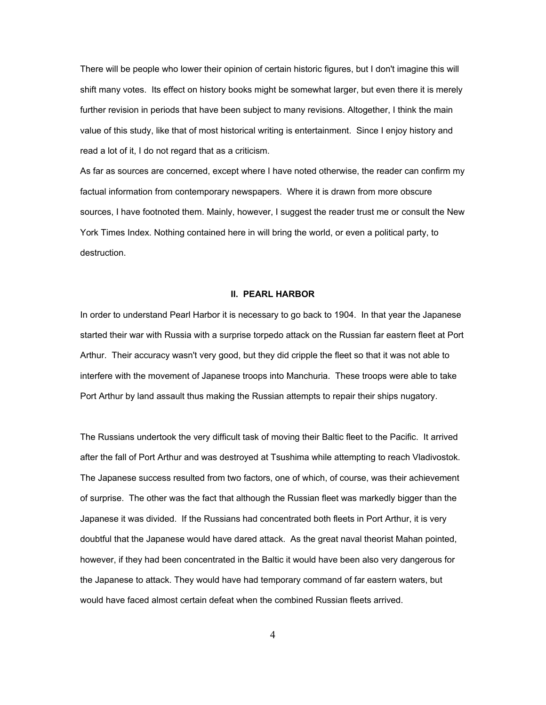There will be people who lower their opinion of certain historic figures, but I don't imagine this will shift many votes. Its effect on history books might be somewhat larger, but even there it is merely further revision in periods that have been subject to many revisions. Altogether, I think the main value of this study, like that of most historical writing is entertainment. Since I enjoy history and read a lot of it, I do not regard that as a criticism.

As far as sources are concerned, except where I have noted otherwise, the reader can confirm my factual information from contemporary newspapers. Where it is drawn from more obscure sources, I have footnoted them. Mainly, however, I suggest the reader trust me or consult the New York Times Index. Nothing contained here in will bring the world, or even a political party, to destruction.

#### **II. PEARL HARBOR**

In order to understand Pearl Harbor it is necessary to go back to 1904. In that year the Japanese started their war with Russia with a surprise torpedo attack on the Russian far eastern fleet at Port Arthur. Their accuracy wasn't very good, but they did cripple the fleet so that it was not able to interfere with the movement of Japanese troops into Manchuria. These troops were able to take Port Arthur by land assault thus making the Russian attempts to repair their ships nugatory.

The Russians undertook the very difficult task of moving their Baltic fleet to the Pacific. It arrived after the fall of Port Arthur and was destroyed at Tsushima while attempting to reach Vladivostok. The Japanese success resulted from two factors, one of which, of course, was their achievement of surprise. The other was the fact that although the Russian fleet was markedly bigger than the Japanese it was divided. If the Russians had concentrated both fleets in Port Arthur, it is very doubtful that the Japanese would have dared attack. As the great naval theorist Mahan pointed, however, if they had been concentrated in the Baltic it would have been also very dangerous for the Japanese to attack. They would have had temporary command of far eastern waters, but would have faced almost certain defeat when the combined Russian fleets arrived.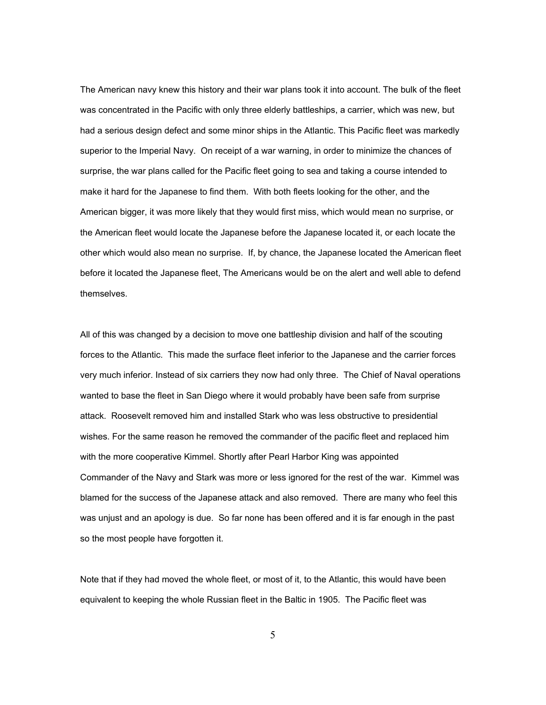The American navy knew this history and their war plans took it into account. The bulk of the fleet was concentrated in the Pacific with only three elderly battleships, a carrier, which was new, but had a serious design defect and some minor ships in the Atlantic. This Pacific fleet was markedly superior to the Imperial Navy. On receipt of a war warning, in order to minimize the chances of surprise, the war plans called for the Pacific fleet going to sea and taking a course intended to make it hard for the Japanese to find them. With both fleets looking for the other, and the American bigger, it was more likely that they would first miss, which would mean no surprise, or the American fleet would locate the Japanese before the Japanese located it, or each locate the other which would also mean no surprise. If, by chance, the Japanese located the American fleet before it located the Japanese fleet, The Americans would be on the alert and well able to defend themselves.

All of this was changed by a decision to move one battleship division and half of the scouting forces to the Atlantic. This made the surface fleet inferior to the Japanese and the carrier forces very much inferior. Instead of six carriers they now had only three. The Chief of Naval operations wanted to base the fleet in San Diego where it would probably have been safe from surprise attack. Roosevelt removed him and installed Stark who was less obstructive to presidential wishes. For the same reason he removed the commander of the pacific fleet and replaced him with the more cooperative Kimmel. Shortly after Pearl Harbor King was appointed Commander of the Navy and Stark was more or less ignored for the rest of the war. Kimmel was blamed for the success of the Japanese attack and also removed. There are many who feel this was unjust and an apology is due. So far none has been offered and it is far enough in the past so the most people have forgotten it.

Note that if they had moved the whole fleet, or most of it, to the Atlantic, this would have been equivalent to keeping the whole Russian fleet in the Baltic in 1905. The Pacific fleet was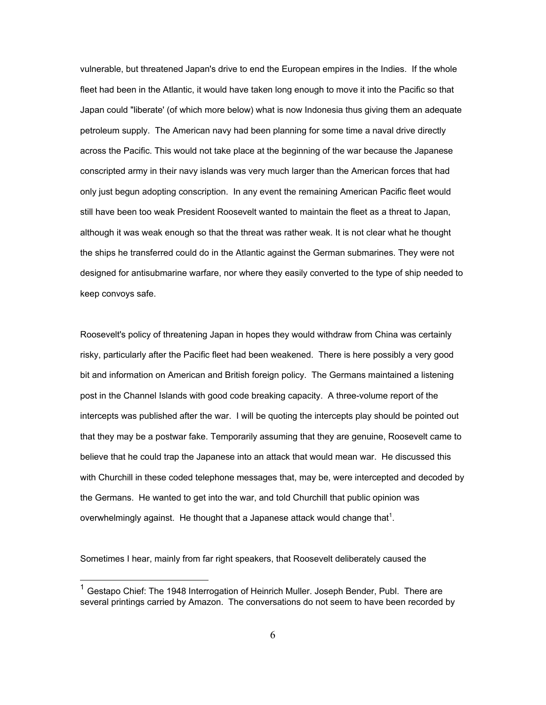vulnerable, but threatened Japan's drive to end the European empires in the Indies. If the whole fleet had been in the Atlantic, it would have taken long enough to move it into the Pacific so that Japan could "liberate' (of which more below) what is now Indonesia thus giving them an adequate petroleum supply. The American navy had been planning for some time a naval drive directly across the Pacific. This would not take place at the beginning of the war because the Japanese conscripted army in their navy islands was very much larger than the American forces that had only just begun adopting conscription. In any event the remaining American Pacific fleet would still have been too weak President Roosevelt wanted to maintain the fleet as a threat to Japan, although it was weak enough so that the threat was rather weak. It is not clear what he thought the ships he transferred could do in the Atlantic against the German submarines. They were not designed for antisubmarine warfare, nor where they easily converted to the type of ship needed to keep convoys safe.

Roosevelt's policy of threatening Japan in hopes they would withdraw from China was certainly risky, particularly after the Pacific fleet had been weakened. There is here possibly a very good bit and information on American and British foreign policy. The Germans maintained a listening post in the Channel Islands with good code breaking capacity. A three-volume report of the intercepts was published after the war. I will be quoting the intercepts play should be pointed out that they may be a postwar fake. Temporarily assuming that they are genuine, Roosevelt came to believe that he could trap the Japanese into an attack that would mean war. He discussed this with Churchill in these coded telephone messages that, may be, were intercepted and decoded by the Germans. He wanted to get into the war, and told Churchill that public opinion was overwhelmingly against. He thought that a Japanese attack would change that<sup>1</sup>.

Sometimes I hear, mainly from far right speakers, that Roosevelt deliberately caused the

l

<sup>1</sup> Gestapo Chief: The 1948 Interrogation of Heinrich Muller. Joseph Bender, Publ. There are several printings carried by Amazon. The conversations do not seem to have been recorded by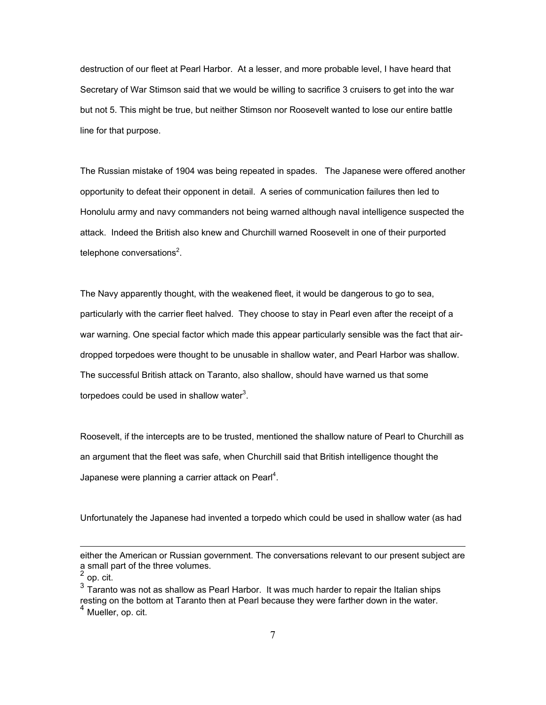destruction of our fleet at Pearl Harbor. At a lesser, and more probable level, I have heard that Secretary of War Stimson said that we would be willing to sacrifice 3 cruisers to get into the war but not 5. This might be true, but neither Stimson nor Roosevelt wanted to lose our entire battle line for that purpose.

The Russian mistake of 1904 was being repeated in spades. The Japanese were offered another opportunity to defeat their opponent in detail. A series of communication failures then led to Honolulu army and navy commanders not being warned although naval intelligence suspected the attack. Indeed the British also knew and Churchill warned Roosevelt in one of their purported telephone conversations<sup>2</sup>.

The Navy apparently thought, with the weakened fleet, it would be dangerous to go to sea, particularly with the carrier fleet halved. They choose to stay in Pearl even after the receipt of a war warning. One special factor which made this appear particularly sensible was the fact that airdropped torpedoes were thought to be unusable in shallow water, and Pearl Harbor was shallow. The successful British attack on Taranto, also shallow, should have warned us that some torpedoes could be used in shallow water $3$ .

Roosevelt, if the intercepts are to be trusted, mentioned the shallow nature of Pearl to Churchill as an argument that the fleet was safe, when Churchill said that British intelligence thought the Japanese were planning a carrier attack on Pearl<sup>4</sup>.

Unfortunately the Japanese had invented a torpedo which could be used in shallow water (as had

either the American or Russian government. The conversations relevant to our present subject are a small part of the three volumes.

op. cit.

 $3\text{ T}$  Taranto was not as shallow as Pearl Harbor. It was much harder to repair the Italian ships resting on the bottom at Taranto then at Pearl because they were farther down in the water. <sup>4</sup> Mueller, op. cit.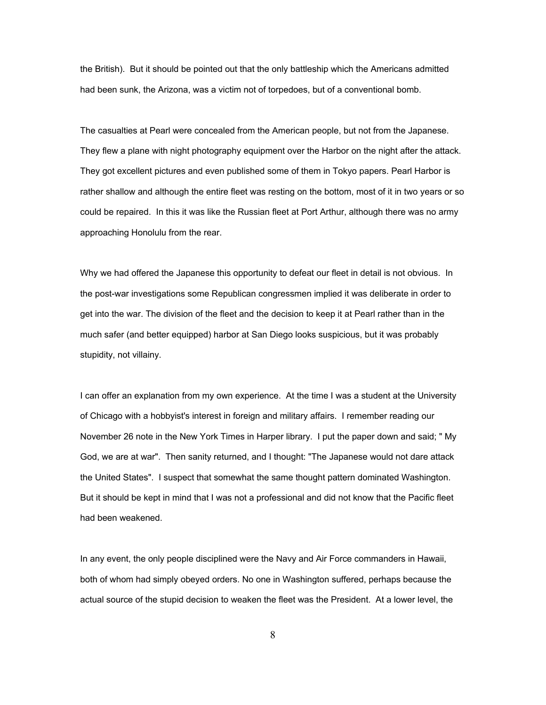the British). But it should be pointed out that the only battleship which the Americans admitted had been sunk, the Arizona, was a victim not of torpedoes, but of a conventional bomb.

The casualties at Pearl were concealed from the American people, but not from the Japanese. They flew a plane with night photography equipment over the Harbor on the night after the attack. They got excellent pictures and even published some of them in Tokyo papers. Pearl Harbor is rather shallow and although the entire fleet was resting on the bottom, most of it in two years or so could be repaired. In this it was like the Russian fleet at Port Arthur, although there was no army approaching Honolulu from the rear.

Why we had offered the Japanese this opportunity to defeat our fleet in detail is not obvious. In the post-war investigations some Republican congressmen implied it was deliberate in order to get into the war. The division of the fleet and the decision to keep it at Pearl rather than in the much safer (and better equipped) harbor at San Diego looks suspicious, but it was probably stupidity, not villainy.

I can offer an explanation from my own experience. At the time I was a student at the University of Chicago with a hobbyist's interest in foreign and military affairs. I remember reading our November 26 note in the New York Times in Harper library. I put the paper down and said; " My God, we are at war". Then sanity returned, and I thought: "The Japanese would not dare attack the United States". I suspect that somewhat the same thought pattern dominated Washington. But it should be kept in mind that I was not a professional and did not know that the Pacific fleet had been weakened.

In any event, the only people disciplined were the Navy and Air Force commanders in Hawaii, both of whom had simply obeyed orders. No one in Washington suffered, perhaps because the actual source of the stupid decision to weaken the fleet was the President. At a lower level, the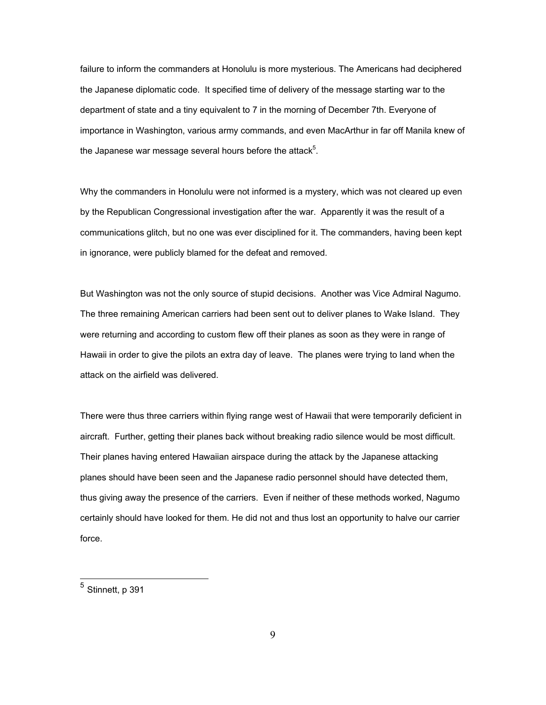failure to inform the commanders at Honolulu is more mysterious. The Americans had deciphered the Japanese diplomatic code. It specified time of delivery of the message starting war to the department of state and a tiny equivalent to 7 in the morning of December 7th. Everyone of importance in Washington, various army commands, and even MacArthur in far off Manila knew of the Japanese war message several hours before the attack<sup>5</sup>.

Why the commanders in Honolulu were not informed is a mystery, which was not cleared up even by the Republican Congressional investigation after the war. Apparently it was the result of a communications glitch, but no one was ever disciplined for it. The commanders, having been kept in ignorance, were publicly blamed for the defeat and removed.

But Washington was not the only source of stupid decisions. Another was Vice Admiral Nagumo. The three remaining American carriers had been sent out to deliver planes to Wake Island. They were returning and according to custom flew off their planes as soon as they were in range of Hawaii in order to give the pilots an extra day of leave. The planes were trying to land when the attack on the airfield was delivered.

There were thus three carriers within flying range west of Hawaii that were temporarily deficient in aircraft. Further, getting their planes back without breaking radio silence would be most difficult. Their planes having entered Hawaiian airspace during the attack by the Japanese attacking planes should have been seen and the Japanese radio personnel should have detected them, thus giving away the presence of the carriers. Even if neither of these methods worked, Nagumo certainly should have looked for them. He did not and thus lost an opportunity to halve our carrier force.

 $\overline{a}$ 

<sup>&</sup>lt;sup>5</sup> Stinnett, p 391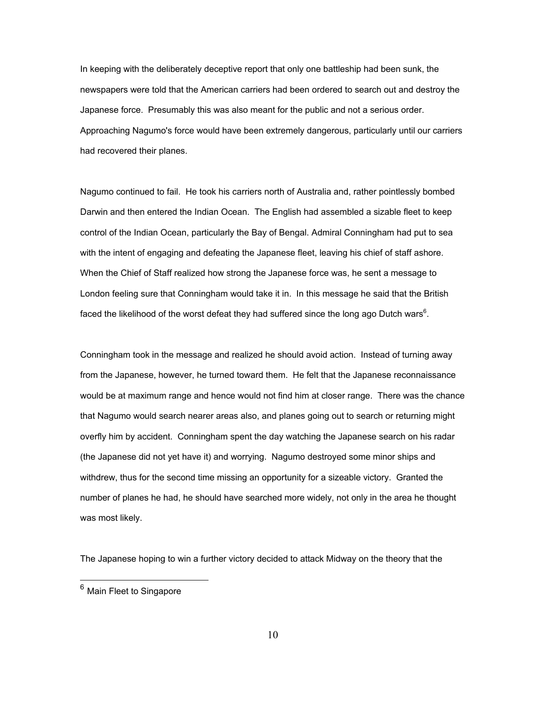In keeping with the deliberately deceptive report that only one battleship had been sunk, the newspapers were told that the American carriers had been ordered to search out and destroy the Japanese force. Presumably this was also meant for the public and not a serious order. Approaching Nagumo's force would have been extremely dangerous, particularly until our carriers had recovered their planes.

Nagumo continued to fail. He took his carriers north of Australia and, rather pointlessly bombed Darwin and then entered the Indian Ocean. The English had assembled a sizable fleet to keep control of the Indian Ocean, particularly the Bay of Bengal. Admiral Conningham had put to sea with the intent of engaging and defeating the Japanese fleet, leaving his chief of staff ashore. When the Chief of Staff realized how strong the Japanese force was, he sent a message to London feeling sure that Conningham would take it in. In this message he said that the British faced the likelihood of the worst defeat they had suffered since the long ago Dutch wars<sup>6</sup>.

Conningham took in the message and realized he should avoid action. Instead of turning away from the Japanese, however, he turned toward them. He felt that the Japanese reconnaissance would be at maximum range and hence would not find him at closer range. There was the chance that Nagumo would search nearer areas also, and planes going out to search or returning might overfly him by accident. Conningham spent the day watching the Japanese search on his radar (the Japanese did not yet have it) and worrying. Nagumo destroyed some minor ships and withdrew, thus for the second time missing an opportunity for a sizeable victory. Granted the number of planes he had, he should have searched more widely, not only in the area he thought was most likely.

The Japanese hoping to win a further victory decided to attack Midway on the theory that the

l

<sup>&</sup>lt;sup>6</sup> Main Fleet to Singapore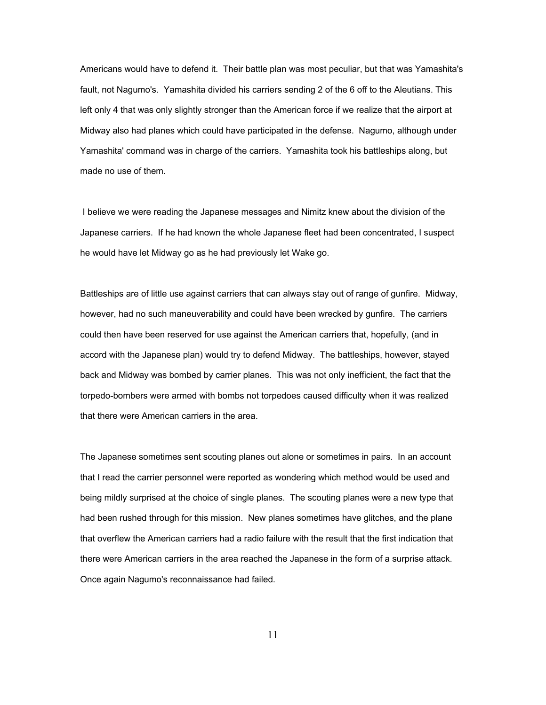Americans would have to defend it. Their battle plan was most peculiar, but that was Yamashita's fault, not Nagumo's. Yamashita divided his carriers sending 2 of the 6 off to the Aleutians. This left only 4 that was only slightly stronger than the American force if we realize that the airport at Midway also had planes which could have participated in the defense. Nagumo, although under Yamashita' command was in charge of the carriers. Yamashita took his battleships along, but made no use of them.

 I believe we were reading the Japanese messages and Nimitz knew about the division of the Japanese carriers. If he had known the whole Japanese fleet had been concentrated, I suspect he would have let Midway go as he had previously let Wake go.

Battleships are of little use against carriers that can always stay out of range of gunfire. Midway, however, had no such maneuverability and could have been wrecked by gunfire. The carriers could then have been reserved for use against the American carriers that, hopefully, (and in accord with the Japanese plan) would try to defend Midway. The battleships, however, stayed back and Midway was bombed by carrier planes. This was not only inefficient, the fact that the torpedo-bombers were armed with bombs not torpedoes caused difficulty when it was realized that there were American carriers in the area.

The Japanese sometimes sent scouting planes out alone or sometimes in pairs. In an account that I read the carrier personnel were reported as wondering which method would be used and being mildly surprised at the choice of single planes. The scouting planes were a new type that had been rushed through for this mission. New planes sometimes have glitches, and the plane that overflew the American carriers had a radio failure with the result that the first indication that there were American carriers in the area reached the Japanese in the form of a surprise attack. Once again Nagumo's reconnaissance had failed.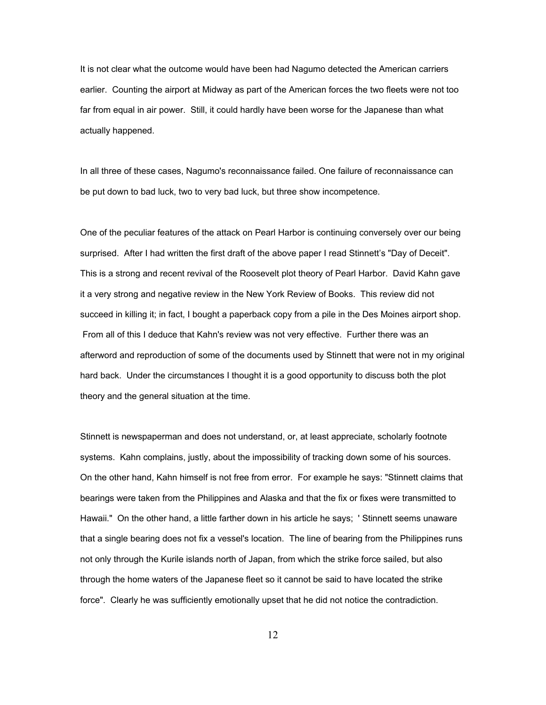It is not clear what the outcome would have been had Nagumo detected the American carriers earlier. Counting the airport at Midway as part of the American forces the two fleets were not too far from equal in air power. Still, it could hardly have been worse for the Japanese than what actually happened.

In all three of these cases, Nagumo's reconnaissance failed. One failure of reconnaissance can be put down to bad luck, two to very bad luck, but three show incompetence.

One of the peculiar features of the attack on Pearl Harbor is continuing conversely over our being surprised. After I had written the first draft of the above paper I read Stinnett's "Day of Deceit". This is a strong and recent revival of the Roosevelt plot theory of Pearl Harbor. David Kahn gave it a very strong and negative review in the New York Review of Books. This review did not succeed in killing it; in fact, I bought a paperback copy from a pile in the Des Moines airport shop. From all of this I deduce that Kahn's review was not very effective. Further there was an afterword and reproduction of some of the documents used by Stinnett that were not in my original hard back. Under the circumstances I thought it is a good opportunity to discuss both the plot theory and the general situation at the time.

Stinnett is newspaperman and does not understand, or, at least appreciate, scholarly footnote systems. Kahn complains, justly, about the impossibility of tracking down some of his sources. On the other hand, Kahn himself is not free from error. For example he says: "Stinnett claims that bearings were taken from the Philippines and Alaska and that the fix or fixes were transmitted to Hawaii." On the other hand, a little farther down in his article he says; ' Stinnett seems unaware that a single bearing does not fix a vessel's location. The line of bearing from the Philippines runs not only through the Kurile islands north of Japan, from which the strike force sailed, but also through the home waters of the Japanese fleet so it cannot be said to have located the strike force". Clearly he was sufficiently emotionally upset that he did not notice the contradiction.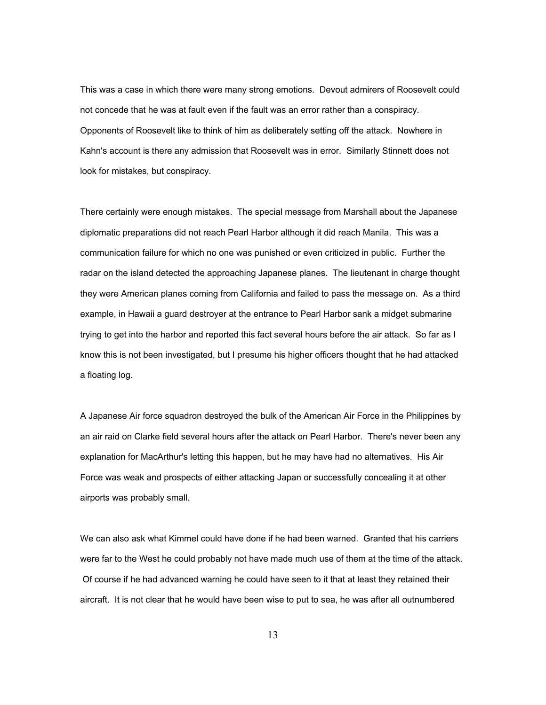This was a case in which there were many strong emotions. Devout admirers of Roosevelt could not concede that he was at fault even if the fault was an error rather than a conspiracy. Opponents of Roosevelt like to think of him as deliberately setting off the attack. Nowhere in Kahn's account is there any admission that Roosevelt was in error. Similarly Stinnett does not look for mistakes, but conspiracy.

There certainly were enough mistakes. The special message from Marshall about the Japanese diplomatic preparations did not reach Pearl Harbor although it did reach Manila. This was a communication failure for which no one was punished or even criticized in public. Further the radar on the island detected the approaching Japanese planes. The lieutenant in charge thought they were American planes coming from California and failed to pass the message on. As a third example, in Hawaii a guard destroyer at the entrance to Pearl Harbor sank a midget submarine trying to get into the harbor and reported this fact several hours before the air attack. So far as I know this is not been investigated, but I presume his higher officers thought that he had attacked a floating log.

A Japanese Air force squadron destroyed the bulk of the American Air Force in the Philippines by an air raid on Clarke field several hours after the attack on Pearl Harbor. There's never been any explanation for MacArthur's letting this happen, but he may have had no alternatives. His Air Force was weak and prospects of either attacking Japan or successfully concealing it at other airports was probably small.

We can also ask what Kimmel could have done if he had been warned. Granted that his carriers were far to the West he could probably not have made much use of them at the time of the attack. Of course if he had advanced warning he could have seen to it that at least they retained their aircraft. It is not clear that he would have been wise to put to sea, he was after all outnumbered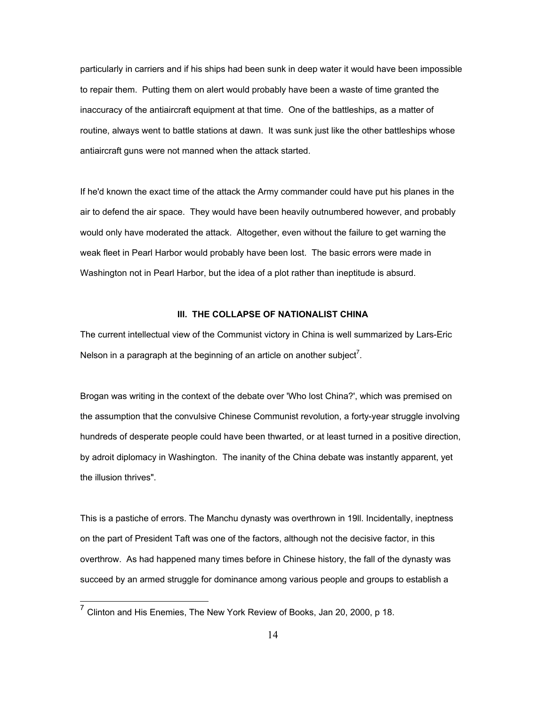particularly in carriers and if his ships had been sunk in deep water it would have been impossible to repair them. Putting them on alert would probably have been a waste of time granted the inaccuracy of the antiaircraft equipment at that time. One of the battleships, as a matter of routine, always went to battle stations at dawn. It was sunk just like the other battleships whose antiaircraft guns were not manned when the attack started.

If he'd known the exact time of the attack the Army commander could have put his planes in the air to defend the air space. They would have been heavily outnumbered however, and probably would only have moderated the attack. Altogether, even without the failure to get warning the weak fleet in Pearl Harbor would probably have been lost. The basic errors were made in Washington not in Pearl Harbor, but the idea of a plot rather than ineptitude is absurd.

## **III. THE COLLAPSE OF NATIONALIST CHINA**

The current intellectual view of the Communist victory in China is well summarized by Lars-Eric Nelson in a paragraph at the beginning of an article on another subject<sup>7</sup>.

Brogan was writing in the context of the debate over 'Who lost China?', which was premised on the assumption that the convulsive Chinese Communist revolution, a forty-year struggle involving hundreds of desperate people could have been thwarted, or at least turned in a positive direction, by adroit diplomacy in Washington. The inanity of the China debate was instantly apparent, yet the illusion thrives".

This is a pastiche of errors. The Manchu dynasty was overthrown in 19ll. Incidentally, ineptness on the part of President Taft was one of the factors, although not the decisive factor, in this overthrow. As had happened many times before in Chinese history, the fall of the dynasty was succeed by an armed struggle for dominance among various people and groups to establish a

-

 $^7$  Clinton and His Enemies, The New York Review of Books, Jan 20, 2000, p 18.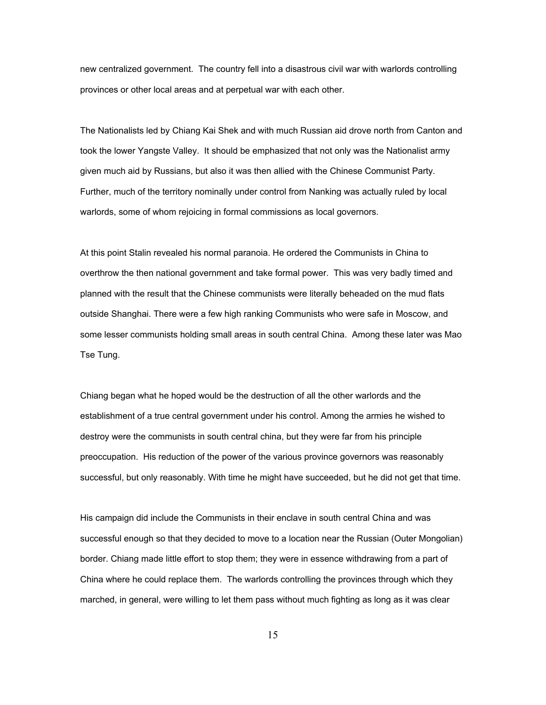new centralized government. The country fell into a disastrous civil war with warlords controlling provinces or other local areas and at perpetual war with each other.

The Nationalists led by Chiang Kai Shek and with much Russian aid drove north from Canton and took the lower Yangste Valley. It should be emphasized that not only was the Nationalist army given much aid by Russians, but also it was then allied with the Chinese Communist Party. Further, much of the territory nominally under control from Nanking was actually ruled by local warlords, some of whom rejoicing in formal commissions as local governors.

At this point Stalin revealed his normal paranoia. He ordered the Communists in China to overthrow the then national government and take formal power. This was very badly timed and planned with the result that the Chinese communists were literally beheaded on the mud flats outside Shanghai. There were a few high ranking Communists who were safe in Moscow, and some lesser communists holding small areas in south central China. Among these later was Mao Tse Tung.

Chiang began what he hoped would be the destruction of all the other warlords and the establishment of a true central government under his control. Among the armies he wished to destroy were the communists in south central china, but they were far from his principle preoccupation. His reduction of the power of the various province governors was reasonably successful, but only reasonably. With time he might have succeeded, but he did not get that time.

His campaign did include the Communists in their enclave in south central China and was successful enough so that they decided to move to a location near the Russian (Outer Mongolian) border. Chiang made little effort to stop them; they were in essence withdrawing from a part of China where he could replace them. The warlords controlling the provinces through which they marched, in general, were willing to let them pass without much fighting as long as it was clear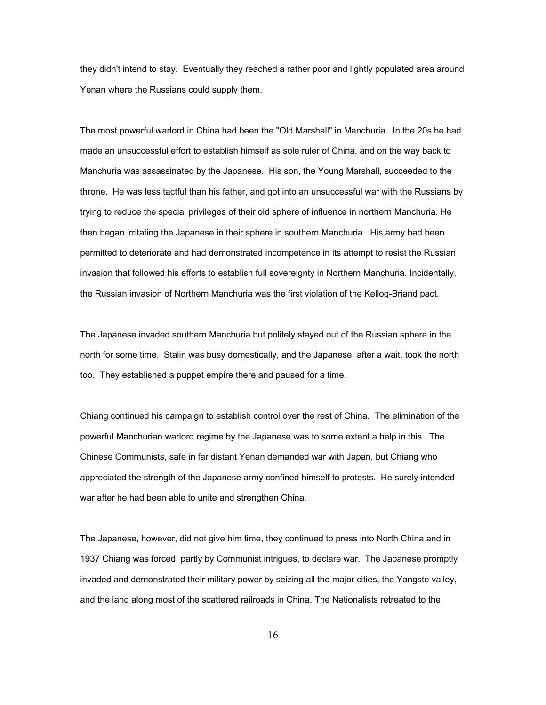they didn't intend to stay. Eventually they reached a rather poor and lightly populated area around Yenan where the Russians could supply them.

The most powerful warlord in China had been the "Old Marshall" in Manchuria. In the 20s he had made an unsuccessful effort to establish himself as sole ruler of China, and on the way back to Manchuria was assassinated by the Japanese. His son, the Young Marshall, succeeded to the throne. He was less tactful than his father, and got into an unsuccessful war with the Russians by trying to reduce the special privileges of their old sphere of influence in northern Manchuria. He then began irritating the Japanese in their sphere in southern Manchuria. His army had been permitted to deteriorate and had demonstrated incompetence in its attempt to resist the Russian invasion that followed his efforts to establish full sovereignty in Northern Manchuria. Incidentally, the Russian invasion of Northern Manchuria was the first violation of the Kellog-Briand pact.

The Japanese invaded southern Manchuria but politely stayed out of the Russian sphere in the north for some time. Stalin was busy domestically, and the Japanese, after a wait, took the north too. They established a puppet empire there and paused for a time.

Chiang continued his campaign to establish control over the rest of China. The elimination of the powerful Manchurian warlord regime by the Japanese was to some extent a help in this. The Chinese Communists, safe in far distant Yenan demanded war with Japan, but Chiang who appreciated the strength of the Japanese army confined himself to protests. He surely intended war after he had been able to unite and strengthen China.

The Japanese, however, did not give him time, they continued to press into North China and in 1937 Chiang was forced, partly by Communist intrigues, to declare war. The Japanese promptly invaded and demonstrated their military power by seizing all the major cities, the Yangste valley, and the land along most of the scattered railroads in China. The Nationalists retreated to the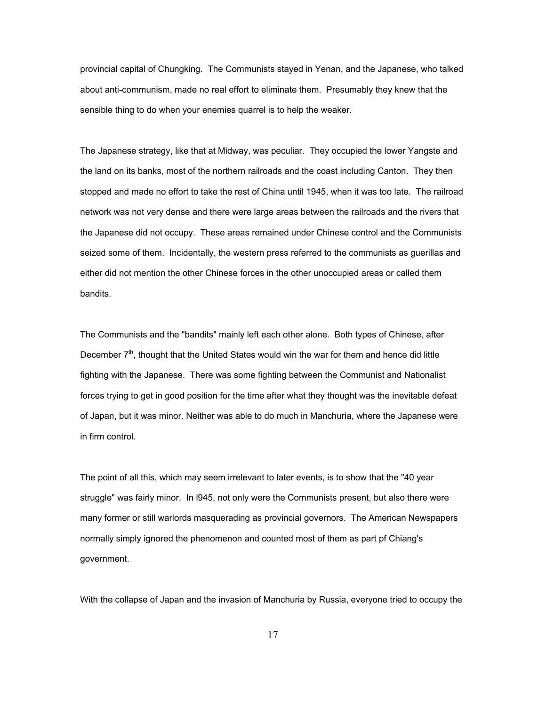provincial capital of Chungking. The Communists stayed in Yenan, and the Japanese, who talked about anti-communism, made no real effort to eliminate them. Presumably they knew that the sensible thing to do when your enemies quarrel is to help the weaker.

The Japanese strategy, like that at Midway, was peculiar. They occupied the lower Yangste and the land on its banks, most of the northern railroads and the coast including Canton. They then stopped and made no effort to take the rest of China until 1945, when it was too late. The railroad network was not very dense and there were large areas between the railroads and the rivers that the Japanese did not occupy. These areas remained under Chinese control and the Communists seized some of them. Incidentally, the western press referred to the communists as guerillas and either did not mention the other Chinese forces in the other unoccupied areas or called them bandits.

The Communists and the "bandits" mainly left each other alone. Both types of Chinese, after December  $7<sup>th</sup>$ , thought that the United States would win the war for them and hence did little fighting with the Japanese. There was some fighting between the Communist and Nationalist forces trying to get in good position for the time after what they thought was the inevitable defeat of Japan, but it was minor. Neither was able to do much in Manchuria, where the Japanese were in firm control.

The point of all this, which may seem irrelevant to later events, is to show that the "40 year struggle" was fairly minor. In l945, not only were the Communists present, but also there were many former or still warlords masquerading as provincial governors. The American Newspapers normally simply ignored the phenomenon and counted most of them as part pf Chiang's government.

With the collapse of Japan and the invasion of Manchuria by Russia, everyone tried to occupy the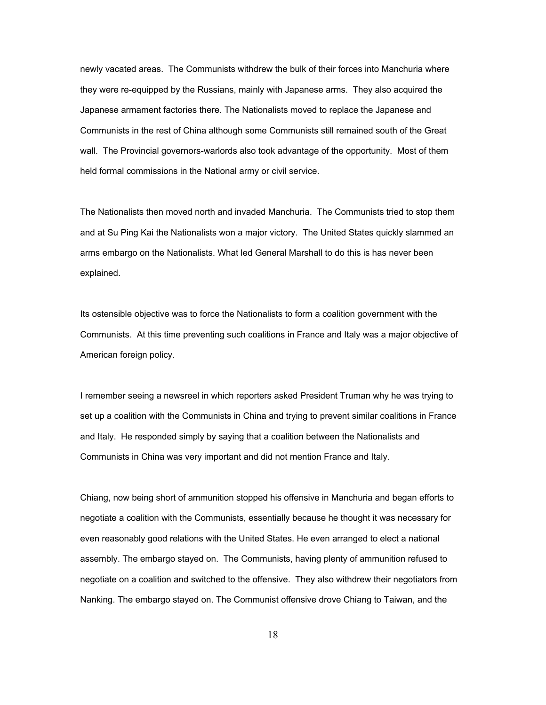newly vacated areas. The Communists withdrew the bulk of their forces into Manchuria where they were re-equipped by the Russians, mainly with Japanese arms. They also acquired the Japanese armament factories there. The Nationalists moved to replace the Japanese and Communists in the rest of China although some Communists still remained south of the Great wall. The Provincial governors-warlords also took advantage of the opportunity. Most of them held formal commissions in the National army or civil service.

The Nationalists then moved north and invaded Manchuria. The Communists tried to stop them and at Su Ping Kai the Nationalists won a major victory. The United States quickly slammed an arms embargo on the Nationalists. What led General Marshall to do this is has never been explained.

Its ostensible objective was to force the Nationalists to form a coalition government with the Communists. At this time preventing such coalitions in France and Italy was a major objective of American foreign policy.

I remember seeing a newsreel in which reporters asked President Truman why he was trying to set up a coalition with the Communists in China and trying to prevent similar coalitions in France and Italy. He responded simply by saying that a coalition between the Nationalists and Communists in China was very important and did not mention France and Italy.

Chiang, now being short of ammunition stopped his offensive in Manchuria and began efforts to negotiate a coalition with the Communists, essentially because he thought it was necessary for even reasonably good relations with the United States. He even arranged to elect a national assembly. The embargo stayed on. The Communists, having plenty of ammunition refused to negotiate on a coalition and switched to the offensive. They also withdrew their negotiators from Nanking. The embargo stayed on. The Communist offensive drove Chiang to Taiwan, and the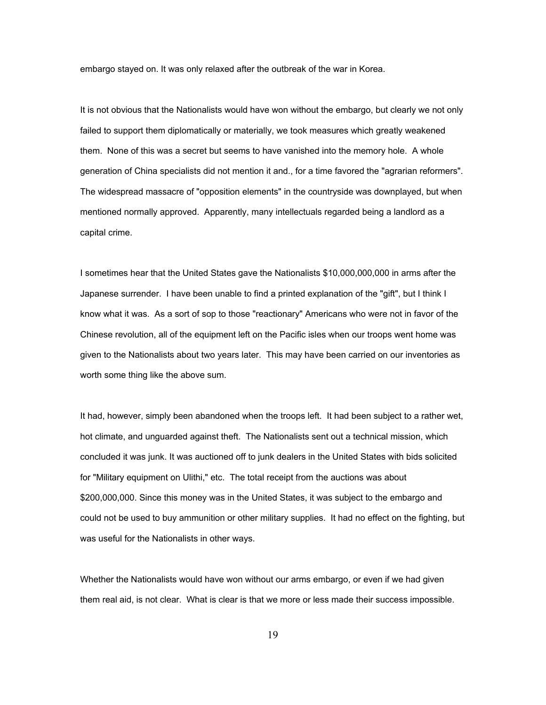embargo stayed on. It was only relaxed after the outbreak of the war in Korea.

It is not obvious that the Nationalists would have won without the embargo, but clearly we not only failed to support them diplomatically or materially, we took measures which greatly weakened them. None of this was a secret but seems to have vanished into the memory hole. A whole generation of China specialists did not mention it and., for a time favored the "agrarian reformers". The widespread massacre of "opposition elements" in the countryside was downplayed, but when mentioned normally approved. Apparently, many intellectuals regarded being a landlord as a capital crime.

I sometimes hear that the United States gave the Nationalists \$10,000,000,000 in arms after the Japanese surrender. I have been unable to find a printed explanation of the "gift", but I think I know what it was. As a sort of sop to those "reactionary" Americans who were not in favor of the Chinese revolution, all of the equipment left on the Pacific isles when our troops went home was given to the Nationalists about two years later. This may have been carried on our inventories as worth some thing like the above sum.

It had, however, simply been abandoned when the troops left. It had been subject to a rather wet, hot climate, and unguarded against theft. The Nationalists sent out a technical mission, which concluded it was junk. It was auctioned off to junk dealers in the United States with bids solicited for "Military equipment on Ulithi," etc. The total receipt from the auctions was about \$200,000,000. Since this money was in the United States, it was subject to the embargo and could not be used to buy ammunition or other military supplies. It had no effect on the fighting, but was useful for the Nationalists in other ways.

Whether the Nationalists would have won without our arms embargo, or even if we had given them real aid, is not clear. What is clear is that we more or less made their success impossible.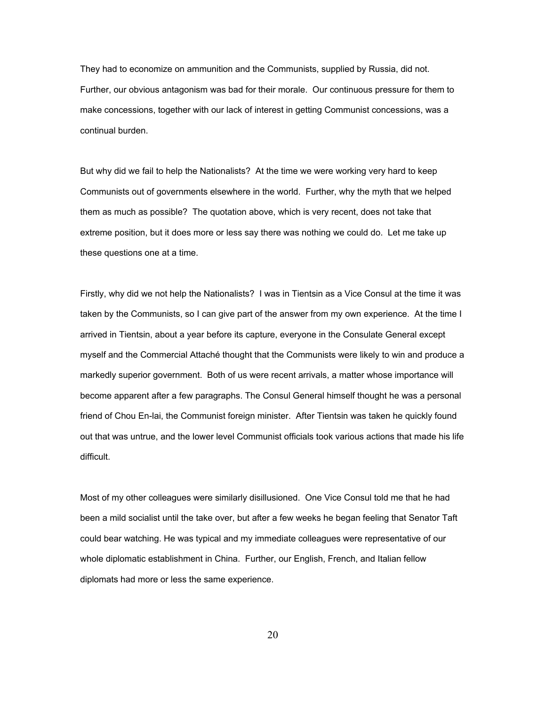They had to economize on ammunition and the Communists, supplied by Russia, did not. Further, our obvious antagonism was bad for their morale. Our continuous pressure for them to make concessions, together with our lack of interest in getting Communist concessions, was a continual burden.

But why did we fail to help the Nationalists? At the time we were working very hard to keep Communists out of governments elsewhere in the world. Further, why the myth that we helped them as much as possible? The quotation above, which is very recent, does not take that extreme position, but it does more or less say there was nothing we could do. Let me take up these questions one at a time.

Firstly, why did we not help the Nationalists? I was in Tientsin as a Vice Consul at the time it was taken by the Communists, so I can give part of the answer from my own experience. At the time I arrived in Tientsin, about a year before its capture, everyone in the Consulate General except myself and the Commercial Attaché thought that the Communists were likely to win and produce a markedly superior government. Both of us were recent arrivals, a matter whose importance will become apparent after a few paragraphs. The Consul General himself thought he was a personal friend of Chou En-lai, the Communist foreign minister. After Tientsin was taken he quickly found out that was untrue, and the lower level Communist officials took various actions that made his life difficult.

Most of my other colleagues were similarly disillusioned. One Vice Consul told me that he had been a mild socialist until the take over, but after a few weeks he began feeling that Senator Taft could bear watching. He was typical and my immediate colleagues were representative of our whole diplomatic establishment in China. Further, our English, French, and Italian fellow diplomats had more or less the same experience.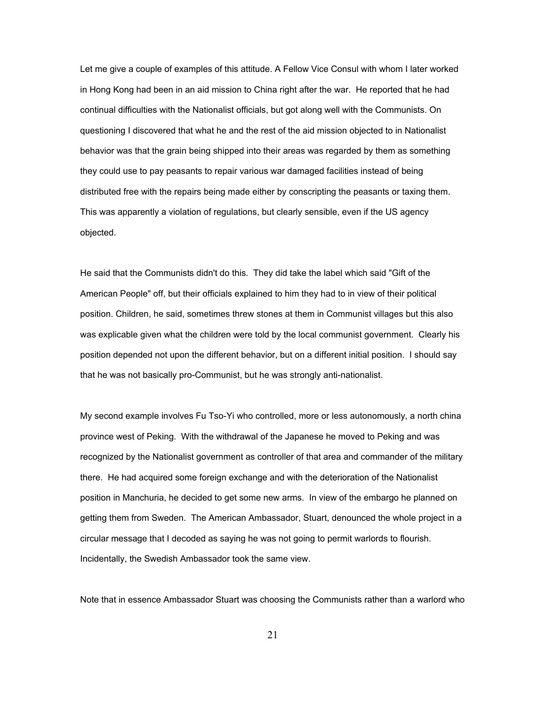Let me give a couple of examples of this attitude. A Fellow Vice Consul with whom I later worked in Hong Kong had been in an aid mission to China right after the war. He reported that he had continual difficulties with the Nationalist officials, but got along well with the Communists. On questioning I discovered that what he and the rest of the aid mission objected to in Nationalist behavior was that the grain being shipped into their areas was regarded by them as something they could use to pay peasants to repair various war damaged facilities instead of being distributed free with the repairs being made either by conscripting the peasants or taxing them. This was apparently a violation of regulations, but clearly sensible, even if the US agency objected.

He said that the Communists didn't do this. They did take the label which said "Gift of the American People" off, but their officials explained to him they had to in view of their political position. Children, he said, sometimes threw stones at them in Communist villages but this also was explicable given what the children were told by the local communist government. Clearly his position depended not upon the different behavior, but on a different initial position. I should say that he was not basically pro-Communist, but he was strongly anti-nationalist.

My second example involves Fu Tso-Yi who controlled, more or less autonomously, a north china province west of Peking. With the withdrawal of the Japanese he moved to Peking and was recognized by the Nationalist government as controller of that area and commander of the military there. He had acquired some foreign exchange and with the deterioration of the Nationalist position in Manchuria, he decided to get some new arms. In view of the embargo he planned on getting them from Sweden. The American Ambassador, Stuart, denounced the whole project in a circular message that I decoded as saying he was not going to permit warlords to flourish. Incidentally, the Swedish Ambassador took the same view.

Note that in essence Ambassador Stuart was choosing the Communists rather than a warlord who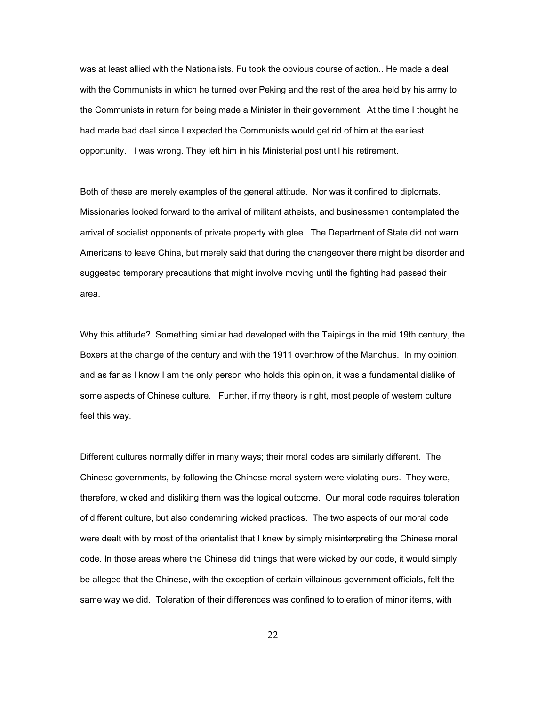was at least allied with the Nationalists. Fu took the obvious course of action.. He made a deal with the Communists in which he turned over Peking and the rest of the area held by his army to the Communists in return for being made a Minister in their government. At the time I thought he had made bad deal since I expected the Communists would get rid of him at the earliest opportunity. I was wrong. They left him in his Ministerial post until his retirement.

Both of these are merely examples of the general attitude. Nor was it confined to diplomats. Missionaries looked forward to the arrival of militant atheists, and businessmen contemplated the arrival of socialist opponents of private property with glee. The Department of State did not warn Americans to leave China, but merely said that during the changeover there might be disorder and suggested temporary precautions that might involve moving until the fighting had passed their area.

Why this attitude? Something similar had developed with the Taipings in the mid 19th century, the Boxers at the change of the century and with the 1911 overthrow of the Manchus. In my opinion, and as far as I know I am the only person who holds this opinion, it was a fundamental dislike of some aspects of Chinese culture. Further, if my theory is right, most people of western culture feel this way.

Different cultures normally differ in many ways; their moral codes are similarly different. The Chinese governments, by following the Chinese moral system were violating ours. They were, therefore, wicked and disliking them was the logical outcome. Our moral code requires toleration of different culture, but also condemning wicked practices. The two aspects of our moral code were dealt with by most of the orientalist that I knew by simply misinterpreting the Chinese moral code. In those areas where the Chinese did things that were wicked by our code, it would simply be alleged that the Chinese, with the exception of certain villainous government officials, felt the same way we did. Toleration of their differences was confined to toleration of minor items, with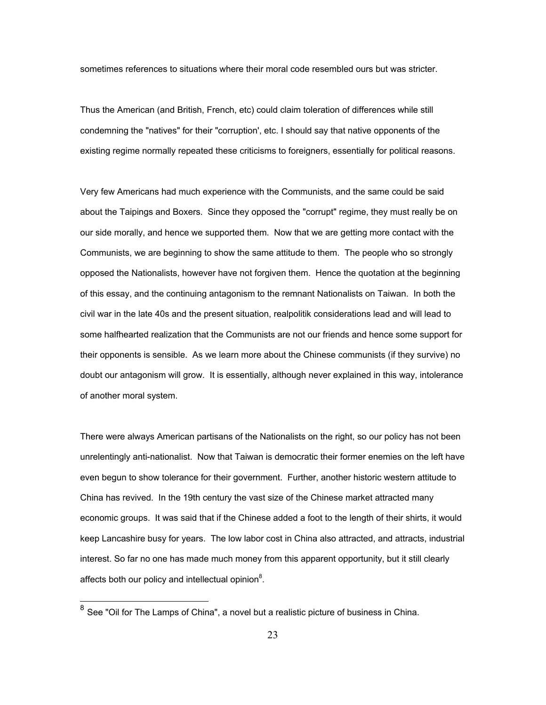sometimes references to situations where their moral code resembled ours but was stricter.

Thus the American (and British, French, etc) could claim toleration of differences while still condemning the "natives" for their "corruption', etc. I should say that native opponents of the existing regime normally repeated these criticisms to foreigners, essentially for political reasons.

Very few Americans had much experience with the Communists, and the same could be said about the Taipings and Boxers. Since they opposed the "corrupt" regime, they must really be on our side morally, and hence we supported them. Now that we are getting more contact with the Communists, we are beginning to show the same attitude to them. The people who so strongly opposed the Nationalists, however have not forgiven them. Hence the quotation at the beginning of this essay, and the continuing antagonism to the remnant Nationalists on Taiwan. In both the civil war in the late 40s and the present situation, realpolitik considerations lead and will lead to some halfhearted realization that the Communists are not our friends and hence some support for their opponents is sensible. As we learn more about the Chinese communists (if they survive) no doubt our antagonism will grow. It is essentially, although never explained in this way, intolerance of another moral system.

There were always American partisans of the Nationalists on the right, so our policy has not been unrelentingly anti-nationalist. Now that Taiwan is democratic their former enemies on the left have even begun to show tolerance for their government. Further, another historic western attitude to China has revived. In the 19th century the vast size of the Chinese market attracted many economic groups. It was said that if the Chinese added a foot to the length of their shirts, it would keep Lancashire busy for years. The low labor cost in China also attracted, and attracts, industrial interest. So far no one has made much money from this apparent opportunity, but it still clearly affects both our policy and intellectual opinion $8$ .

-

 $^8$  See "Oil for The Lamps of China", a novel but a realistic picture of business in China.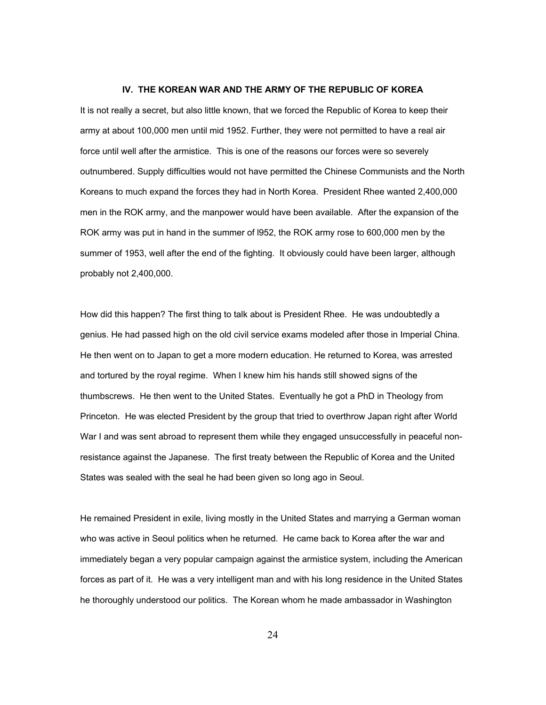#### **IV. THE KOREAN WAR AND THE ARMY OF THE REPUBLIC OF KOREA**

It is not really a secret, but also little known, that we forced the Republic of Korea to keep their army at about 100,000 men until mid 1952. Further, they were not permitted to have a real air force until well after the armistice. This is one of the reasons our forces were so severely outnumbered. Supply difficulties would not have permitted the Chinese Communists and the North Koreans to much expand the forces they had in North Korea. President Rhee wanted 2,400,000 men in the ROK army, and the manpower would have been available. After the expansion of the ROK army was put in hand in the summer of l952, the ROK army rose to 600,000 men by the summer of 1953, well after the end of the fighting. It obviously could have been larger, although probably not 2,400,000.

How did this happen? The first thing to talk about is President Rhee. He was undoubtedly a genius. He had passed high on the old civil service exams modeled after those in Imperial China. He then went on to Japan to get a more modern education. He returned to Korea, was arrested and tortured by the royal regime. When I knew him his hands still showed signs of the thumbscrews. He then went to the United States. Eventually he got a PhD in Theology from Princeton. He was elected President by the group that tried to overthrow Japan right after World War I and was sent abroad to represent them while they engaged unsuccessfully in peaceful nonresistance against the Japanese. The first treaty between the Republic of Korea and the United States was sealed with the seal he had been given so long ago in Seoul.

He remained President in exile, living mostly in the United States and marrying a German woman who was active in Seoul politics when he returned. He came back to Korea after the war and immediately began a very popular campaign against the armistice system, including the American forces as part of it. He was a very intelligent man and with his long residence in the United States he thoroughly understood our politics. The Korean whom he made ambassador in Washington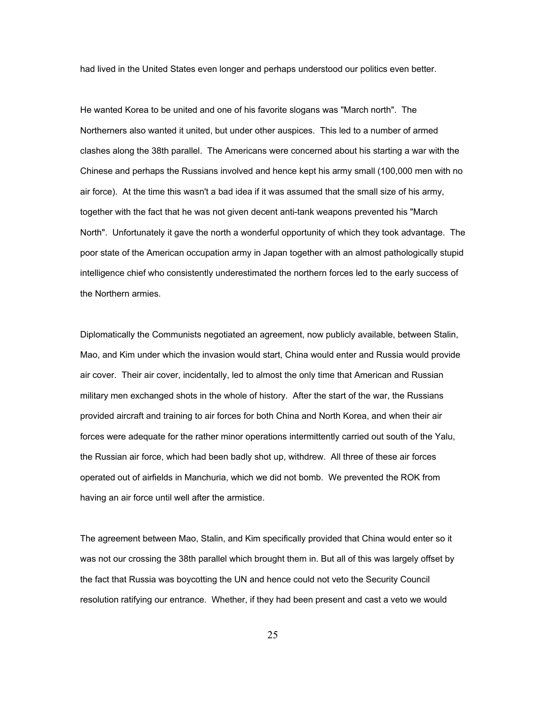had lived in the United States even longer and perhaps understood our politics even better.

He wanted Korea to be united and one of his favorite slogans was "March north". The Northerners also wanted it united, but under other auspices. This led to a number of armed clashes along the 38th parallel. The Americans were concerned about his starting a war with the Chinese and perhaps the Russians involved and hence kept his army small (100,000 men with no air force). At the time this wasn't a bad idea if it was assumed that the small size of his army, together with the fact that he was not given decent anti-tank weapons prevented his "March North". Unfortunately it gave the north a wonderful opportunity of which they took advantage. The poor state of the American occupation army in Japan together with an almost pathologically stupid intelligence chief who consistently underestimated the northern forces led to the early success of the Northern armies.

Diplomatically the Communists negotiated an agreement, now publicly available, between Stalin, Mao, and Kim under which the invasion would start, China would enter and Russia would provide air cover. Their air cover, incidentally, led to almost the only time that American and Russian military men exchanged shots in the whole of history. After the start of the war, the Russians provided aircraft and training to air forces for both China and North Korea, and when their air forces were adequate for the rather minor operations intermittently carried out south of the Yalu, the Russian air force, which had been badly shot up, withdrew. All three of these air forces operated out of airfields in Manchuria, which we did not bomb. We prevented the ROK from having an air force until well after the armistice.

The agreement between Mao, Stalin, and Kim specifically provided that China would enter so it was not our crossing the 38th parallel which brought them in. But all of this was largely offset by the fact that Russia was boycotting the UN and hence could not veto the Security Council resolution ratifying our entrance. Whether, if they had been present and cast a veto we would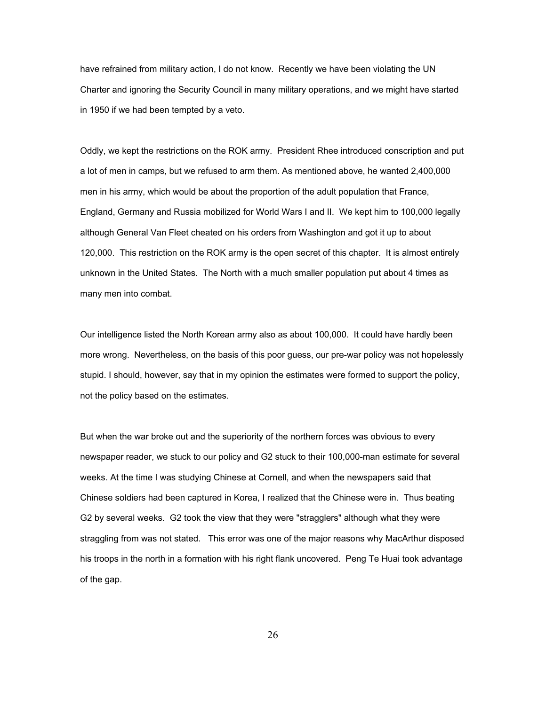have refrained from military action, I do not know. Recently we have been violating the UN Charter and ignoring the Security Council in many military operations, and we might have started in 1950 if we had been tempted by a veto.

Oddly, we kept the restrictions on the ROK army. President Rhee introduced conscription and put a lot of men in camps, but we refused to arm them. As mentioned above, he wanted 2,400,000 men in his army, which would be about the proportion of the adult population that France, England, Germany and Russia mobilized for World Wars I and II. We kept him to 100,000 legally although General Van Fleet cheated on his orders from Washington and got it up to about 120,000. This restriction on the ROK army is the open secret of this chapter. It is almost entirely unknown in the United States. The North with a much smaller population put about 4 times as many men into combat.

Our intelligence listed the North Korean army also as about 100,000. It could have hardly been more wrong. Nevertheless, on the basis of this poor guess, our pre-war policy was not hopelessly stupid. I should, however, say that in my opinion the estimates were formed to support the policy, not the policy based on the estimates.

But when the war broke out and the superiority of the northern forces was obvious to every newspaper reader, we stuck to our policy and G2 stuck to their 100,000-man estimate for several weeks. At the time I was studying Chinese at Cornell, and when the newspapers said that Chinese soldiers had been captured in Korea, I realized that the Chinese were in. Thus beating G2 by several weeks. G2 took the view that they were "stragglers" although what they were straggling from was not stated. This error was one of the major reasons why MacArthur disposed his troops in the north in a formation with his right flank uncovered. Peng Te Huai took advantage of the gap.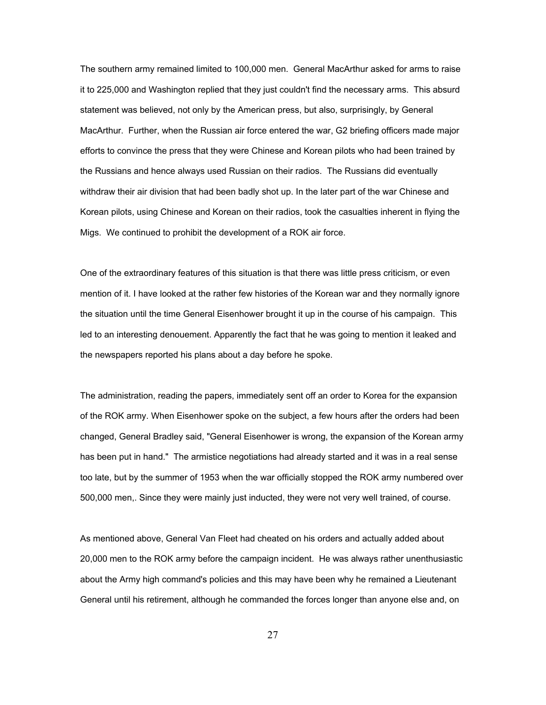The southern army remained limited to 100,000 men. General MacArthur asked for arms to raise it to 225,000 and Washington replied that they just couldn't find the necessary arms. This absurd statement was believed, not only by the American press, but also, surprisingly, by General MacArthur. Further, when the Russian air force entered the war, G2 briefing officers made major efforts to convince the press that they were Chinese and Korean pilots who had been trained by the Russians and hence always used Russian on their radios. The Russians did eventually withdraw their air division that had been badly shot up. In the later part of the war Chinese and Korean pilots, using Chinese and Korean on their radios, took the casualties inherent in flying the Migs. We continued to prohibit the development of a ROK air force.

One of the extraordinary features of this situation is that there was little press criticism, or even mention of it. I have looked at the rather few histories of the Korean war and they normally ignore the situation until the time General Eisenhower brought it up in the course of his campaign. This led to an interesting denouement. Apparently the fact that he was going to mention it leaked and the newspapers reported his plans about a day before he spoke.

The administration, reading the papers, immediately sent off an order to Korea for the expansion of the ROK army. When Eisenhower spoke on the subject, a few hours after the orders had been changed, General Bradley said, "General Eisenhower is wrong, the expansion of the Korean army has been put in hand." The armistice negotiations had already started and it was in a real sense too late, but by the summer of 1953 when the war officially stopped the ROK army numbered over 500,000 men,. Since they were mainly just inducted, they were not very well trained, of course.

As mentioned above, General Van Fleet had cheated on his orders and actually added about 20,000 men to the ROK army before the campaign incident. He was always rather unenthusiastic about the Army high command's policies and this may have been why he remained a Lieutenant General until his retirement, although he commanded the forces longer than anyone else and, on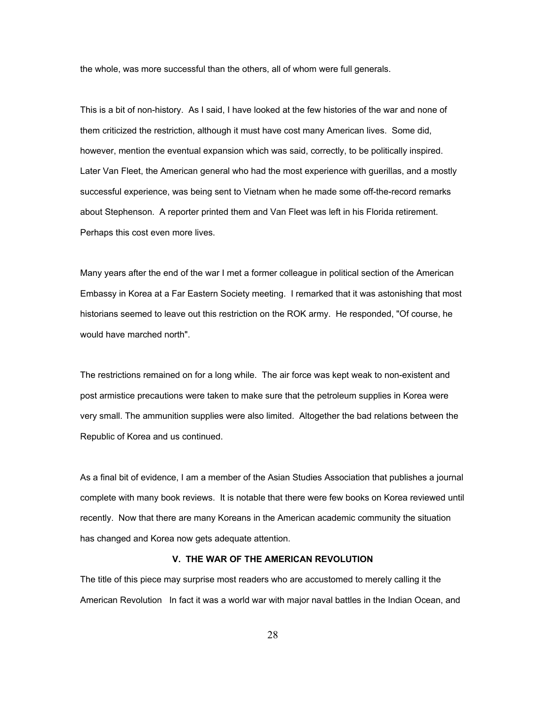the whole, was more successful than the others, all of whom were full generals.

This is a bit of non-history. As I said, I have looked at the few histories of the war and none of them criticized the restriction, although it must have cost many American lives. Some did, however, mention the eventual expansion which was said, correctly, to be politically inspired. Later Van Fleet, the American general who had the most experience with guerillas, and a mostly successful experience, was being sent to Vietnam when he made some off-the-record remarks about Stephenson. A reporter printed them and Van Fleet was left in his Florida retirement. Perhaps this cost even more lives.

Many years after the end of the war I met a former colleague in political section of the American Embassy in Korea at a Far Eastern Society meeting. I remarked that it was astonishing that most historians seemed to leave out this restriction on the ROK army. He responded, "Of course, he would have marched north".

The restrictions remained on for a long while. The air force was kept weak to non-existent and post armistice precautions were taken to make sure that the petroleum supplies in Korea were very small. The ammunition supplies were also limited. Altogether the bad relations between the Republic of Korea and us continued.

As a final bit of evidence, I am a member of the Asian Studies Association that publishes a journal complete with many book reviews. It is notable that there were few books on Korea reviewed until recently. Now that there are many Koreans in the American academic community the situation has changed and Korea now gets adequate attention.

#### **V. THE WAR OF THE AMERICAN REVOLUTION**

The title of this piece may surprise most readers who are accustomed to merely calling it the American Revolution In fact it was a world war with major naval battles in the Indian Ocean, and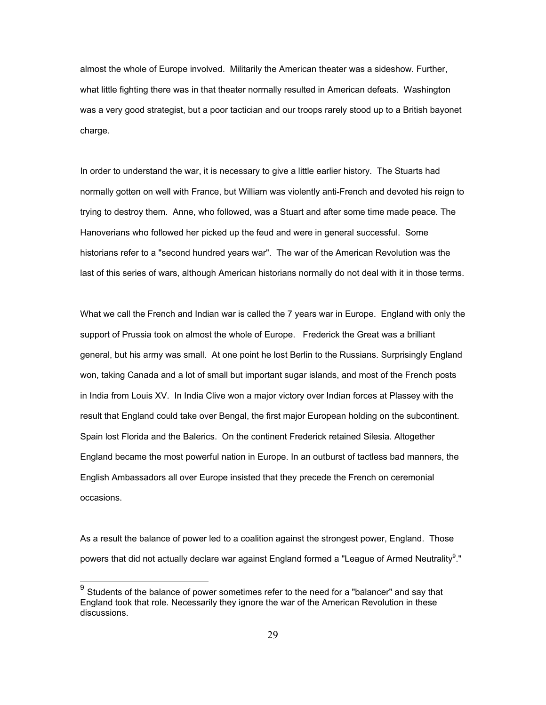almost the whole of Europe involved. Militarily the American theater was a sideshow. Further, what little fighting there was in that theater normally resulted in American defeats. Washington was a very good strategist, but a poor tactician and our troops rarely stood up to a British bayonet charge.

In order to understand the war, it is necessary to give a little earlier history. The Stuarts had normally gotten on well with France, but William was violently anti-French and devoted his reign to trying to destroy them. Anne, who followed, was a Stuart and after some time made peace. The Hanoverians who followed her picked up the feud and were in general successful. Some historians refer to a "second hundred years war". The war of the American Revolution was the last of this series of wars, although American historians normally do not deal with it in those terms.

What we call the French and Indian war is called the 7 years war in Europe. England with only the support of Prussia took on almost the whole of Europe. Frederick the Great was a brilliant general, but his army was small. At one point he lost Berlin to the Russians. Surprisingly England won, taking Canada and a lot of small but important sugar islands, and most of the French posts in India from Louis XV. In India Clive won a major victory over Indian forces at Plassey with the result that England could take over Bengal, the first major European holding on the subcontinent. Spain lost Florida and the Balerics. On the continent Frederick retained Silesia. Altogether England became the most powerful nation in Europe. In an outburst of tactless bad manners, the English Ambassadors all over Europe insisted that they precede the French on ceremonial occasions.

As a result the balance of power led to a coalition against the strongest power, England. Those powers that did not actually declare war against England formed a "League of Armed Neutrality<sup>9</sup>."

 $9$  Students of the balance of power sometimes refer to the need for a "balancer" and say that England took that role. Necessarily they ignore the war of the American Revolution in these discussions.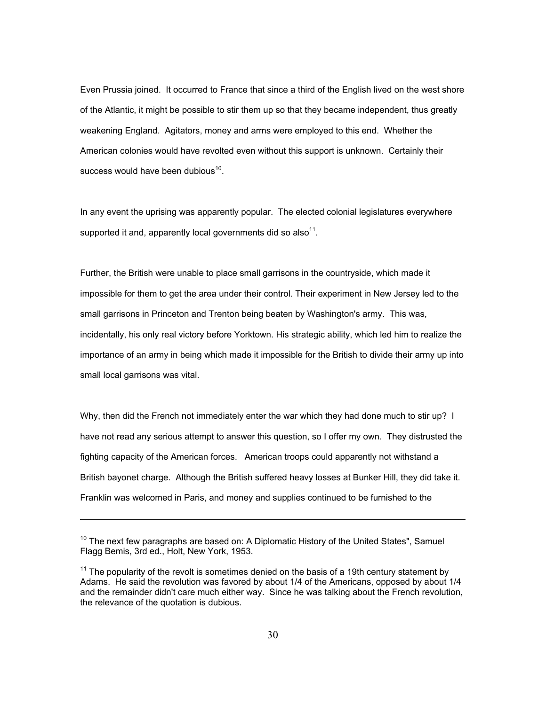Even Prussia joined. It occurred to France that since a third of the English lived on the west shore of the Atlantic, it might be possible to stir them up so that they became independent, thus greatly weakening England. Agitators, money and arms were employed to this end. Whether the American colonies would have revolted even without this support is unknown. Certainly their success would have been dubious $10$ .

In any event the uprising was apparently popular. The elected colonial legislatures everywhere supported it and, apparently local governments did so also<sup>11</sup>.

Further, the British were unable to place small garrisons in the countryside, which made it impossible for them to get the area under their control. Their experiment in New Jersey led to the small garrisons in Princeton and Trenton being beaten by Washington's army. This was, incidentally, his only real victory before Yorktown. His strategic ability, which led him to realize the importance of an army in being which made it impossible for the British to divide their army up into small local garrisons was vital.

Why, then did the French not immediately enter the war which they had done much to stir up? I have not read any serious attempt to answer this question, so I offer my own. They distrusted the fighting capacity of the American forces. American troops could apparently not withstand a British bayonet charge. Although the British suffered heavy losses at Bunker Hill, they did take it. Franklin was welcomed in Paris, and money and supplies continued to be furnished to the

 $\overline{a}$ 

 $10$  The next few paragraphs are based on: A Diplomatic History of the United States", Samuel Flagg Bemis, 3rd ed., Holt, New York, 1953.

 $11$  The popularity of the revolt is sometimes denied on the basis of a 19th century statement by Adams. He said the revolution was favored by about 1/4 of the Americans, opposed by about 1/4 and the remainder didn't care much either way. Since he was talking about the French revolution, the relevance of the quotation is dubious.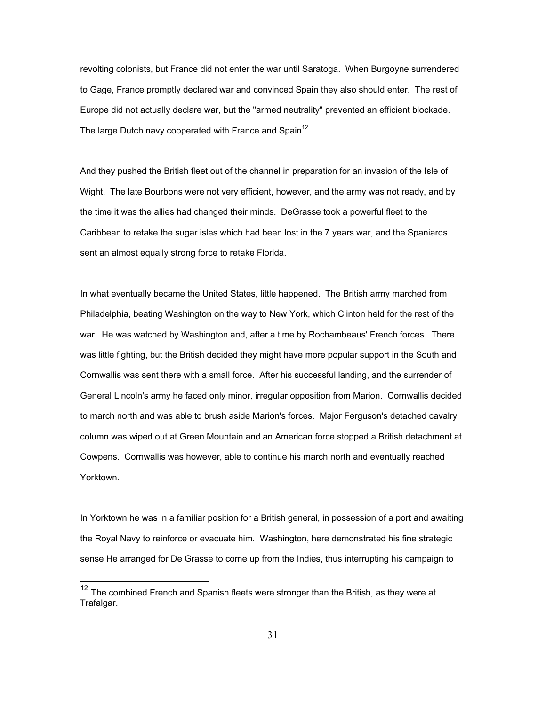revolting colonists, but France did not enter the war until Saratoga. When Burgoyne surrendered to Gage, France promptly declared war and convinced Spain they also should enter. The rest of Europe did not actually declare war, but the "armed neutrality" prevented an efficient blockade. The large Dutch navy cooperated with France and Spain<sup>12</sup>.

And they pushed the British fleet out of the channel in preparation for an invasion of the Isle of Wight. The late Bourbons were not very efficient, however, and the army was not ready, and by the time it was the allies had changed their minds. DeGrasse took a powerful fleet to the Caribbean to retake the sugar isles which had been lost in the 7 years war, and the Spaniards sent an almost equally strong force to retake Florida.

In what eventually became the United States, little happened. The British army marched from Philadelphia, beating Washington on the way to New York, which Clinton held for the rest of the war. He was watched by Washington and, after a time by Rochambeaus' French forces. There was little fighting, but the British decided they might have more popular support in the South and Cornwallis was sent there with a small force. After his successful landing, and the surrender of General Lincoln's army he faced only minor, irregular opposition from Marion. Cornwallis decided to march north and was able to brush aside Marion's forces. Major Ferguson's detached cavalry column was wiped out at Green Mountain and an American force stopped a British detachment at Cowpens. Cornwallis was however, able to continue his march north and eventually reached Yorktown.

In Yorktown he was in a familiar position for a British general, in possession of a port and awaiting the Royal Navy to reinforce or evacuate him. Washington, here demonstrated his fine strategic sense He arranged for De Grasse to come up from the Indies, thus interrupting his campaign to

-

<sup>&</sup>lt;sup>12</sup> The combined French and Spanish fleets were stronger than the British, as they were at Trafalgar.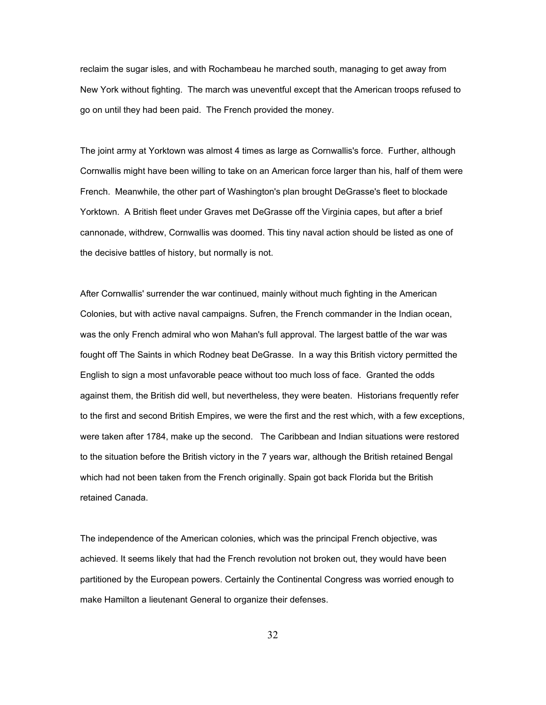reclaim the sugar isles, and with Rochambeau he marched south, managing to get away from New York without fighting. The march was uneventful except that the American troops refused to go on until they had been paid. The French provided the money.

The joint army at Yorktown was almost 4 times as large as Cornwallis's force. Further, although Cornwallis might have been willing to take on an American force larger than his, half of them were French. Meanwhile, the other part of Washington's plan brought DeGrasse's fleet to blockade Yorktown. A British fleet under Graves met DeGrasse off the Virginia capes, but after a brief cannonade, withdrew, Cornwallis was doomed. This tiny naval action should be listed as one of the decisive battles of history, but normally is not.

After Cornwallis' surrender the war continued, mainly without much fighting in the American Colonies, but with active naval campaigns. Sufren, the French commander in the Indian ocean, was the only French admiral who won Mahan's full approval. The largest battle of the war was fought off The Saints in which Rodney beat DeGrasse. In a way this British victory permitted the English to sign a most unfavorable peace without too much loss of face. Granted the odds against them, the British did well, but nevertheless, they were beaten. Historians frequently refer to the first and second British Empires, we were the first and the rest which, with a few exceptions, were taken after 1784, make up the second. The Caribbean and Indian situations were restored to the situation before the British victory in the 7 years war, although the British retained Bengal which had not been taken from the French originally. Spain got back Florida but the British retained Canada.

The independence of the American colonies, which was the principal French objective, was achieved. It seems likely that had the French revolution not broken out, they would have been partitioned by the European powers. Certainly the Continental Congress was worried enough to make Hamilton a lieutenant General to organize their defenses.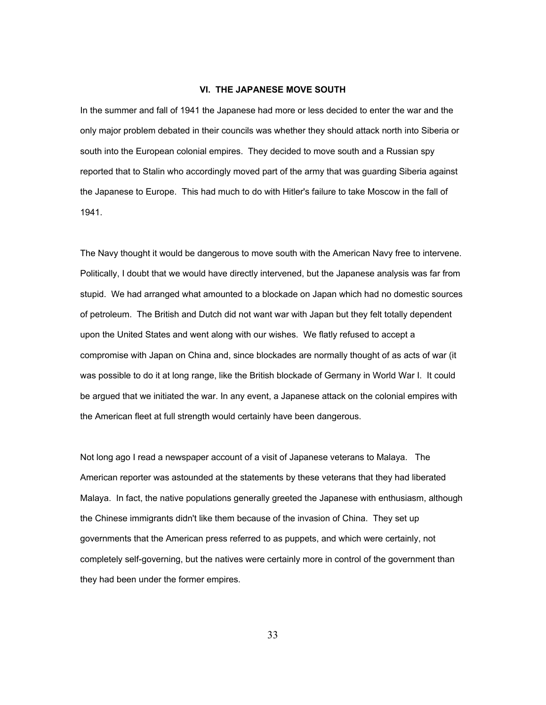#### **VI. THE JAPANESE MOVE SOUTH**

In the summer and fall of 1941 the Japanese had more or less decided to enter the war and the only major problem debated in their councils was whether they should attack north into Siberia or south into the European colonial empires. They decided to move south and a Russian spy reported that to Stalin who accordingly moved part of the army that was guarding Siberia against the Japanese to Europe. This had much to do with Hitler's failure to take Moscow in the fall of 1941.

The Navy thought it would be dangerous to move south with the American Navy free to intervene. Politically, I doubt that we would have directly intervened, but the Japanese analysis was far from stupid. We had arranged what amounted to a blockade on Japan which had no domestic sources of petroleum. The British and Dutch did not want war with Japan but they felt totally dependent upon the United States and went along with our wishes. We flatly refused to accept a compromise with Japan on China and, since blockades are normally thought of as acts of war (it was possible to do it at long range, like the British blockade of Germany in World War I. It could be argued that we initiated the war. In any event, a Japanese attack on the colonial empires with the American fleet at full strength would certainly have been dangerous.

Not long ago I read a newspaper account of a visit of Japanese veterans to Malaya. The American reporter was astounded at the statements by these veterans that they had liberated Malaya. In fact, the native populations generally greeted the Japanese with enthusiasm, although the Chinese immigrants didn't like them because of the invasion of China. They set up governments that the American press referred to as puppets, and which were certainly, not completely self-governing, but the natives were certainly more in control of the government than they had been under the former empires.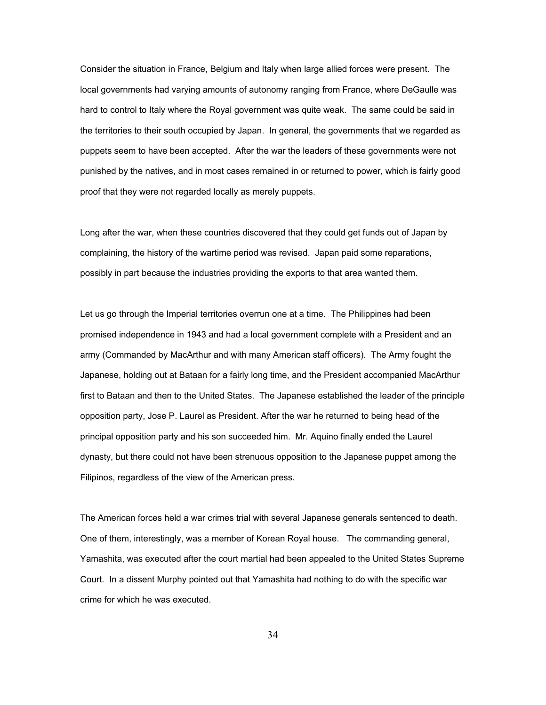Consider the situation in France, Belgium and Italy when large allied forces were present. The local governments had varying amounts of autonomy ranging from France, where DeGaulle was hard to control to Italy where the Royal government was quite weak. The same could be said in the territories to their south occupied by Japan. In general, the governments that we regarded as puppets seem to have been accepted. After the war the leaders of these governments were not punished by the natives, and in most cases remained in or returned to power, which is fairly good proof that they were not regarded locally as merely puppets.

Long after the war, when these countries discovered that they could get funds out of Japan by complaining, the history of the wartime period was revised. Japan paid some reparations, possibly in part because the industries providing the exports to that area wanted them.

Let us go through the Imperial territories overrun one at a time. The Philippines had been promised independence in 1943 and had a local government complete with a President and an army (Commanded by MacArthur and with many American staff officers). The Army fought the Japanese, holding out at Bataan for a fairly long time, and the President accompanied MacArthur first to Bataan and then to the United States. The Japanese established the leader of the principle opposition party, Jose P. Laurel as President. After the war he returned to being head of the principal opposition party and his son succeeded him. Mr. Aquino finally ended the Laurel dynasty, but there could not have been strenuous opposition to the Japanese puppet among the Filipinos, regardless of the view of the American press.

The American forces held a war crimes trial with several Japanese generals sentenced to death. One of them, interestingly, was a member of Korean Royal house. The commanding general, Yamashita, was executed after the court martial had been appealed to the United States Supreme Court. In a dissent Murphy pointed out that Yamashita had nothing to do with the specific war crime for which he was executed.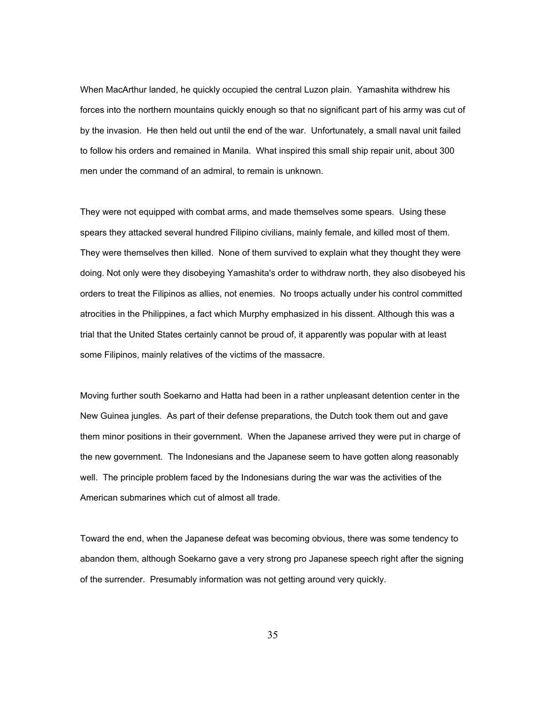When MacArthur landed, he quickly occupied the central Luzon plain. Yamashita withdrew his forces into the northern mountains quickly enough so that no significant part of his army was cut of by the invasion. He then held out until the end of the war. Unfortunately, a small naval unit failed to follow his orders and remained in Manila. What inspired this small ship repair unit, about 300 men under the command of an admiral, to remain is unknown.

They were not equipped with combat arms, and made themselves some spears. Using these spears they attacked several hundred Filipino civilians, mainly female, and killed most of them. They were themselves then killed. None of them survived to explain what they thought they were doing. Not only were they disobeying Yamashita's order to withdraw north, they also disobeyed his orders to treat the Filipinos as allies, not enemies. No troops actually under his control committed atrocities in the Philippines, a fact which Murphy emphasized in his dissent. Although this was a trial that the United States certainly cannot be proud of, it apparently was popular with at least some Filipinos, mainly relatives of the victims of the massacre.

Moving further south Soekarno and Hatta had been in a rather unpleasant detention center in the New Guinea jungles. As part of their defense preparations, the Dutch took them out and gave them minor positions in their government. When the Japanese arrived they were put in charge of the new government. The Indonesians and the Japanese seem to have gotten along reasonably well. The principle problem faced by the Indonesians during the war was the activities of the American submarines which cut of almost all trade.

Toward the end, when the Japanese defeat was becoming obvious, there was some tendency to abandon them, although Soekarno gave a very strong pro Japanese speech right after the signing of the surrender. Presumably information was not getting around very quickly.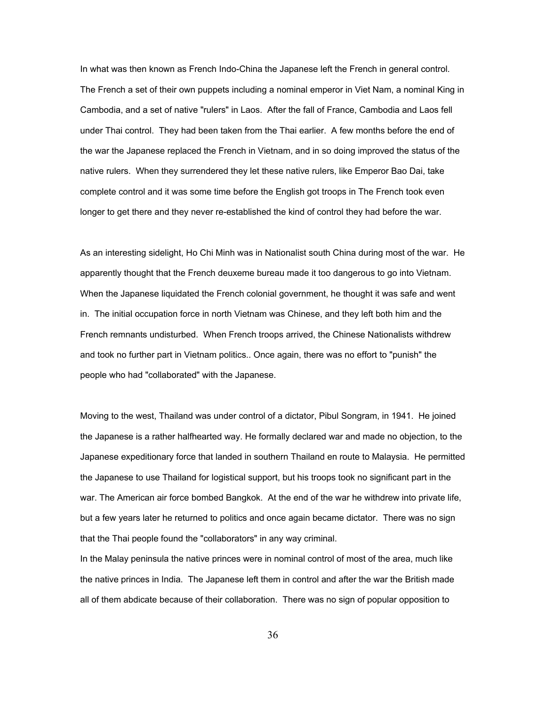In what was then known as French Indo-China the Japanese left the French in general control. The French a set of their own puppets including a nominal emperor in Viet Nam, a nominal King in Cambodia, and a set of native "rulers" in Laos. After the fall of France, Cambodia and Laos fell under Thai control. They had been taken from the Thai earlier. A few months before the end of the war the Japanese replaced the French in Vietnam, and in so doing improved the status of the native rulers. When they surrendered they let these native rulers, like Emperor Bao Dai, take complete control and it was some time before the English got troops in The French took even longer to get there and they never re-established the kind of control they had before the war.

As an interesting sidelight, Ho Chi Minh was in Nationalist south China during most of the war. He apparently thought that the French deuxeme bureau made it too dangerous to go into Vietnam. When the Japanese liquidated the French colonial government, he thought it was safe and went in. The initial occupation force in north Vietnam was Chinese, and they left both him and the French remnants undisturbed. When French troops arrived, the Chinese Nationalists withdrew and took no further part in Vietnam politics.. Once again, there was no effort to "punish" the people who had "collaborated" with the Japanese.

Moving to the west, Thailand was under control of a dictator, Pibul Songram, in 1941. He joined the Japanese is a rather halfhearted way. He formally declared war and made no objection, to the Japanese expeditionary force that landed in southern Thailand en route to Malaysia. He permitted the Japanese to use Thailand for logistical support, but his troops took no significant part in the war. The American air force bombed Bangkok. At the end of the war he withdrew into private life, but a few years later he returned to politics and once again became dictator. There was no sign that the Thai people found the "collaborators" in any way criminal.

In the Malay peninsula the native princes were in nominal control of most of the area, much like the native princes in India. The Japanese left them in control and after the war the British made all of them abdicate because of their collaboration. There was no sign of popular opposition to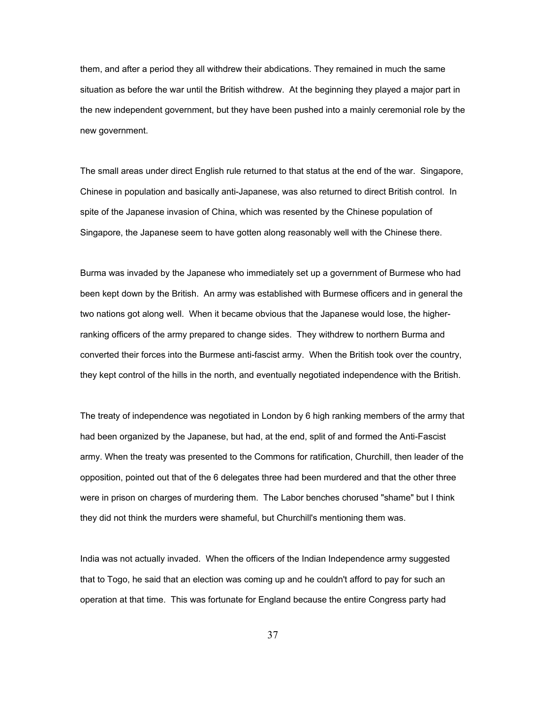them, and after a period they all withdrew their abdications. They remained in much the same situation as before the war until the British withdrew. At the beginning they played a major part in the new independent government, but they have been pushed into a mainly ceremonial role by the new government.

The small areas under direct English rule returned to that status at the end of the war. Singapore, Chinese in population and basically anti-Japanese, was also returned to direct British control. In spite of the Japanese invasion of China, which was resented by the Chinese population of Singapore, the Japanese seem to have gotten along reasonably well with the Chinese there.

Burma was invaded by the Japanese who immediately set up a government of Burmese who had been kept down by the British. An army was established with Burmese officers and in general the two nations got along well. When it became obvious that the Japanese would lose, the higherranking officers of the army prepared to change sides. They withdrew to northern Burma and converted their forces into the Burmese anti-fascist army. When the British took over the country, they kept control of the hills in the north, and eventually negotiated independence with the British.

The treaty of independence was negotiated in London by 6 high ranking members of the army that had been organized by the Japanese, but had, at the end, split of and formed the Anti-Fascist army. When the treaty was presented to the Commons for ratification, Churchill, then leader of the opposition, pointed out that of the 6 delegates three had been murdered and that the other three were in prison on charges of murdering them. The Labor benches chorused "shame" but I think they did not think the murders were shameful, but Churchill's mentioning them was.

India was not actually invaded. When the officers of the Indian Independence army suggested that to Togo, he said that an election was coming up and he couldn't afford to pay for such an operation at that time. This was fortunate for England because the entire Congress party had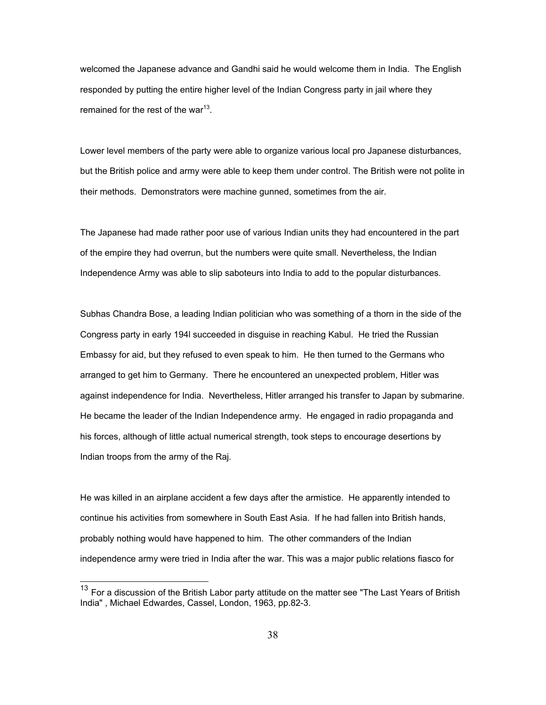welcomed the Japanese advance and Gandhi said he would welcome them in India. The English responded by putting the entire higher level of the Indian Congress party in jail where they remained for the rest of the war $^{13}$ .

Lower level members of the party were able to organize various local pro Japanese disturbances, but the British police and army were able to keep them under control. The British were not polite in their methods. Demonstrators were machine gunned, sometimes from the air.

The Japanese had made rather poor use of various Indian units they had encountered in the part of the empire they had overrun, but the numbers were quite small. Nevertheless, the Indian Independence Army was able to slip saboteurs into India to add to the popular disturbances.

Subhas Chandra Bose, a leading Indian politician who was something of a thorn in the side of the Congress party in early 194l succeeded in disguise in reaching Kabul. He tried the Russian Embassy for aid, but they refused to even speak to him. He then turned to the Germans who arranged to get him to Germany. There he encountered an unexpected problem, Hitler was against independence for India. Nevertheless, Hitler arranged his transfer to Japan by submarine. He became the leader of the Indian Independence army. He engaged in radio propaganda and his forces, although of little actual numerical strength, took steps to encourage desertions by Indian troops from the army of the Raj.

He was killed in an airplane accident a few days after the armistice. He apparently intended to continue his activities from somewhere in South East Asia. If he had fallen into British hands, probably nothing would have happened to him. The other commanders of the Indian independence army were tried in India after the war. This was a major public relations fiasco for

 $\overline{\phantom{a}}$ 

 $13$  For a discussion of the British Labor party attitude on the matter see "The Last Years of British India" , Michael Edwardes, Cassel, London, 1963, pp.82-3.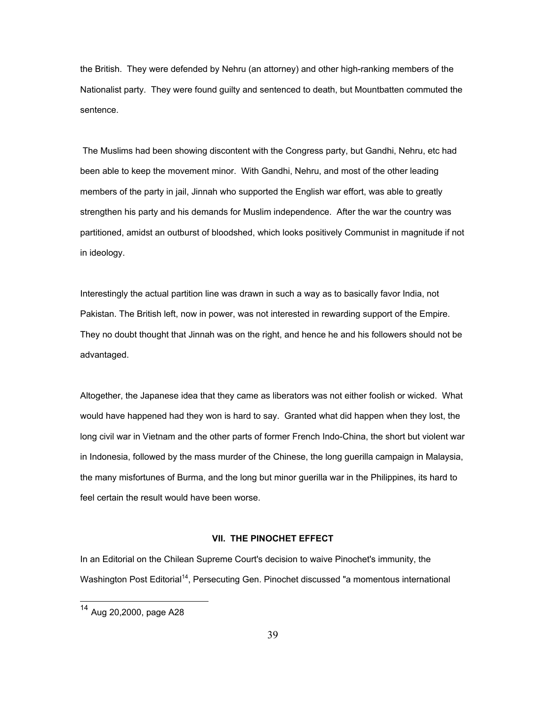the British. They were defended by Nehru (an attorney) and other high-ranking members of the Nationalist party. They were found guilty and sentenced to death, but Mountbatten commuted the sentence.

 The Muslims had been showing discontent with the Congress party, but Gandhi, Nehru, etc had been able to keep the movement minor. With Gandhi, Nehru, and most of the other leading members of the party in jail, Jinnah who supported the English war effort, was able to greatly strengthen his party and his demands for Muslim independence. After the war the country was partitioned, amidst an outburst of bloodshed, which looks positively Communist in magnitude if not in ideology.

Interestingly the actual partition line was drawn in such a way as to basically favor India, not Pakistan. The British left, now in power, was not interested in rewarding support of the Empire. They no doubt thought that Jinnah was on the right, and hence he and his followers should not be advantaged.

Altogether, the Japanese idea that they came as liberators was not either foolish or wicked. What would have happened had they won is hard to say. Granted what did happen when they lost, the long civil war in Vietnam and the other parts of former French Indo-China, the short but violent war in Indonesia, followed by the mass murder of the Chinese, the long guerilla campaign in Malaysia, the many misfortunes of Burma, and the long but minor guerilla war in the Philippines, its hard to feel certain the result would have been worse.

## **VII. THE PINOCHET EFFECT**

In an Editorial on the Chilean Supreme Court's decision to waive Pinochet's immunity, the Washington Post Editorial<sup>14</sup>, Persecuting Gen. Pinochet discussed "a momentous international

 $\overline{\phantom{a}}$ 

<sup>&</sup>lt;sup>14</sup> Aug 20,2000, page A28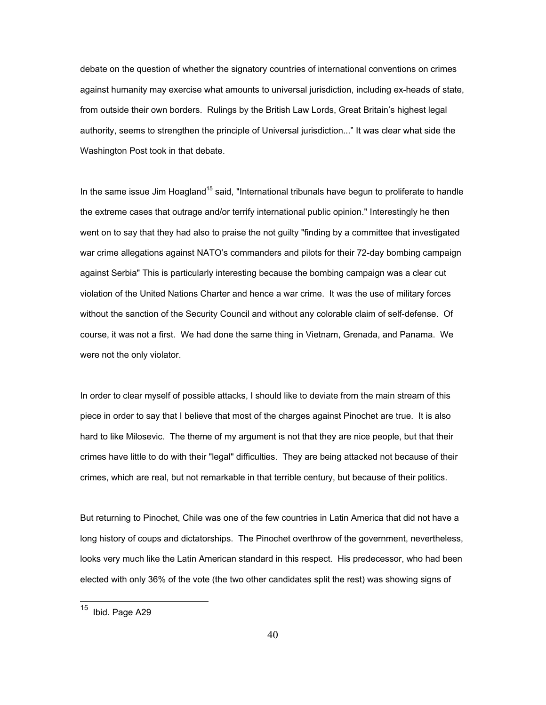debate on the question of whether the signatory countries of international conventions on crimes against humanity may exercise what amounts to universal jurisdiction, including ex-heads of state, from outside their own borders. Rulings by the British Law Lords, Great Britain's highest legal authority, seems to strengthen the principle of Universal jurisdiction..." It was clear what side the Washington Post took in that debate.

In the same issue Jim Hoagland<sup>15</sup> said, "International tribunals have begun to proliferate to handle the extreme cases that outrage and/or terrify international public opinion." Interestingly he then went on to say that they had also to praise the not guilty "finding by a committee that investigated war crime allegations against NATO's commanders and pilots for their 72-day bombing campaign against Serbia" This is particularly interesting because the bombing campaign was a clear cut violation of the United Nations Charter and hence a war crime. It was the use of military forces without the sanction of the Security Council and without any colorable claim of self-defense. Of course, it was not a first. We had done the same thing in Vietnam, Grenada, and Panama. We were not the only violator.

In order to clear myself of possible attacks, I should like to deviate from the main stream of this piece in order to say that I believe that most of the charges against Pinochet are true. It is also hard to like Milosevic. The theme of my argument is not that they are nice people, but that their crimes have little to do with their "legal" difficulties. They are being attacked not because of their crimes, which are real, but not remarkable in that terrible century, but because of their politics.

But returning to Pinochet, Chile was one of the few countries in Latin America that did not have a long history of coups and dictatorships. The Pinochet overthrow of the government, nevertheless, looks very much like the Latin American standard in this respect. His predecessor, who had been elected with only 36% of the vote (the two other candidates split the rest) was showing signs of

<sup>15</sup> Ibid. Page A29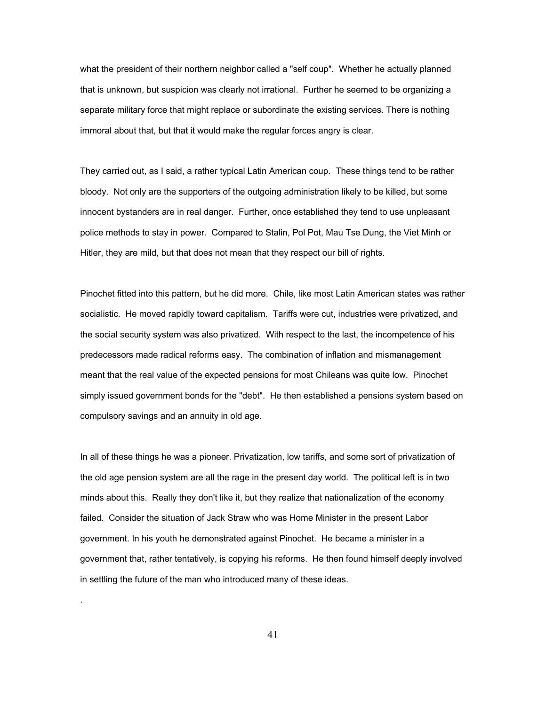what the president of their northern neighbor called a "self coup". Whether he actually planned that is unknown, but suspicion was clearly not irrational. Further he seemed to be organizing a separate military force that might replace or subordinate the existing services. There is nothing immoral about that, but that it would make the regular forces angry is clear.

They carried out, as I said, a rather typical Latin American coup. These things tend to be rather bloody. Not only are the supporters of the outgoing administration likely to be killed, but some innocent bystanders are in real danger. Further, once established they tend to use unpleasant police methods to stay in power. Compared to Stalin, Pol Pot, Mau Tse Dung, the Viet Minh or Hitler, they are mild, but that does not mean that they respect our bill of rights.

Pinochet fitted into this pattern, but he did more. Chile, like most Latin American states was rather socialistic. He moved rapidly toward capitalism. Tariffs were cut, industries were privatized, and the social security system was also privatized. With respect to the last, the incompetence of his predecessors made radical reforms easy. The combination of inflation and mismanagement meant that the real value of the expected pensions for most Chileans was quite low. Pinochet simply issued government bonds for the "debt". He then established a pensions system based on compulsory savings and an annuity in old age.

In all of these things he was a pioneer. Privatization, low tariffs, and some sort of privatization of the old age pension system are all the rage in the present day world. The political left is in two minds about this. Really they don't like it, but they realize that nationalization of the economy failed. Consider the situation of Jack Straw who was Home Minister in the present Labor government. In his youth he demonstrated against Pinochet. He became a minister in a government that, rather tentatively, is copying his reforms. He then found himself deeply involved in settling the future of the man who introduced many of these ideas.

41

.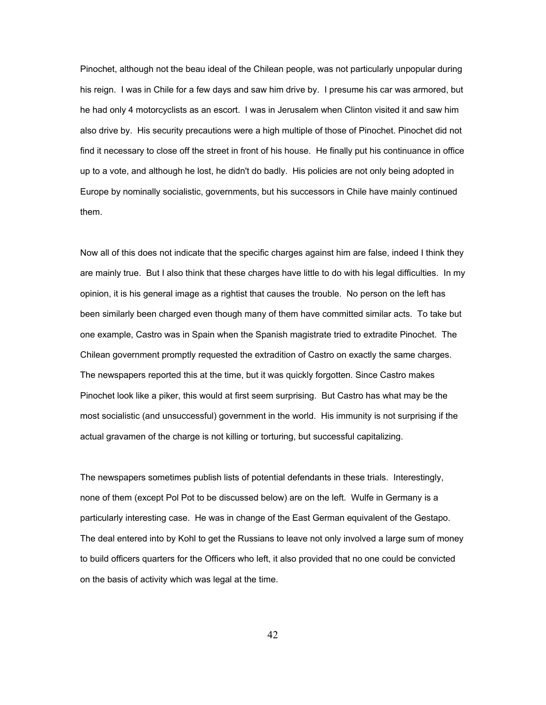Pinochet, although not the beau ideal of the Chilean people, was not particularly unpopular during his reign. I was in Chile for a few days and saw him drive by. I presume his car was armored, but he had only 4 motorcyclists as an escort. I was in Jerusalem when Clinton visited it and saw him also drive by. His security precautions were a high multiple of those of Pinochet. Pinochet did not find it necessary to close off the street in front of his house. He finally put his continuance in office up to a vote, and although he lost, he didn't do badly. His policies are not only being adopted in Europe by nominally socialistic, governments, but his successors in Chile have mainly continued them.

Now all of this does not indicate that the specific charges against him are false, indeed I think they are mainly true. But I also think that these charges have little to do with his legal difficulties. In my opinion, it is his general image as a rightist that causes the trouble. No person on the left has been similarly been charged even though many of them have committed similar acts. To take but one example, Castro was in Spain when the Spanish magistrate tried to extradite Pinochet. The Chilean government promptly requested the extradition of Castro on exactly the same charges. The newspapers reported this at the time, but it was quickly forgotten. Since Castro makes Pinochet look like a piker, this would at first seem surprising. But Castro has what may be the most socialistic (and unsuccessful) government in the world. His immunity is not surprising if the actual gravamen of the charge is not killing or torturing, but successful capitalizing.

The newspapers sometimes publish lists of potential defendants in these trials. Interestingly, none of them (except Pol Pot to be discussed below) are on the left. Wulfe in Germany is a particularly interesting case. He was in change of the East German equivalent of the Gestapo. The deal entered into by Kohl to get the Russians to leave not only involved a large sum of money to build officers quarters for the Officers who left, it also provided that no one could be convicted on the basis of activity which was legal at the time.

42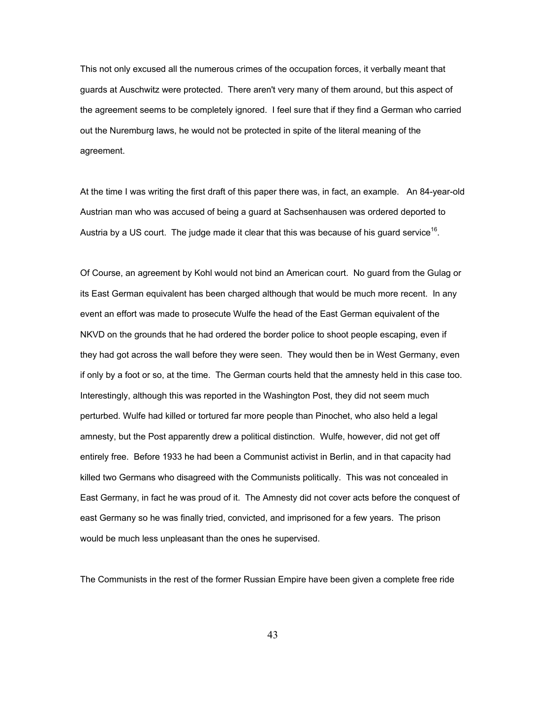This not only excused all the numerous crimes of the occupation forces, it verbally meant that guards at Auschwitz were protected. There aren't very many of them around, but this aspect of the agreement seems to be completely ignored. I feel sure that if they find a German who carried out the Nuremburg laws, he would not be protected in spite of the literal meaning of the agreement.

At the time I was writing the first draft of this paper there was, in fact, an example. An 84-year-old Austrian man who was accused of being a guard at Sachsenhausen was ordered deported to Austria by a US court. The judge made it clear that this was because of his guard service<sup>16</sup>.

Of Course, an agreement by Kohl would not bind an American court. No guard from the Gulag or its East German equivalent has been charged although that would be much more recent. In any event an effort was made to prosecute Wulfe the head of the East German equivalent of the NKVD on the grounds that he had ordered the border police to shoot people escaping, even if they had got across the wall before they were seen. They would then be in West Germany, even if only by a foot or so, at the time. The German courts held that the amnesty held in this case too. Interestingly, although this was reported in the Washington Post, they did not seem much perturbed. Wulfe had killed or tortured far more people than Pinochet, who also held a legal amnesty, but the Post apparently drew a political distinction. Wulfe, however, did not get off entirely free. Before 1933 he had been a Communist activist in Berlin, and in that capacity had killed two Germans who disagreed with the Communists politically. This was not concealed in East Germany, in fact he was proud of it. The Amnesty did not cover acts before the conquest of east Germany so he was finally tried, convicted, and imprisoned for a few years. The prison would be much less unpleasant than the ones he supervised.

The Communists in the rest of the former Russian Empire have been given a complete free ride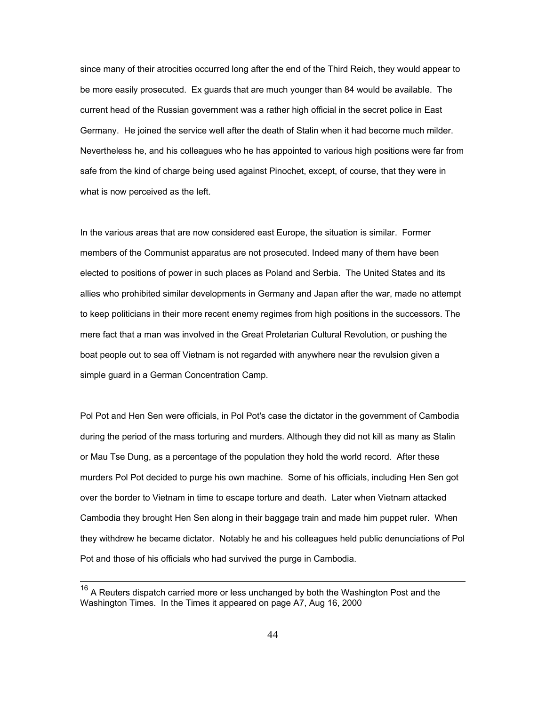since many of their atrocities occurred long after the end of the Third Reich, they would appear to be more easily prosecuted. Ex guards that are much younger than 84 would be available. The current head of the Russian government was a rather high official in the secret police in East Germany. He joined the service well after the death of Stalin when it had become much milder. Nevertheless he, and his colleagues who he has appointed to various high positions were far from safe from the kind of charge being used against Pinochet, except, of course, that they were in what is now perceived as the left.

In the various areas that are now considered east Europe, the situation is similar. Former members of the Communist apparatus are not prosecuted. Indeed many of them have been elected to positions of power in such places as Poland and Serbia. The United States and its allies who prohibited similar developments in Germany and Japan after the war, made no attempt to keep politicians in their more recent enemy regimes from high positions in the successors. The mere fact that a man was involved in the Great Proletarian Cultural Revolution, or pushing the boat people out to sea off Vietnam is not regarded with anywhere near the revulsion given a simple guard in a German Concentration Camp.

Pol Pot and Hen Sen were officials, in Pol Pot's case the dictator in the government of Cambodia during the period of the mass torturing and murders. Although they did not kill as many as Stalin or Mau Tse Dung, as a percentage of the population they hold the world record. After these murders Pol Pot decided to purge his own machine. Some of his officials, including Hen Sen got over the border to Vietnam in time to escape torture and death. Later when Vietnam attacked Cambodia they brought Hen Sen along in their baggage train and made him puppet ruler. When they withdrew he became dictator. Notably he and his colleagues held public denunciations of Pol Pot and those of his officials who had survived the purge in Cambodia.

<sup>&</sup>lt;sup>16</sup> A Reuters dispatch carried more or less unchanged by both the Washington Post and the Washington Times. In the Times it appeared on page A7, Aug 16, 2000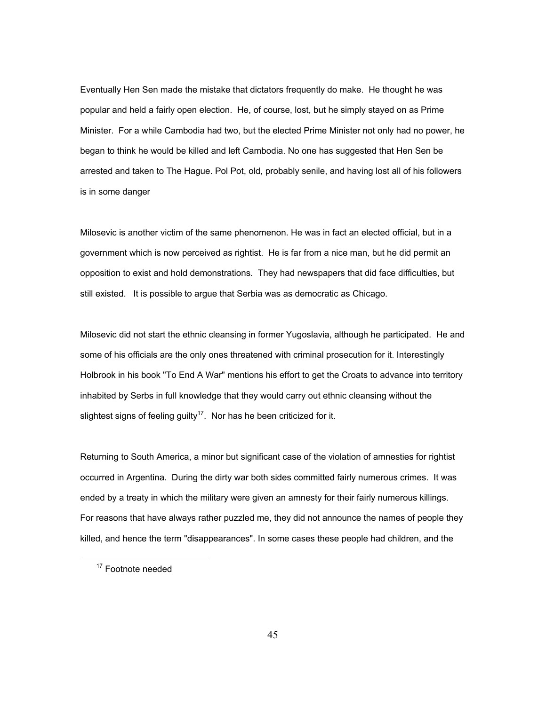Eventually Hen Sen made the mistake that dictators frequently do make. He thought he was popular and held a fairly open election. He, of course, lost, but he simply stayed on as Prime Minister. For a while Cambodia had two, but the elected Prime Minister not only had no power, he began to think he would be killed and left Cambodia. No one has suggested that Hen Sen be arrested and taken to The Hague. Pol Pot, old, probably senile, and having lost all of his followers is in some danger

Milosevic is another victim of the same phenomenon. He was in fact an elected official, but in a government which is now perceived as rightist. He is far from a nice man, but he did permit an opposition to exist and hold demonstrations. They had newspapers that did face difficulties, but still existed. It is possible to argue that Serbia was as democratic as Chicago.

Milosevic did not start the ethnic cleansing in former Yugoslavia, although he participated. He and some of his officials are the only ones threatened with criminal prosecution for it. Interestingly Holbrook in his book "To End A War" mentions his effort to get the Croats to advance into territory inhabited by Serbs in full knowledge that they would carry out ethnic cleansing without the slightest signs of feeling guilty<sup>17</sup>. Nor has he been criticized for it.

Returning to South America, a minor but significant case of the violation of amnesties for rightist occurred in Argentina. During the dirty war both sides committed fairly numerous crimes. It was ended by a treaty in which the military were given an amnesty for their fairly numerous killings. For reasons that have always rather puzzled me, they did not announce the names of people they killed, and hence the term "disappearances". In some cases these people had children, and the

<sup>&</sup>lt;sup>17</sup> Footnote needed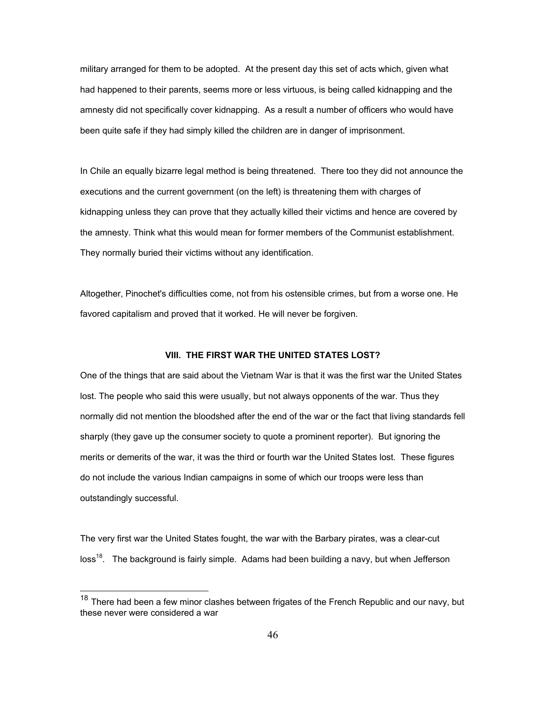military arranged for them to be adopted. At the present day this set of acts which, given what had happened to their parents, seems more or less virtuous, is being called kidnapping and the amnesty did not specifically cover kidnapping. As a result a number of officers who would have been quite safe if they had simply killed the children are in danger of imprisonment.

In Chile an equally bizarre legal method is being threatened. There too they did not announce the executions and the current government (on the left) is threatening them with charges of kidnapping unless they can prove that they actually killed their victims and hence are covered by the amnesty. Think what this would mean for former members of the Communist establishment. They normally buried their victims without any identification.

Altogether, Pinochet's difficulties come, not from his ostensible crimes, but from a worse one. He favored capitalism and proved that it worked. He will never be forgiven.

# **VIII. THE FIRST WAR THE UNITED STATES LOST?**

One of the things that are said about the Vietnam War is that it was the first war the United States lost. The people who said this were usually, but not always opponents of the war. Thus they normally did not mention the bloodshed after the end of the war or the fact that living standards fell sharply (they gave up the consumer society to quote a prominent reporter). But ignoring the merits or demerits of the war, it was the third or fourth war the United States lost. These figures do not include the various Indian campaigns in some of which our troops were less than outstandingly successful.

The very first war the United States fought, the war with the Barbary pirates, was a clear-cut  $loss<sup>18</sup>$ . The background is fairly simple. Adams had been building a navy, but when Jefferson

 $\overline{\phantom{a}}$ 

 $18$  There had been a few minor clashes between frigates of the French Republic and our navy, but these never were considered a war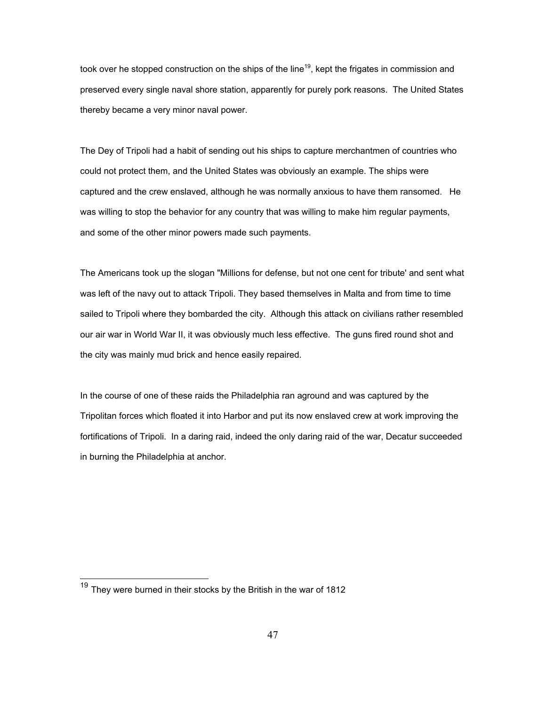took over he stopped construction on the ships of the line<sup>19</sup>, kept the frigates in commission and preserved every single naval shore station, apparently for purely pork reasons. The United States thereby became a very minor naval power.

The Dey of Tripoli had a habit of sending out his ships to capture merchantmen of countries who could not protect them, and the United States was obviously an example. The ships were captured and the crew enslaved, although he was normally anxious to have them ransomed. He was willing to stop the behavior for any country that was willing to make him regular payments, and some of the other minor powers made such payments.

The Americans took up the slogan "Millions for defense, but not one cent for tribute' and sent what was left of the navy out to attack Tripoli. They based themselves in Malta and from time to time sailed to Tripoli where they bombarded the city. Although this attack on civilians rather resembled our air war in World War II, it was obviously much less effective. The guns fired round shot and the city was mainly mud brick and hence easily repaired.

In the course of one of these raids the Philadelphia ran aground and was captured by the Tripolitan forces which floated it into Harbor and put its now enslaved crew at work improving the fortifications of Tripoli. In a daring raid, indeed the only daring raid of the war, Decatur succeeded in burning the Philadelphia at anchor.

 $\overline{\phantom{a}}$ 

 $19$  They were burned in their stocks by the British in the war of 1812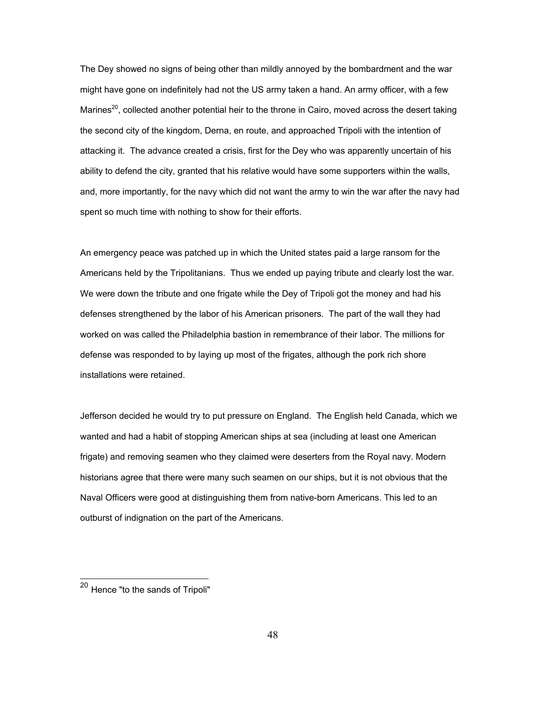The Dey showed no signs of being other than mildly annoyed by the bombardment and the war might have gone on indefinitely had not the US army taken a hand. An army officer, with a few Marines<sup>20</sup>, collected another potential heir to the throne in Cairo, moved across the desert taking the second city of the kingdom, Derna, en route, and approached Tripoli with the intention of attacking it. The advance created a crisis, first for the Dey who was apparently uncertain of his ability to defend the city, granted that his relative would have some supporters within the walls, and, more importantly, for the navy which did not want the army to win the war after the navy had spent so much time with nothing to show for their efforts.

An emergency peace was patched up in which the United states paid a large ransom for the Americans held by the Tripolitanians. Thus we ended up paying tribute and clearly lost the war. We were down the tribute and one frigate while the Dey of Tripoli got the money and had his defenses strengthened by the labor of his American prisoners. The part of the wall they had worked on was called the Philadelphia bastion in remembrance of their labor. The millions for defense was responded to by laying up most of the frigates, although the pork rich shore installations were retained.

Jefferson decided he would try to put pressure on England. The English held Canada, which we wanted and had a habit of stopping American ships at sea (including at least one American frigate) and removing seamen who they claimed were deserters from the Royal navy. Modern historians agree that there were many such seamen on our ships, but it is not obvious that the Naval Officers were good at distinguishing them from native-born Americans. This led to an outburst of indignation on the part of the Americans.

-

<sup>&</sup>lt;sup>20</sup> Hence "to the sands of Tripoli"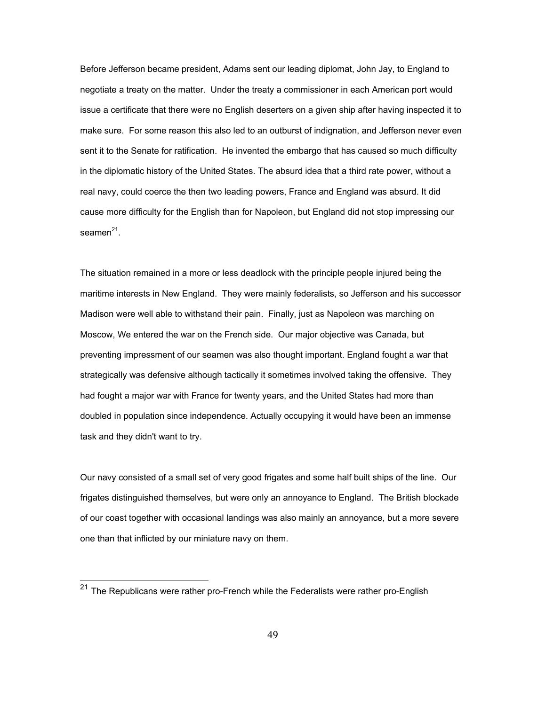Before Jefferson became president, Adams sent our leading diplomat, John Jay, to England to negotiate a treaty on the matter. Under the treaty a commissioner in each American port would issue a certificate that there were no English deserters on a given ship after having inspected it to make sure. For some reason this also led to an outburst of indignation, and Jefferson never even sent it to the Senate for ratification. He invented the embargo that has caused so much difficulty in the diplomatic history of the United States. The absurd idea that a third rate power, without a real navy, could coerce the then two leading powers, France and England was absurd. It did cause more difficulty for the English than for Napoleon, but England did not stop impressing our seamen $^{21}$ .

The situation remained in a more or less deadlock with the principle people injured being the maritime interests in New England. They were mainly federalists, so Jefferson and his successor Madison were well able to withstand their pain. Finally, just as Napoleon was marching on Moscow, We entered the war on the French side. Our major objective was Canada, but preventing impressment of our seamen was also thought important. England fought a war that strategically was defensive although tactically it sometimes involved taking the offensive. They had fought a major war with France for twenty years, and the United States had more than doubled in population since independence. Actually occupying it would have been an immense task and they didn't want to try.

Our navy consisted of a small set of very good frigates and some half built ships of the line. Our frigates distinguished themselves, but were only an annoyance to England. The British blockade of our coast together with occasional landings was also mainly an annoyance, but a more severe one than that inflicted by our miniature navy on them.

 $\overline{a}$ 

The Republicans were rather pro-French while the Federalists were rather pro-English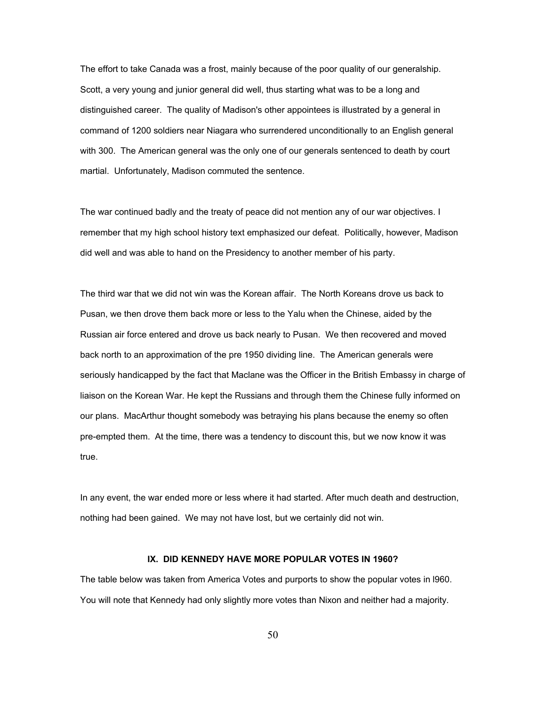The effort to take Canada was a frost, mainly because of the poor quality of our generalship. Scott, a very young and junior general did well, thus starting what was to be a long and distinguished career. The quality of Madison's other appointees is illustrated by a general in command of 1200 soldiers near Niagara who surrendered unconditionally to an English general with 300. The American general was the only one of our generals sentenced to death by court martial. Unfortunately, Madison commuted the sentence.

The war continued badly and the treaty of peace did not mention any of our war objectives. I remember that my high school history text emphasized our defeat. Politically, however, Madison did well and was able to hand on the Presidency to another member of his party.

The third war that we did not win was the Korean affair. The North Koreans drove us back to Pusan, we then drove them back more or less to the Yalu when the Chinese, aided by the Russian air force entered and drove us back nearly to Pusan. We then recovered and moved back north to an approximation of the pre 1950 dividing line. The American generals were seriously handicapped by the fact that Maclane was the Officer in the British Embassy in charge of liaison on the Korean War. He kept the Russians and through them the Chinese fully informed on our plans. MacArthur thought somebody was betraying his plans because the enemy so often pre-empted them. At the time, there was a tendency to discount this, but we now know it was true.

In any event, the war ended more or less where it had started. After much death and destruction, nothing had been gained. We may not have lost, but we certainly did not win.

### **IX. DID KENNEDY HAVE MORE POPULAR VOTES IN 1960?**

The table below was taken from America Votes and purports to show the popular votes in l960. You will note that Kennedy had only slightly more votes than Nixon and neither had a majority.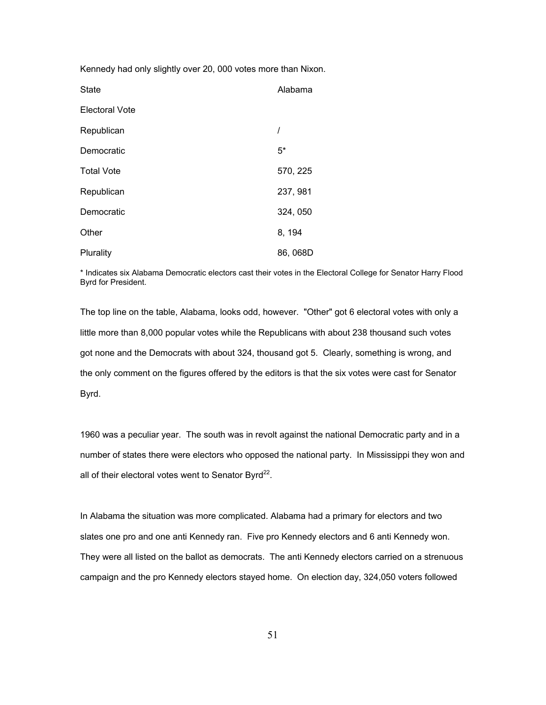Kennedy had only slightly over 20, 000 votes more than Nixon.

| <b>State</b>          | Alabama  |
|-----------------------|----------|
| <b>Electoral Vote</b> |          |
| Republican            | Ι        |
| Democratic            | $5*$     |
| <b>Total Vote</b>     | 570, 225 |
| Republican            | 237, 981 |
| Democratic            | 324, 050 |
| Other                 | 8, 194   |
| Plurality             | 86, 068D |

\* Indicates six Alabama Democratic electors cast their votes in the Electoral College for Senator Harry Flood Byrd for President.

The top line on the table, Alabama, looks odd, however. "Other" got 6 electoral votes with only a little more than 8,000 popular votes while the Republicans with about 238 thousand such votes got none and the Democrats with about 324, thousand got 5. Clearly, something is wrong, and the only comment on the figures offered by the editors is that the six votes were cast for Senator Byrd.

1960 was a peculiar year. The south was in revolt against the national Democratic party and in a number of states there were electors who opposed the national party. In Mississippi they won and all of their electoral votes went to Senator Byrd $^{22}$ .

In Alabama the situation was more complicated. Alabama had a primary for electors and two slates one pro and one anti Kennedy ran. Five pro Kennedy electors and 6 anti Kennedy won. They were all listed on the ballot as democrats. The anti Kennedy electors carried on a strenuous campaign and the pro Kennedy electors stayed home. On election day, 324,050 voters followed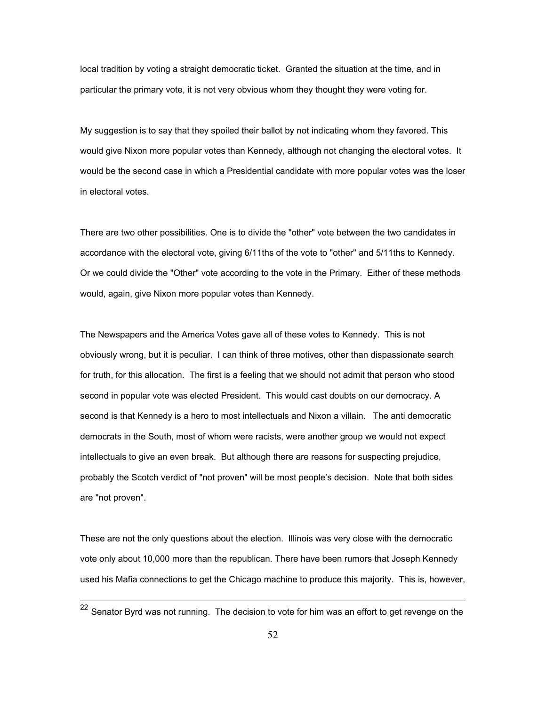local tradition by voting a straight democratic ticket. Granted the situation at the time, and in particular the primary vote, it is not very obvious whom they thought they were voting for.

My suggestion is to say that they spoiled their ballot by not indicating whom they favored. This would give Nixon more popular votes than Kennedy, although not changing the electoral votes. It would be the second case in which a Presidential candidate with more popular votes was the loser in electoral votes.

There are two other possibilities. One is to divide the "other" vote between the two candidates in accordance with the electoral vote, giving 6/11ths of the vote to "other" and 5/11ths to Kennedy. Or we could divide the "Other" vote according to the vote in the Primary. Either of these methods would, again, give Nixon more popular votes than Kennedy.

The Newspapers and the America Votes gave all of these votes to Kennedy. This is not obviously wrong, but it is peculiar. I can think of three motives, other than dispassionate search for truth, for this allocation. The first is a feeling that we should not admit that person who stood second in popular vote was elected President. This would cast doubts on our democracy. A second is that Kennedy is a hero to most intellectuals and Nixon a villain. The anti democratic democrats in the South, most of whom were racists, were another group we would not expect intellectuals to give an even break. But although there are reasons for suspecting prejudice, probably the Scotch verdict of "not proven" will be most people's decision. Note that both sides are "not proven".

These are not the only questions about the election. Illinois was very close with the democratic vote only about 10,000 more than the republican. There have been rumors that Joseph Kennedy used his Mafia connections to get the Chicago machine to produce this majority. This is, however,

 $22$  Senator Byrd was not running. The decision to vote for him was an effort to get revenge on the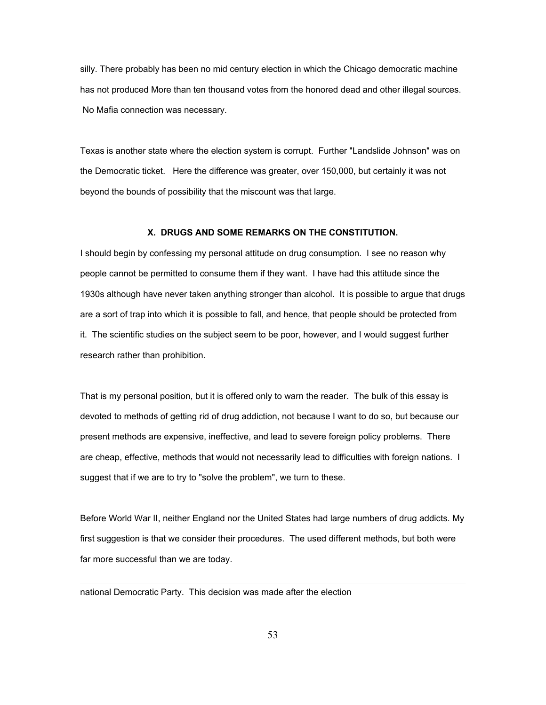silly. There probably has been no mid century election in which the Chicago democratic machine has not produced More than ten thousand votes from the honored dead and other illegal sources. No Mafia connection was necessary.

Texas is another state where the election system is corrupt. Further "Landslide Johnson" was on the Democratic ticket. Here the difference was greater, over 150,000, but certainly it was not beyond the bounds of possibility that the miscount was that large.

### **X. DRUGS AND SOME REMARKS ON THE CONSTITUTION.**

I should begin by confessing my personal attitude on drug consumption. I see no reason why people cannot be permitted to consume them if they want. I have had this attitude since the 1930s although have never taken anything stronger than alcohol. It is possible to argue that drugs are a sort of trap into which it is possible to fall, and hence, that people should be protected from it. The scientific studies on the subject seem to be poor, however, and I would suggest further research rather than prohibition.

That is my personal position, but it is offered only to warn the reader. The bulk of this essay is devoted to methods of getting rid of drug addiction, not because I want to do so, but because our present methods are expensive, ineffective, and lead to severe foreign policy problems. There are cheap, effective, methods that would not necessarily lead to difficulties with foreign nations. I suggest that if we are to try to "solve the problem", we turn to these.

Before World War II, neither England nor the United States had large numbers of drug addicts. My first suggestion is that we consider their procedures. The used different methods, but both were far more successful than we are today.

national Democratic Party. This decision was made after the election

 $\overline{a}$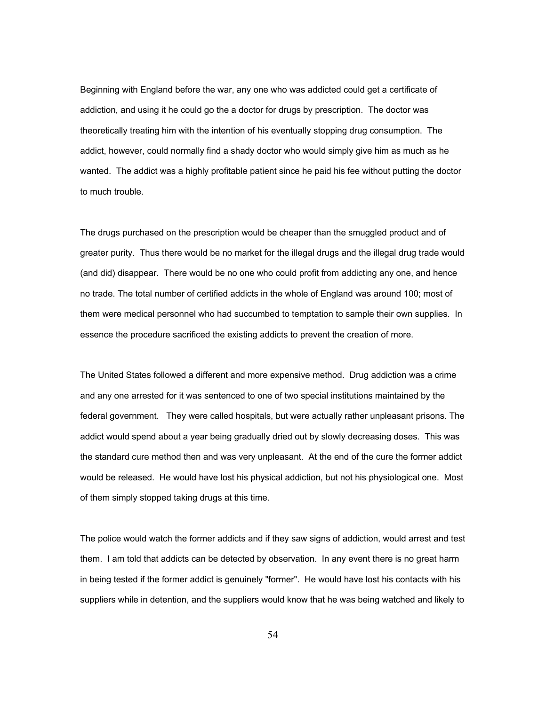Beginning with England before the war, any one who was addicted could get a certificate of addiction, and using it he could go the a doctor for drugs by prescription. The doctor was theoretically treating him with the intention of his eventually stopping drug consumption. The addict, however, could normally find a shady doctor who would simply give him as much as he wanted. The addict was a highly profitable patient since he paid his fee without putting the doctor to much trouble.

The drugs purchased on the prescription would be cheaper than the smuggled product and of greater purity. Thus there would be no market for the illegal drugs and the illegal drug trade would (and did) disappear. There would be no one who could profit from addicting any one, and hence no trade. The total number of certified addicts in the whole of England was around 100; most of them were medical personnel who had succumbed to temptation to sample their own supplies. In essence the procedure sacrificed the existing addicts to prevent the creation of more.

The United States followed a different and more expensive method. Drug addiction was a crime and any one arrested for it was sentenced to one of two special institutions maintained by the federal government. They were called hospitals, but were actually rather unpleasant prisons. The addict would spend about a year being gradually dried out by slowly decreasing doses. This was the standard cure method then and was very unpleasant. At the end of the cure the former addict would be released. He would have lost his physical addiction, but not his physiological one. Most of them simply stopped taking drugs at this time.

The police would watch the former addicts and if they saw signs of addiction, would arrest and test them. I am told that addicts can be detected by observation. In any event there is no great harm in being tested if the former addict is genuinely "former". He would have lost his contacts with his suppliers while in detention, and the suppliers would know that he was being watched and likely to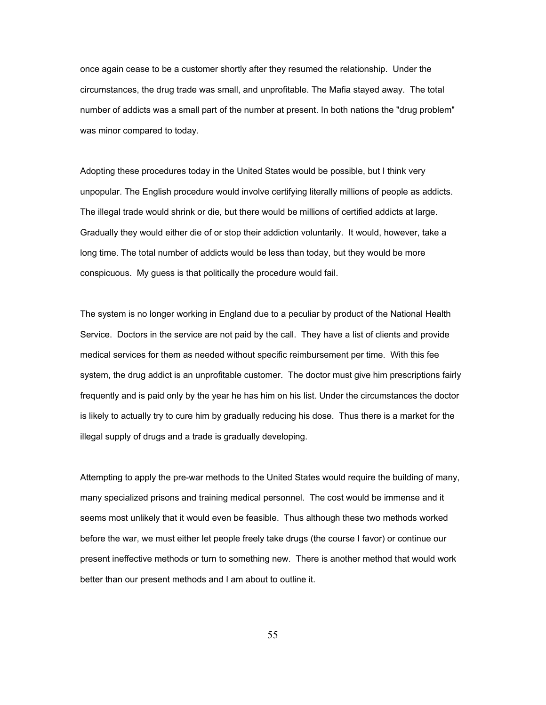once again cease to be a customer shortly after they resumed the relationship. Under the circumstances, the drug trade was small, and unprofitable. The Mafia stayed away. The total number of addicts was a small part of the number at present. In both nations the "drug problem" was minor compared to today.

Adopting these procedures today in the United States would be possible, but I think very unpopular. The English procedure would involve certifying literally millions of people as addicts. The illegal trade would shrink or die, but there would be millions of certified addicts at large. Gradually they would either die of or stop their addiction voluntarily. It would, however, take a long time. The total number of addicts would be less than today, but they would be more conspicuous. My guess is that politically the procedure would fail.

The system is no longer working in England due to a peculiar by product of the National Health Service. Doctors in the service are not paid by the call. They have a list of clients and provide medical services for them as needed without specific reimbursement per time. With this fee system, the drug addict is an unprofitable customer. The doctor must give him prescriptions fairly frequently and is paid only by the year he has him on his list. Under the circumstances the doctor is likely to actually try to cure him by gradually reducing his dose. Thus there is a market for the illegal supply of drugs and a trade is gradually developing.

Attempting to apply the pre-war methods to the United States would require the building of many, many specialized prisons and training medical personnel. The cost would be immense and it seems most unlikely that it would even be feasible. Thus although these two methods worked before the war, we must either let people freely take drugs (the course I favor) or continue our present ineffective methods or turn to something new. There is another method that would work better than our present methods and I am about to outline it.

55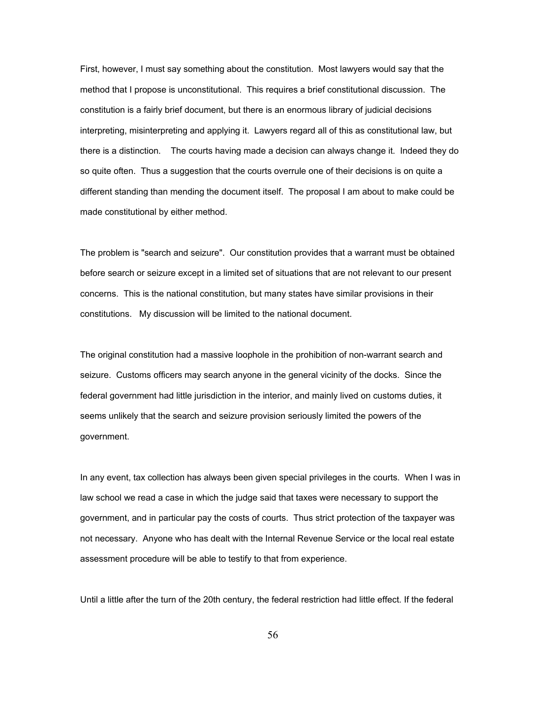First, however, I must say something about the constitution. Most lawyers would say that the method that I propose is unconstitutional. This requires a brief constitutional discussion. The constitution is a fairly brief document, but there is an enormous library of judicial decisions interpreting, misinterpreting and applying it. Lawyers regard all of this as constitutional law, but there is a distinction. The courts having made a decision can always change it. Indeed they do so quite often. Thus a suggestion that the courts overrule one of their decisions is on quite a different standing than mending the document itself. The proposal I am about to make could be made constitutional by either method.

The problem is "search and seizure". Our constitution provides that a warrant must be obtained before search or seizure except in a limited set of situations that are not relevant to our present concerns. This is the national constitution, but many states have similar provisions in their constitutions. My discussion will be limited to the national document.

The original constitution had a massive loophole in the prohibition of non-warrant search and seizure. Customs officers may search anyone in the general vicinity of the docks. Since the federal government had little jurisdiction in the interior, and mainly lived on customs duties, it seems unlikely that the search and seizure provision seriously limited the powers of the government.

In any event, tax collection has always been given special privileges in the courts. When I was in law school we read a case in which the judge said that taxes were necessary to support the government, and in particular pay the costs of courts. Thus strict protection of the taxpayer was not necessary. Anyone who has dealt with the Internal Revenue Service or the local real estate assessment procedure will be able to testify to that from experience.

Until a little after the turn of the 20th century, the federal restriction had little effect. If the federal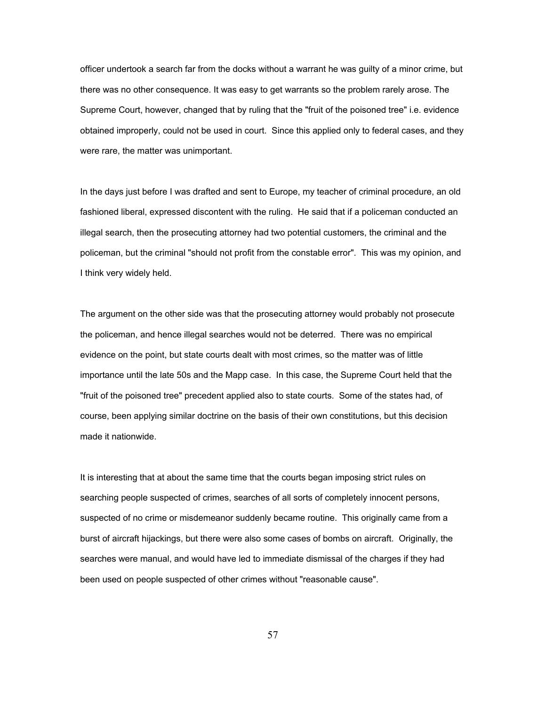officer undertook a search far from the docks without a warrant he was guilty of a minor crime, but there was no other consequence. It was easy to get warrants so the problem rarely arose. The Supreme Court, however, changed that by ruling that the "fruit of the poisoned tree" i.e. evidence obtained improperly, could not be used in court. Since this applied only to federal cases, and they were rare, the matter was unimportant.

In the days just before I was drafted and sent to Europe, my teacher of criminal procedure, an old fashioned liberal, expressed discontent with the ruling. He said that if a policeman conducted an illegal search, then the prosecuting attorney had two potential customers, the criminal and the policeman, but the criminal "should not profit from the constable error". This was my opinion, and I think very widely held.

The argument on the other side was that the prosecuting attorney would probably not prosecute the policeman, and hence illegal searches would not be deterred. There was no empirical evidence on the point, but state courts dealt with most crimes, so the matter was of little importance until the late 50s and the Mapp case. In this case, the Supreme Court held that the "fruit of the poisoned tree" precedent applied also to state courts. Some of the states had, of course, been applying similar doctrine on the basis of their own constitutions, but this decision made it nationwide.

It is interesting that at about the same time that the courts began imposing strict rules on searching people suspected of crimes, searches of all sorts of completely innocent persons, suspected of no crime or misdemeanor suddenly became routine. This originally came from a burst of aircraft hijackings, but there were also some cases of bombs on aircraft. Originally, the searches were manual, and would have led to immediate dismissal of the charges if they had been used on people suspected of other crimes without "reasonable cause".

57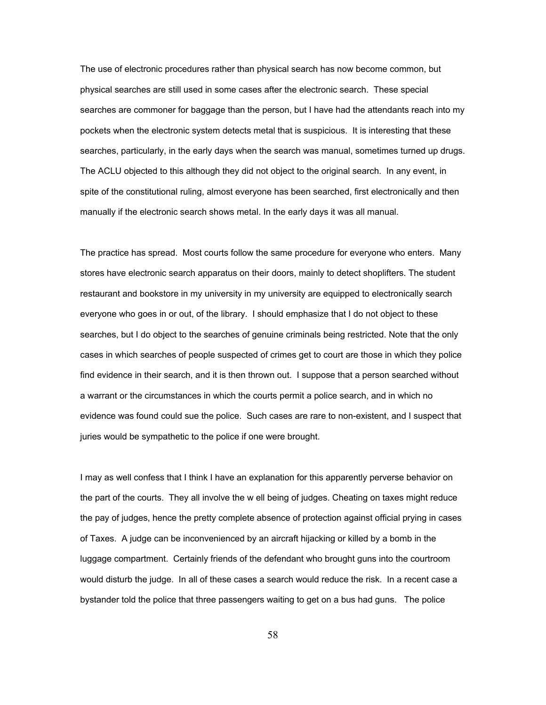The use of electronic procedures rather than physical search has now become common, but physical searches are still used in some cases after the electronic search. These special searches are commoner for baggage than the person, but I have had the attendants reach into my pockets when the electronic system detects metal that is suspicious. It is interesting that these searches, particularly, in the early days when the search was manual, sometimes turned up drugs. The ACLU objected to this although they did not object to the original search. In any event, in spite of the constitutional ruling, almost everyone has been searched, first electronically and then manually if the electronic search shows metal. In the early days it was all manual.

The practice has spread. Most courts follow the same procedure for everyone who enters. Many stores have electronic search apparatus on their doors, mainly to detect shoplifters. The student restaurant and bookstore in my university in my university are equipped to electronically search everyone who goes in or out, of the library. I should emphasize that I do not object to these searches, but I do object to the searches of genuine criminals being restricted. Note that the only cases in which searches of people suspected of crimes get to court are those in which they police find evidence in their search, and it is then thrown out. I suppose that a person searched without a warrant or the circumstances in which the courts permit a police search, and in which no evidence was found could sue the police. Such cases are rare to non-existent, and I suspect that juries would be sympathetic to the police if one were brought.

I may as well confess that I think I have an explanation for this apparently perverse behavior on the part of the courts. They all involve the w ell being of judges. Cheating on taxes might reduce the pay of judges, hence the pretty complete absence of protection against official prying in cases of Taxes. A judge can be inconvenienced by an aircraft hijacking or killed by a bomb in the luggage compartment. Certainly friends of the defendant who brought guns into the courtroom would disturb the judge. In all of these cases a search would reduce the risk. In a recent case a bystander told the police that three passengers waiting to get on a bus had guns. The police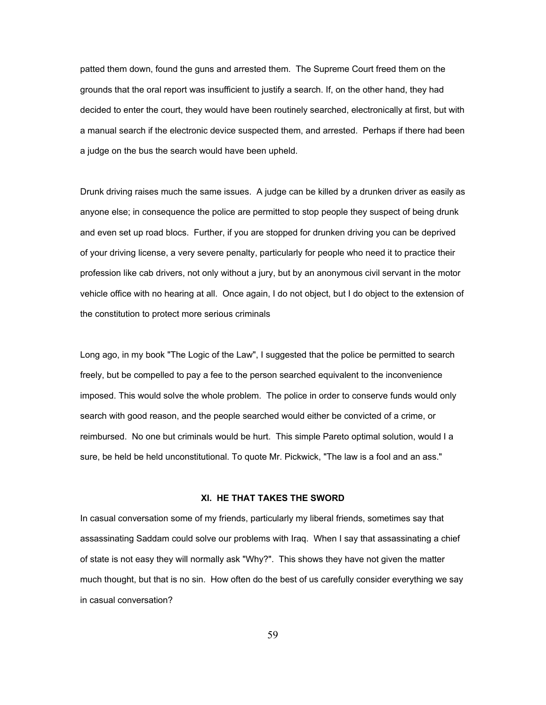patted them down, found the guns and arrested them. The Supreme Court freed them on the grounds that the oral report was insufficient to justify a search. If, on the other hand, they had decided to enter the court, they would have been routinely searched, electronically at first, but with a manual search if the electronic device suspected them, and arrested. Perhaps if there had been a judge on the bus the search would have been upheld.

Drunk driving raises much the same issues. A judge can be killed by a drunken driver as easily as anyone else; in consequence the police are permitted to stop people they suspect of being drunk and even set up road blocs. Further, if you are stopped for drunken driving you can be deprived of your driving license, a very severe penalty, particularly for people who need it to practice their profession like cab drivers, not only without a jury, but by an anonymous civil servant in the motor vehicle office with no hearing at all. Once again, I do not object, but I do object to the extension of the constitution to protect more serious criminals

Long ago, in my book "The Logic of the Law", I suggested that the police be permitted to search freely, but be compelled to pay a fee to the person searched equivalent to the inconvenience imposed. This would solve the whole problem. The police in order to conserve funds would only search with good reason, and the people searched would either be convicted of a crime, or reimbursed. No one but criminals would be hurt. This simple Pareto optimal solution, would I a sure, be held be held unconstitutional. To quote Mr. Pickwick, "The law is a fool and an ass."

#### **XI. HE THAT TAKES THE SWORD**

In casual conversation some of my friends, particularly my liberal friends, sometimes say that assassinating Saddam could solve our problems with Iraq. When I say that assassinating a chief of state is not easy they will normally ask "Why?". This shows they have not given the matter much thought, but that is no sin. How often do the best of us carefully consider everything we say in casual conversation?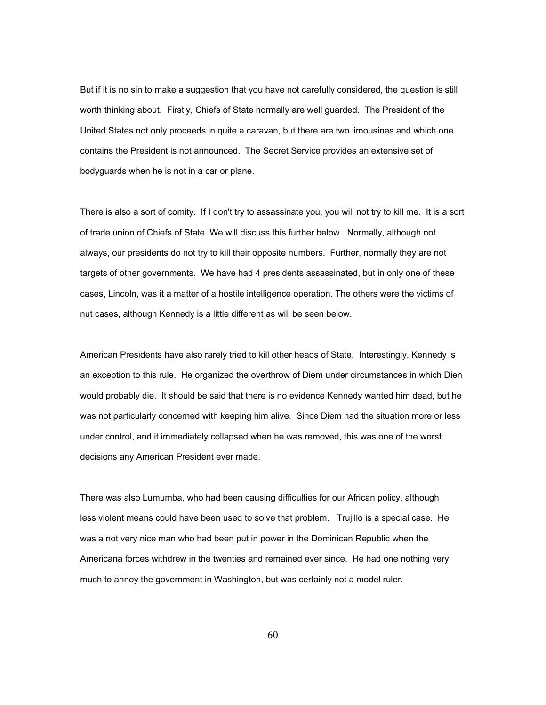But if it is no sin to make a suggestion that you have not carefully considered, the question is still worth thinking about. Firstly, Chiefs of State normally are well guarded. The President of the United States not only proceeds in quite a caravan, but there are two limousines and which one contains the President is not announced. The Secret Service provides an extensive set of bodyguards when he is not in a car or plane.

There is also a sort of comity. If I don't try to assassinate you, you will not try to kill me. It is a sort of trade union of Chiefs of State. We will discuss this further below. Normally, although not always, our presidents do not try to kill their opposite numbers. Further, normally they are not targets of other governments. We have had 4 presidents assassinated, but in only one of these cases, Lincoln, was it a matter of a hostile intelligence operation. The others were the victims of nut cases, although Kennedy is a little different as will be seen below.

American Presidents have also rarely tried to kill other heads of State. Interestingly, Kennedy is an exception to this rule. He organized the overthrow of Diem under circumstances in which Dien would probably die. It should be said that there is no evidence Kennedy wanted him dead, but he was not particularly concerned with keeping him alive. Since Diem had the situation more or less under control, and it immediately collapsed when he was removed, this was one of the worst decisions any American President ever made.

There was also Lumumba, who had been causing difficulties for our African policy, although less violent means could have been used to solve that problem. Trujillo is a special case. He was a not very nice man who had been put in power in the Dominican Republic when the Americana forces withdrew in the twenties and remained ever since. He had one nothing very much to annoy the government in Washington, but was certainly not a model ruler.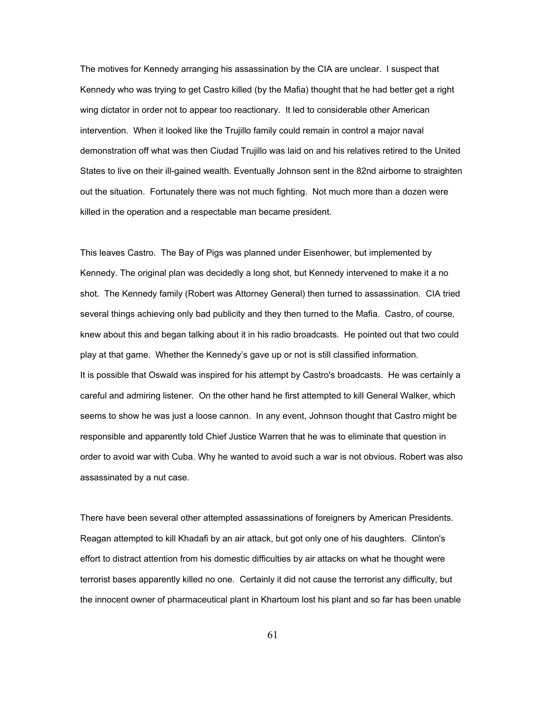The motives for Kennedy arranging his assassination by the CIA are unclear. I suspect that Kennedy who was trying to get Castro killed (by the Mafia) thought that he had better get a right wing dictator in order not to appear too reactionary. It led to considerable other American intervention. When it looked like the Trujillo family could remain in control a major naval demonstration off what was then Ciudad Trujillo was laid on and his relatives retired to the United States to live on their ill-gained wealth. Eventually Johnson sent in the 82nd airborne to straighten out the situation. Fortunately there was not much fighting. Not much more than a dozen were killed in the operation and a respectable man became president.

This leaves Castro. The Bay of Pigs was planned under Eisenhower, but implemented by Kennedy. The original plan was decidedly a long shot, but Kennedy intervened to make it a no shot. The Kennedy family (Robert was Attorney General) then turned to assassination. CIA tried several things achieving only bad publicity and they then turned to the Mafia. Castro, of course, knew about this and began talking about it in his radio broadcasts. He pointed out that two could play at that game. Whether the Kennedy's gave up or not is still classified information. It is possible that Oswald was inspired for his attempt by Castro's broadcasts. He was certainly a careful and admiring listener. On the other hand he first attempted to kill General Walker, which seems to show he was just a loose cannon. In any event, Johnson thought that Castro might be responsible and apparently told Chief Justice Warren that he was to eliminate that question in order to avoid war with Cuba. Why he wanted to avoid such a war is not obvious. Robert was also assassinated by a nut case.

There have been several other attempted assassinations of foreigners by American Presidents. Reagan attempted to kill Khadafi by an air attack, but got only one of his daughters. Clinton's effort to distract attention from his domestic difficulties by air attacks on what he thought were terrorist bases apparently killed no one. Certainly it did not cause the terrorist any difficulty, but the innocent owner of pharmaceutical plant in Khartoum lost his plant and so far has been unable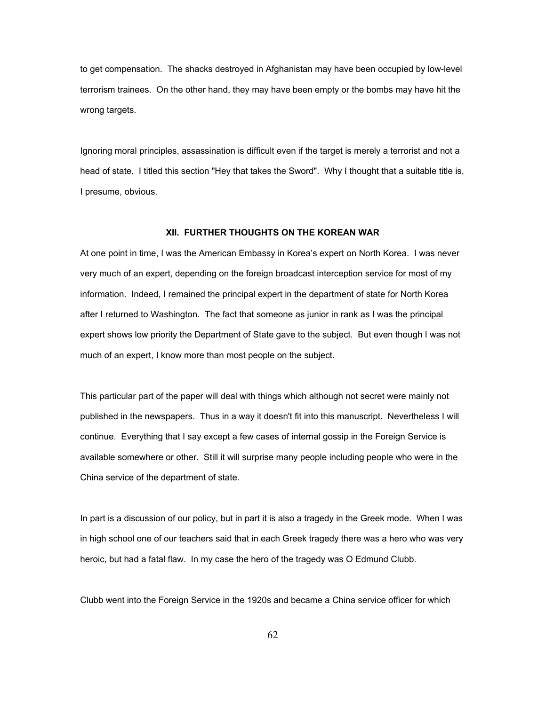to get compensation. The shacks destroyed in Afghanistan may have been occupied by low-level terrorism trainees. On the other hand, they may have been empty or the bombs may have hit the wrong targets.

Ignoring moral principles, assassination is difficult even if the target is merely a terrorist and not a head of state. I titled this section "Hey that takes the Sword". Why I thought that a suitable title is, I presume, obvious.

## **XII. FURTHER THOUGHTS ON THE KOREAN WAR**

At one point in time, I was the American Embassy in Korea's expert on North Korea. I was never very much of an expert, depending on the foreign broadcast interception service for most of my information. Indeed, I remained the principal expert in the department of state for North Korea after I returned to Washington. The fact that someone as junior in rank as I was the principal expert shows low priority the Department of State gave to the subject. But even though I was not much of an expert, I know more than most people on the subject.

This particular part of the paper will deal with things which although not secret were mainly not published in the newspapers. Thus in a way it doesn't fit into this manuscript. Nevertheless I will continue. Everything that I say except a few cases of internal gossip in the Foreign Service is available somewhere or other. Still it will surprise many people including people who were in the China service of the department of state.

In part is a discussion of our policy, but in part it is also a tragedy in the Greek mode. When I was in high school one of our teachers said that in each Greek tragedy there was a hero who was very heroic, but had a fatal flaw. In my case the hero of the tragedy was O Edmund Clubb.

Clubb went into the Foreign Service in the 1920s and became a China service officer for which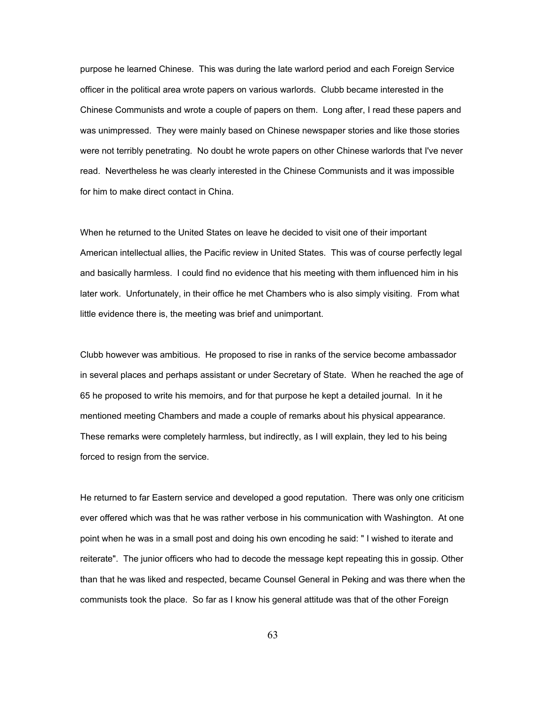purpose he learned Chinese. This was during the late warlord period and each Foreign Service officer in the political area wrote papers on various warlords. Clubb became interested in the Chinese Communists and wrote a couple of papers on them. Long after, I read these papers and was unimpressed. They were mainly based on Chinese newspaper stories and like those stories were not terribly penetrating. No doubt he wrote papers on other Chinese warlords that I've never read. Nevertheless he was clearly interested in the Chinese Communists and it was impossible for him to make direct contact in China.

When he returned to the United States on leave he decided to visit one of their important American intellectual allies, the Pacific review in United States. This was of course perfectly legal and basically harmless. I could find no evidence that his meeting with them influenced him in his later work. Unfortunately, in their office he met Chambers who is also simply visiting. From what little evidence there is, the meeting was brief and unimportant.

Clubb however was ambitious. He proposed to rise in ranks of the service become ambassador in several places and perhaps assistant or under Secretary of State. When he reached the age of 65 he proposed to write his memoirs, and for that purpose he kept a detailed journal. In it he mentioned meeting Chambers and made a couple of remarks about his physical appearance. These remarks were completely harmless, but indirectly, as I will explain, they led to his being forced to resign from the service.

He returned to far Eastern service and developed a good reputation. There was only one criticism ever offered which was that he was rather verbose in his communication with Washington. At one point when he was in a small post and doing his own encoding he said: " I wished to iterate and reiterate". The junior officers who had to decode the message kept repeating this in gossip. Other than that he was liked and respected, became Counsel General in Peking and was there when the communists took the place. So far as I know his general attitude was that of the other Foreign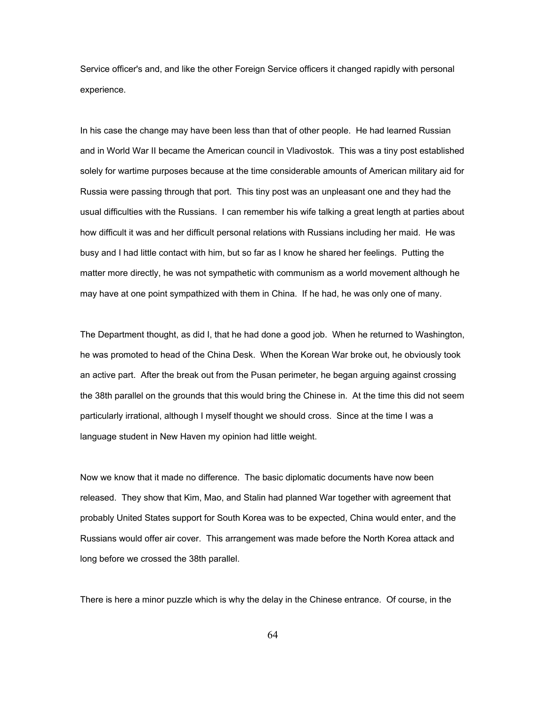Service officer's and, and like the other Foreign Service officers it changed rapidly with personal experience.

In his case the change may have been less than that of other people. He had learned Russian and in World War II became the American council in Vladivostok. This was a tiny post established solely for wartime purposes because at the time considerable amounts of American military aid for Russia were passing through that port. This tiny post was an unpleasant one and they had the usual difficulties with the Russians. I can remember his wife talking a great length at parties about how difficult it was and her difficult personal relations with Russians including her maid. He was busy and I had little contact with him, but so far as I know he shared her feelings. Putting the matter more directly, he was not sympathetic with communism as a world movement although he may have at one point sympathized with them in China. If he had, he was only one of many.

The Department thought, as did I, that he had done a good job. When he returned to Washington, he was promoted to head of the China Desk. When the Korean War broke out, he obviously took an active part. After the break out from the Pusan perimeter, he began arguing against crossing the 38th parallel on the grounds that this would bring the Chinese in. At the time this did not seem particularly irrational, although I myself thought we should cross. Since at the time I was a language student in New Haven my opinion had little weight.

Now we know that it made no difference. The basic diplomatic documents have now been released. They show that Kim, Mao, and Stalin had planned War together with agreement that probably United States support for South Korea was to be expected, China would enter, and the Russians would offer air cover. This arrangement was made before the North Korea attack and long before we crossed the 38th parallel.

There is here a minor puzzle which is why the delay in the Chinese entrance. Of course, in the

64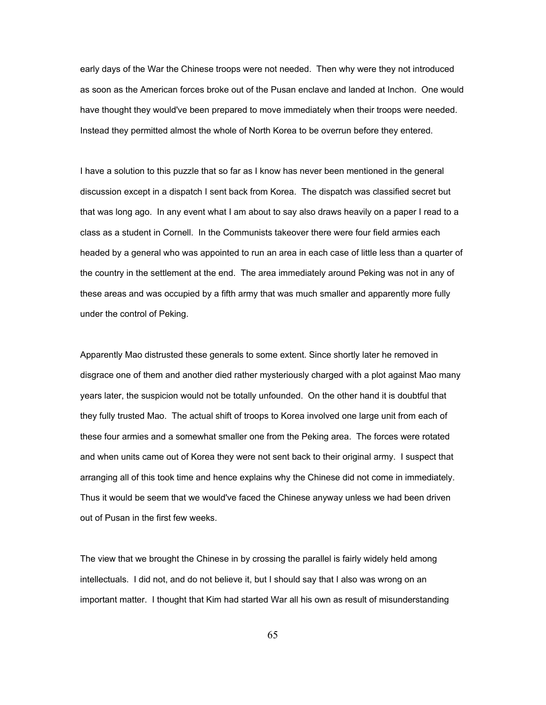early days of the War the Chinese troops were not needed. Then why were they not introduced as soon as the American forces broke out of the Pusan enclave and landed at Inchon. One would have thought they would've been prepared to move immediately when their troops were needed. Instead they permitted almost the whole of North Korea to be overrun before they entered.

I have a solution to this puzzle that so far as I know has never been mentioned in the general discussion except in a dispatch I sent back from Korea. The dispatch was classified secret but that was long ago. In any event what I am about to say also draws heavily on a paper I read to a class as a student in Cornell. In the Communists takeover there were four field armies each headed by a general who was appointed to run an area in each case of little less than a quarter of the country in the settlement at the end. The area immediately around Peking was not in any of these areas and was occupied by a fifth army that was much smaller and apparently more fully under the control of Peking.

Apparently Mao distrusted these generals to some extent. Since shortly later he removed in disgrace one of them and another died rather mysteriously charged with a plot against Mao many years later, the suspicion would not be totally unfounded. On the other hand it is doubtful that they fully trusted Mao. The actual shift of troops to Korea involved one large unit from each of these four armies and a somewhat smaller one from the Peking area. The forces were rotated and when units came out of Korea they were not sent back to their original army. I suspect that arranging all of this took time and hence explains why the Chinese did not come in immediately. Thus it would be seem that we would've faced the Chinese anyway unless we had been driven out of Pusan in the first few weeks.

The view that we brought the Chinese in by crossing the parallel is fairly widely held among intellectuals. I did not, and do not believe it, but I should say that I also was wrong on an important matter. I thought that Kim had started War all his own as result of misunderstanding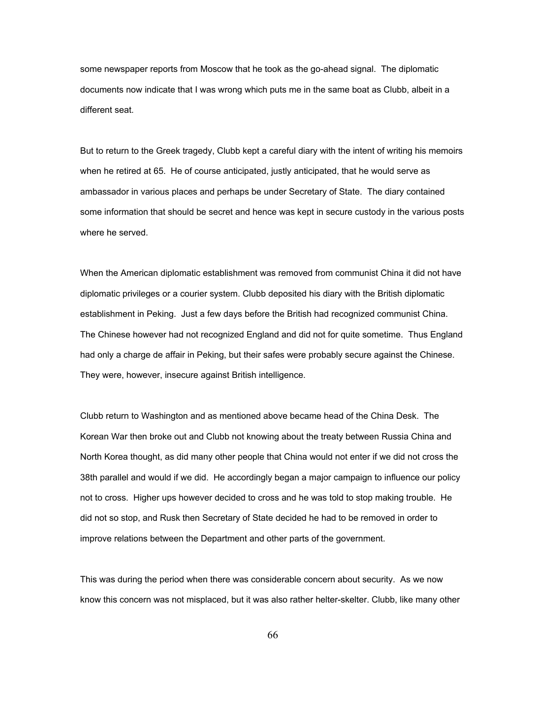some newspaper reports from Moscow that he took as the go-ahead signal. The diplomatic documents now indicate that I was wrong which puts me in the same boat as Clubb, albeit in a different seat.

But to return to the Greek tragedy, Clubb kept a careful diary with the intent of writing his memoirs when he retired at 65. He of course anticipated, justly anticipated, that he would serve as ambassador in various places and perhaps be under Secretary of State. The diary contained some information that should be secret and hence was kept in secure custody in the various posts where he served.

When the American diplomatic establishment was removed from communist China it did not have diplomatic privileges or a courier system. Clubb deposited his diary with the British diplomatic establishment in Peking. Just a few days before the British had recognized communist China. The Chinese however had not recognized England and did not for quite sometime. Thus England had only a charge de affair in Peking, but their safes were probably secure against the Chinese. They were, however, insecure against British intelligence.

Clubb return to Washington and as mentioned above became head of the China Desk. The Korean War then broke out and Clubb not knowing about the treaty between Russia China and North Korea thought, as did many other people that China would not enter if we did not cross the 38th parallel and would if we did. He accordingly began a major campaign to influence our policy not to cross. Higher ups however decided to cross and he was told to stop making trouble. He did not so stop, and Rusk then Secretary of State decided he had to be removed in order to improve relations between the Department and other parts of the government.

This was during the period when there was considerable concern about security. As we now know this concern was not misplaced, but it was also rather helter-skelter. Clubb, like many other

66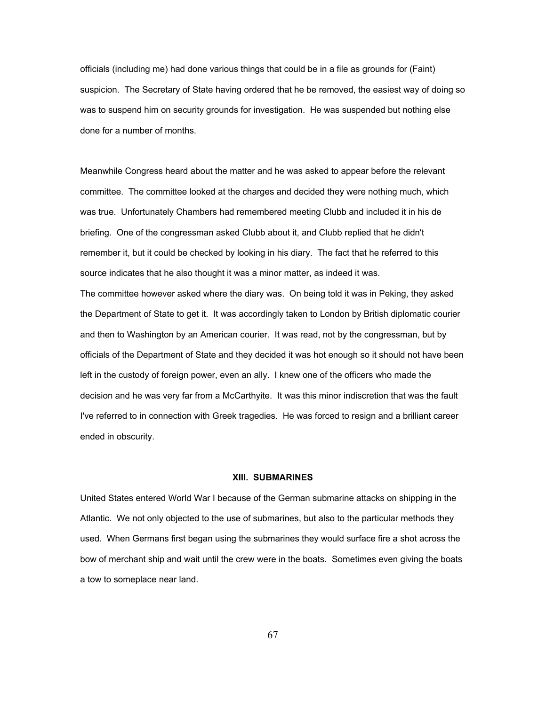officials (including me) had done various things that could be in a file as grounds for (Faint) suspicion. The Secretary of State having ordered that he be removed, the easiest way of doing so was to suspend him on security grounds for investigation. He was suspended but nothing else done for a number of months.

Meanwhile Congress heard about the matter and he was asked to appear before the relevant committee. The committee looked at the charges and decided they were nothing much, which was true. Unfortunately Chambers had remembered meeting Clubb and included it in his de briefing. One of the congressman asked Clubb about it, and Clubb replied that he didn't remember it, but it could be checked by looking in his diary. The fact that he referred to this source indicates that he also thought it was a minor matter, as indeed it was. The committee however asked where the diary was. On being told it was in Peking, they asked the Department of State to get it. It was accordingly taken to London by British diplomatic courier and then to Washington by an American courier. It was read, not by the congressman, but by officials of the Department of State and they decided it was hot enough so it should not have been left in the custody of foreign power, even an ally. I knew one of the officers who made the decision and he was very far from a McCarthyite. It was this minor indiscretion that was the fault I've referred to in connection with Greek tragedies. He was forced to resign and a brilliant career ended in obscurity.

#### **XIII. SUBMARINES**

United States entered World War I because of the German submarine attacks on shipping in the Atlantic. We not only objected to the use of submarines, but also to the particular methods they used. When Germans first began using the submarines they would surface fire a shot across the bow of merchant ship and wait until the crew were in the boats. Sometimes even giving the boats a tow to someplace near land.

67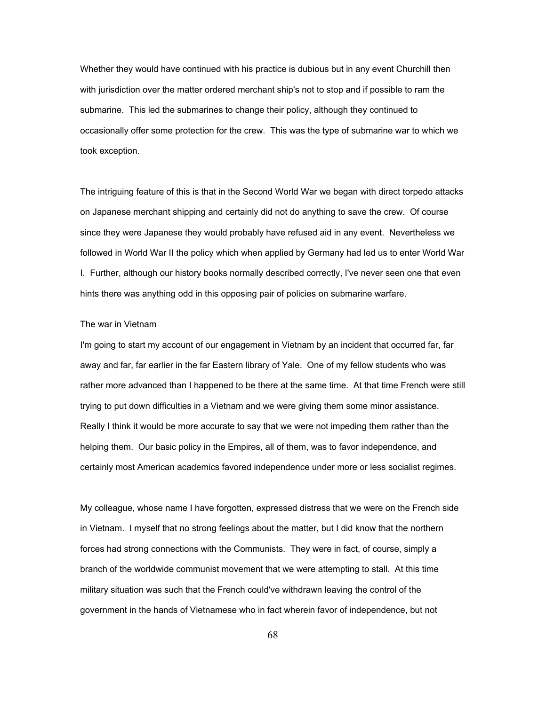Whether they would have continued with his practice is dubious but in any event Churchill then with jurisdiction over the matter ordered merchant ship's not to stop and if possible to ram the submarine. This led the submarines to change their policy, although they continued to occasionally offer some protection for the crew. This was the type of submarine war to which we took exception.

The intriguing feature of this is that in the Second World War we began with direct torpedo attacks on Japanese merchant shipping and certainly did not do anything to save the crew. Of course since they were Japanese they would probably have refused aid in any event. Nevertheless we followed in World War II the policy which when applied by Germany had led us to enter World War I. Further, although our history books normally described correctly, I've never seen one that even hints there was anything odd in this opposing pair of policies on submarine warfare.

## The war in Vietnam

I'm going to start my account of our engagement in Vietnam by an incident that occurred far, far away and far, far earlier in the far Eastern library of Yale. One of my fellow students who was rather more advanced than I happened to be there at the same time. At that time French were still trying to put down difficulties in a Vietnam and we were giving them some minor assistance. Really I think it would be more accurate to say that we were not impeding them rather than the helping them. Our basic policy in the Empires, all of them, was to favor independence, and certainly most American academics favored independence under more or less socialist regimes.

My colleague, whose name I have forgotten, expressed distress that we were on the French side in Vietnam. I myself that no strong feelings about the matter, but I did know that the northern forces had strong connections with the Communists. They were in fact, of course, simply a branch of the worldwide communist movement that we were attempting to stall. At this time military situation was such that the French could've withdrawn leaving the control of the government in the hands of Vietnamese who in fact wherein favor of independence, but not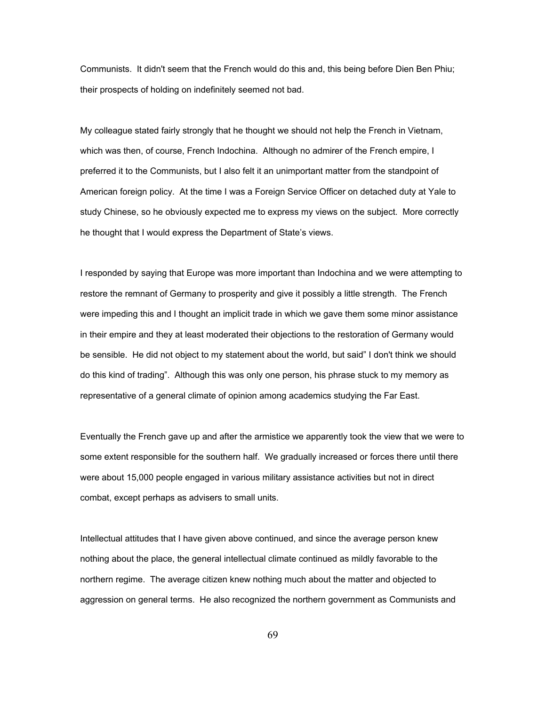Communists. It didn't seem that the French would do this and, this being before Dien Ben Phiu; their prospects of holding on indefinitely seemed not bad.

My colleague stated fairly strongly that he thought we should not help the French in Vietnam, which was then, of course, French Indochina. Although no admirer of the French empire, I preferred it to the Communists, but I also felt it an unimportant matter from the standpoint of American foreign policy. At the time I was a Foreign Service Officer on detached duty at Yale to study Chinese, so he obviously expected me to express my views on the subject. More correctly he thought that I would express the Department of State's views.

I responded by saying that Europe was more important than Indochina and we were attempting to restore the remnant of Germany to prosperity and give it possibly a little strength. The French were impeding this and I thought an implicit trade in which we gave them some minor assistance in their empire and they at least moderated their objections to the restoration of Germany would be sensible. He did not object to my statement about the world, but said" I don't think we should do this kind of trading". Although this was only one person, his phrase stuck to my memory as representative of a general climate of opinion among academics studying the Far East.

Eventually the French gave up and after the armistice we apparently took the view that we were to some extent responsible for the southern half. We gradually increased or forces there until there were about 15,000 people engaged in various military assistance activities but not in direct combat, except perhaps as advisers to small units.

Intellectual attitudes that I have given above continued, and since the average person knew nothing about the place, the general intellectual climate continued as mildly favorable to the northern regime. The average citizen knew nothing much about the matter and objected to aggression on general terms. He also recognized the northern government as Communists and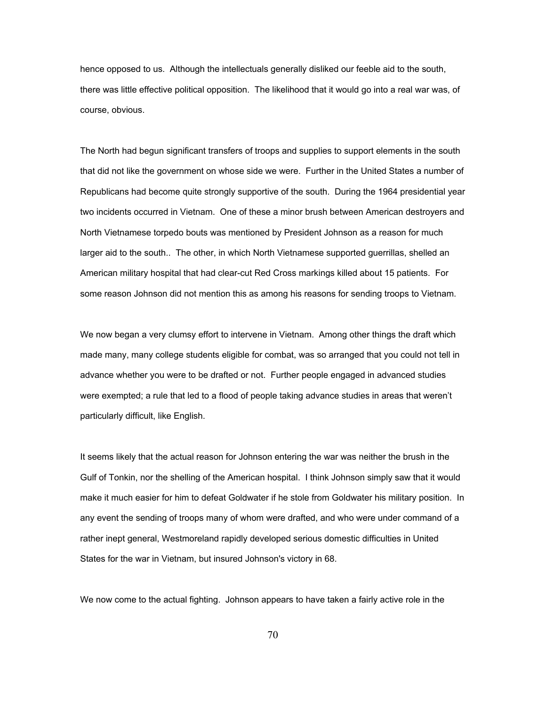hence opposed to us. Although the intellectuals generally disliked our feeble aid to the south, there was little effective political opposition. The likelihood that it would go into a real war was, of course, obvious.

The North had begun significant transfers of troops and supplies to support elements in the south that did not like the government on whose side we were. Further in the United States a number of Republicans had become quite strongly supportive of the south. During the 1964 presidential year two incidents occurred in Vietnam. One of these a minor brush between American destroyers and North Vietnamese torpedo bouts was mentioned by President Johnson as a reason for much larger aid to the south.. The other, in which North Vietnamese supported guerrillas, shelled an American military hospital that had clear-cut Red Cross markings killed about 15 patients. For some reason Johnson did not mention this as among his reasons for sending troops to Vietnam.

We now began a very clumsy effort to intervene in Vietnam. Among other things the draft which made many, many college students eligible for combat, was so arranged that you could not tell in advance whether you were to be drafted or not. Further people engaged in advanced studies were exempted; a rule that led to a flood of people taking advance studies in areas that weren't particularly difficult, like English.

It seems likely that the actual reason for Johnson entering the war was neither the brush in the Gulf of Tonkin, nor the shelling of the American hospital. I think Johnson simply saw that it would make it much easier for him to defeat Goldwater if he stole from Goldwater his military position. In any event the sending of troops many of whom were drafted, and who were under command of a rather inept general, Westmoreland rapidly developed serious domestic difficulties in United States for the war in Vietnam, but insured Johnson's victory in 68.

We now come to the actual fighting. Johnson appears to have taken a fairly active role in the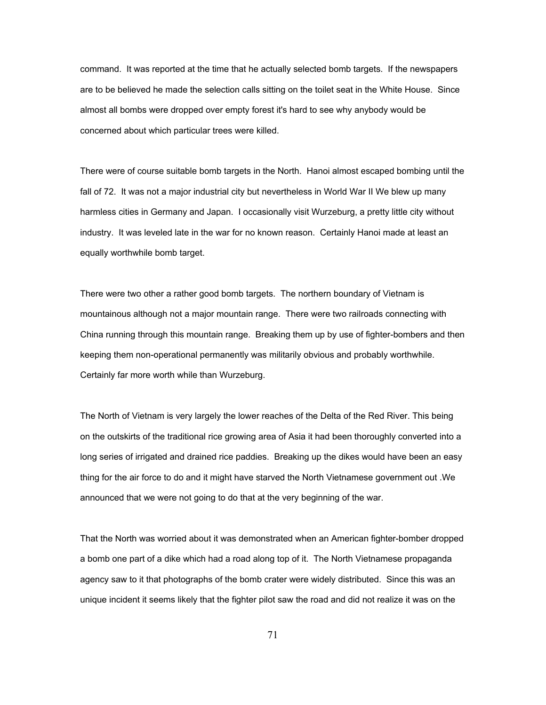command. It was reported at the time that he actually selected bomb targets. If the newspapers are to be believed he made the selection calls sitting on the toilet seat in the White House. Since almost all bombs were dropped over empty forest it's hard to see why anybody would be concerned about which particular trees were killed.

There were of course suitable bomb targets in the North. Hanoi almost escaped bombing until the fall of 72. It was not a major industrial city but nevertheless in World War II We blew up many harmless cities in Germany and Japan. I occasionally visit Wurzeburg, a pretty little city without industry. It was leveled late in the war for no known reason. Certainly Hanoi made at least an equally worthwhile bomb target.

There were two other a rather good bomb targets. The northern boundary of Vietnam is mountainous although not a major mountain range. There were two railroads connecting with China running through this mountain range. Breaking them up by use of fighter-bombers and then keeping them non-operational permanently was militarily obvious and probably worthwhile. Certainly far more worth while than Wurzeburg.

The North of Vietnam is very largely the lower reaches of the Delta of the Red River. This being on the outskirts of the traditional rice growing area of Asia it had been thoroughly converted into a long series of irrigated and drained rice paddies. Breaking up the dikes would have been an easy thing for the air force to do and it might have starved the North Vietnamese government out .We announced that we were not going to do that at the very beginning of the war.

That the North was worried about it was demonstrated when an American fighter-bomber dropped a bomb one part of a dike which had a road along top of it. The North Vietnamese propaganda agency saw to it that photographs of the bomb crater were widely distributed. Since this was an unique incident it seems likely that the fighter pilot saw the road and did not realize it was on the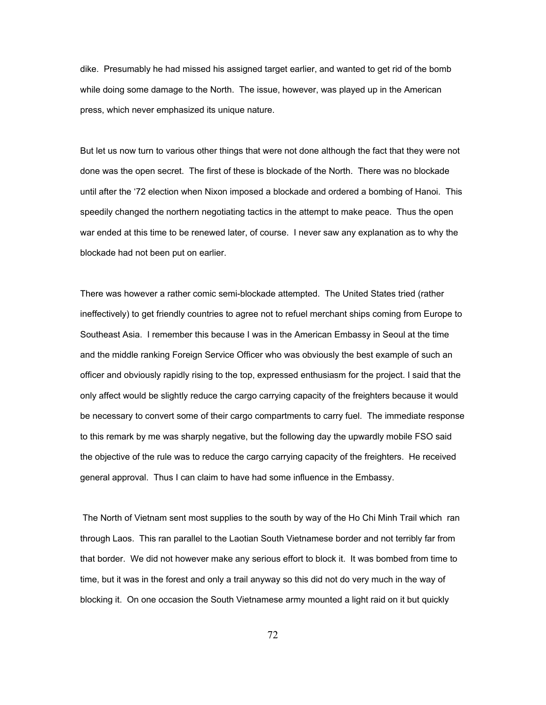dike. Presumably he had missed his assigned target earlier, and wanted to get rid of the bomb while doing some damage to the North. The issue, however, was played up in the American press, which never emphasized its unique nature.

But let us now turn to various other things that were not done although the fact that they were not done was the open secret. The first of these is blockade of the North. There was no blockade until after the '72 election when Nixon imposed a blockade and ordered a bombing of Hanoi. This speedily changed the northern negotiating tactics in the attempt to make peace. Thus the open war ended at this time to be renewed later, of course. I never saw any explanation as to why the blockade had not been put on earlier.

There was however a rather comic semi-blockade attempted. The United States tried (rather ineffectively) to get friendly countries to agree not to refuel merchant ships coming from Europe to Southeast Asia. I remember this because I was in the American Embassy in Seoul at the time and the middle ranking Foreign Service Officer who was obviously the best example of such an officer and obviously rapidly rising to the top, expressed enthusiasm for the project. I said that the only affect would be slightly reduce the cargo carrying capacity of the freighters because it would be necessary to convert some of their cargo compartments to carry fuel. The immediate response to this remark by me was sharply negative, but the following day the upwardly mobile FSO said the objective of the rule was to reduce the cargo carrying capacity of the freighters. He received general approval. Thus I can claim to have had some influence in the Embassy.

 The North of Vietnam sent most supplies to the south by way of the Ho Chi Minh Trail which ran through Laos. This ran parallel to the Laotian South Vietnamese border and not terribly far from that border. We did not however make any serious effort to block it. It was bombed from time to time, but it was in the forest and only a trail anyway so this did not do very much in the way of blocking it. On one occasion the South Vietnamese army mounted a light raid on it but quickly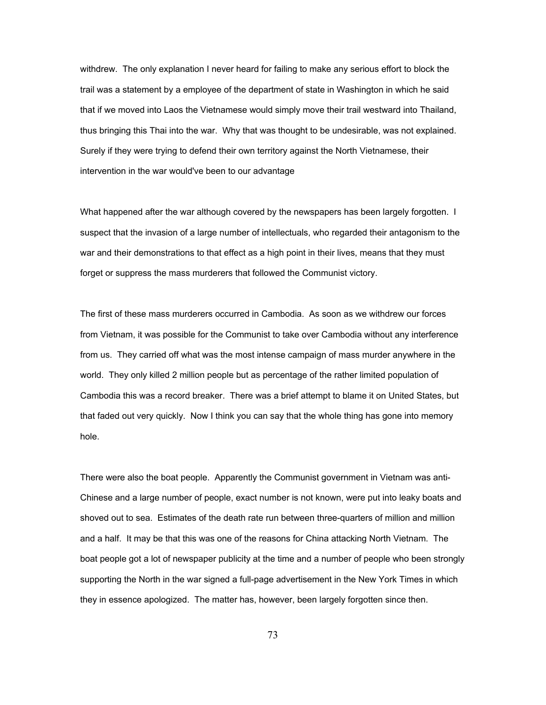withdrew. The only explanation I never heard for failing to make any serious effort to block the trail was a statement by a employee of the department of state in Washington in which he said that if we moved into Laos the Vietnamese would simply move their trail westward into Thailand, thus bringing this Thai into the war. Why that was thought to be undesirable, was not explained. Surely if they were trying to defend their own territory against the North Vietnamese, their intervention in the war would've been to our advantage

What happened after the war although covered by the newspapers has been largely forgotten. I suspect that the invasion of a large number of intellectuals, who regarded their antagonism to the war and their demonstrations to that effect as a high point in their lives, means that they must forget or suppress the mass murderers that followed the Communist victory.

The first of these mass murderers occurred in Cambodia. As soon as we withdrew our forces from Vietnam, it was possible for the Communist to take over Cambodia without any interference from us. They carried off what was the most intense campaign of mass murder anywhere in the world. They only killed 2 million people but as percentage of the rather limited population of Cambodia this was a record breaker. There was a brief attempt to blame it on United States, but that faded out very quickly. Now I think you can say that the whole thing has gone into memory hole.

There were also the boat people. Apparently the Communist government in Vietnam was anti-Chinese and a large number of people, exact number is not known, were put into leaky boats and shoved out to sea. Estimates of the death rate run between three-quarters of million and million and a half. It may be that this was one of the reasons for China attacking North Vietnam. The boat people got a lot of newspaper publicity at the time and a number of people who been strongly supporting the North in the war signed a full-page advertisement in the New York Times in which they in essence apologized. The matter has, however, been largely forgotten since then.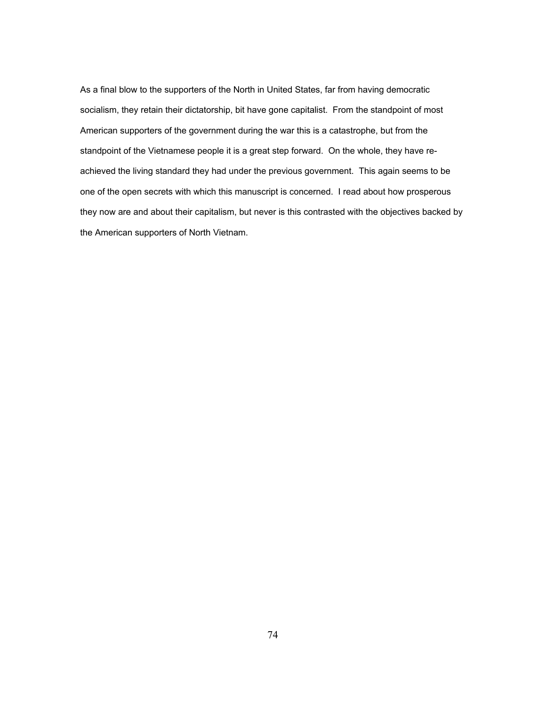As a final blow to the supporters of the North in United States, far from having democratic socialism, they retain their dictatorship, bit have gone capitalist. From the standpoint of most American supporters of the government during the war this is a catastrophe, but from the standpoint of the Vietnamese people it is a great step forward. On the whole, they have reachieved the living standard they had under the previous government. This again seems to be one of the open secrets with which this manuscript is concerned. I read about how prosperous they now are and about their capitalism, but never is this contrasted with the objectives backed by the American supporters of North Vietnam.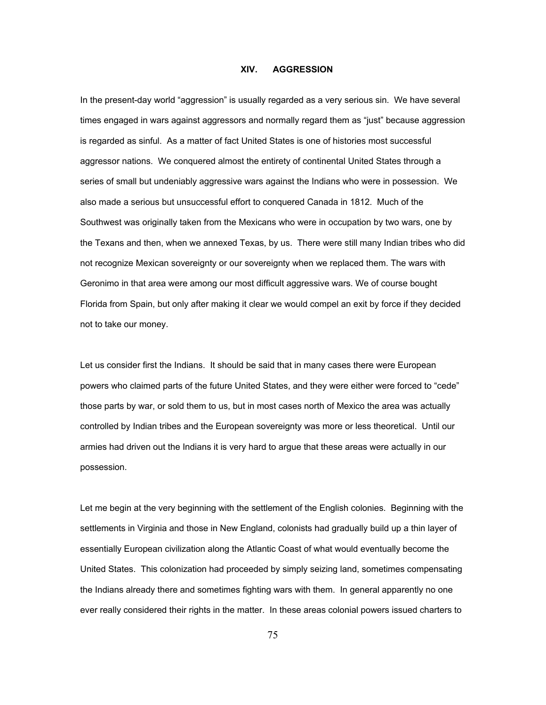## **XIV. AGGRESSION**

In the present-day world "aggression" is usually regarded as a very serious sin. We have several times engaged in wars against aggressors and normally regard them as "just" because aggression is regarded as sinful. As a matter of fact United States is one of histories most successful aggressor nations. We conquered almost the entirety of continental United States through a series of small but undeniably aggressive wars against the Indians who were in possession. We also made a serious but unsuccessful effort to conquered Canada in 1812. Much of the Southwest was originally taken from the Mexicans who were in occupation by two wars, one by the Texans and then, when we annexed Texas, by us. There were still many Indian tribes who did not recognize Mexican sovereignty or our sovereignty when we replaced them. The wars with Geronimo in that area were among our most difficult aggressive wars. We of course bought Florida from Spain, but only after making it clear we would compel an exit by force if they decided not to take our money.

Let us consider first the Indians. It should be said that in many cases there were European powers who claimed parts of the future United States, and they were either were forced to "cede" those parts by war, or sold them to us, but in most cases north of Mexico the area was actually controlled by Indian tribes and the European sovereignty was more or less theoretical. Until our armies had driven out the Indians it is very hard to argue that these areas were actually in our possession.

Let me begin at the very beginning with the settlement of the English colonies. Beginning with the settlements in Virginia and those in New England, colonists had gradually build up a thin layer of essentially European civilization along the Atlantic Coast of what would eventually become the United States. This colonization had proceeded by simply seizing land, sometimes compensating the Indians already there and sometimes fighting wars with them. In general apparently no one ever really considered their rights in the matter. In these areas colonial powers issued charters to

75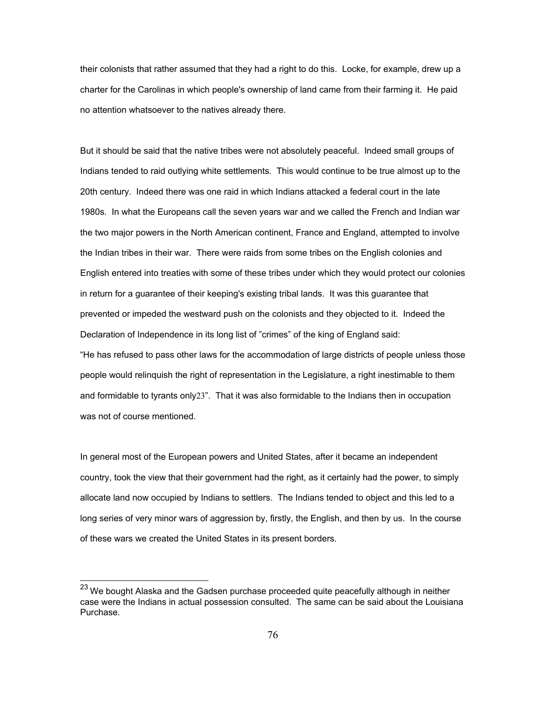their colonists that rather assumed that they had a right to do this. Locke, for example, drew up a charter for the Carolinas in which people's ownership of land came from their farming it. He paid no attention whatsoever to the natives already there.

But it should be said that the native tribes were not absolutely peaceful. Indeed small groups of Indians tended to raid outlying white settlements. This would continue to be true almost up to the 20th century. Indeed there was one raid in which Indians attacked a federal court in the late 1980s. In what the Europeans call the seven years war and we called the French and Indian war the two major powers in the North American continent, France and England, attempted to involve the Indian tribes in their war. There were raids from some tribes on the English colonies and English entered into treaties with some of these tribes under which they would protect our colonies in return for a guarantee of their keeping's existing tribal lands. It was this guarantee that prevented or impeded the westward push on the colonists and they objected to it. Indeed the Declaration of Independence in its long list of "crimes" of the king of England said: "He has refused to pass other laws for the accommodation of large districts of people unless those people would relinquish the right of representation in the Legislature, a right inestimable to them and formidable to tyrants only23". That it was also formidable to the Indians then in occupation was not of course mentioned.

In general most of the European powers and United States, after it became an independent country, took the view that their government had the right, as it certainly had the power, to simply allocate land now occupied by Indians to settlers. The Indians tended to object and this led to a long series of very minor wars of aggression by, firstly, the English, and then by us. In the course of these wars we created the United States in its present borders.

 $\overline{a}$ 

<sup>&</sup>lt;sup>23</sup> We bought Alaska and the Gadsen purchase proceeded quite peacefully although in neither case were the Indians in actual possession consulted. The same can be said about the Louisiana Purchase.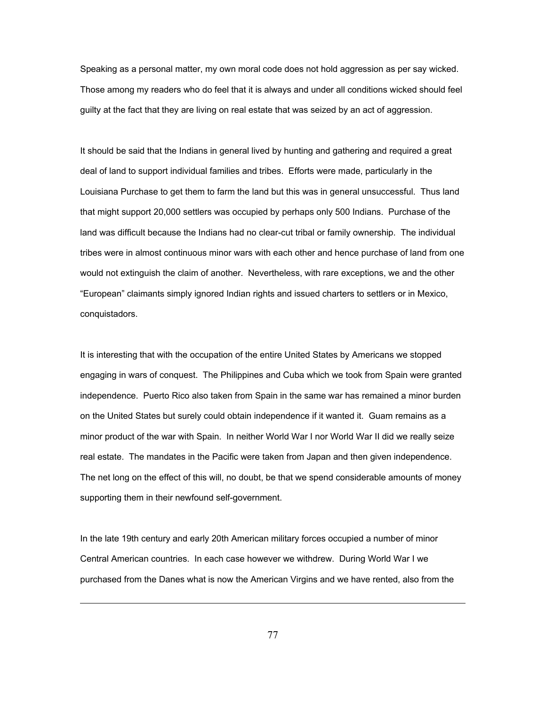Speaking as a personal matter, my own moral code does not hold aggression as per say wicked. Those among my readers who do feel that it is always and under all conditions wicked should feel guilty at the fact that they are living on real estate that was seized by an act of aggression.

It should be said that the Indians in general lived by hunting and gathering and required a great deal of land to support individual families and tribes. Efforts were made, particularly in the Louisiana Purchase to get them to farm the land but this was in general unsuccessful. Thus land that might support 20,000 settlers was occupied by perhaps only 500 Indians. Purchase of the land was difficult because the Indians had no clear-cut tribal or family ownership. The individual tribes were in almost continuous minor wars with each other and hence purchase of land from one would not extinguish the claim of another. Nevertheless, with rare exceptions, we and the other "European" claimants simply ignored Indian rights and issued charters to settlers or in Mexico, conquistadors.

It is interesting that with the occupation of the entire United States by Americans we stopped engaging in wars of conquest. The Philippines and Cuba which we took from Spain were granted independence. Puerto Rico also taken from Spain in the same war has remained a minor burden on the United States but surely could obtain independence if it wanted it. Guam remains as a minor product of the war with Spain. In neither World War I nor World War II did we really seize real estate. The mandates in the Pacific were taken from Japan and then given independence. The net long on the effect of this will, no doubt, be that we spend considerable amounts of money supporting them in their newfound self-government.

In the late 19th century and early 20th American military forces occupied a number of minor Central American countries. In each case however we withdrew. During World War I we purchased from the Danes what is now the American Virgins and we have rented, also from the

l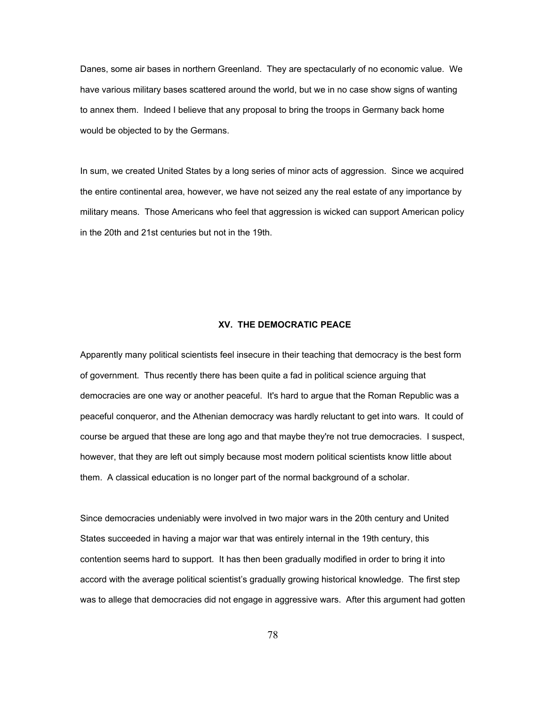Danes, some air bases in northern Greenland. They are spectacularly of no economic value. We have various military bases scattered around the world, but we in no case show signs of wanting to annex them. Indeed I believe that any proposal to bring the troops in Germany back home would be objected to by the Germans.

In sum, we created United States by a long series of minor acts of aggression. Since we acquired the entire continental area, however, we have not seized any the real estate of any importance by military means. Those Americans who feel that aggression is wicked can support American policy in the 20th and 21st centuries but not in the 19th.

## **XV. THE DEMOCRATIC PEACE**

Apparently many political scientists feel insecure in their teaching that democracy is the best form of government. Thus recently there has been quite a fad in political science arguing that democracies are one way or another peaceful. It's hard to argue that the Roman Republic was a peaceful conqueror, and the Athenian democracy was hardly reluctant to get into wars. It could of course be argued that these are long ago and that maybe they're not true democracies. I suspect, however, that they are left out simply because most modern political scientists know little about them. A classical education is no longer part of the normal background of a scholar.

Since democracies undeniably were involved in two major wars in the 20th century and United States succeeded in having a major war that was entirely internal in the 19th century, this contention seems hard to support. It has then been gradually modified in order to bring it into accord with the average political scientist's gradually growing historical knowledge. The first step was to allege that democracies did not engage in aggressive wars. After this argument had gotten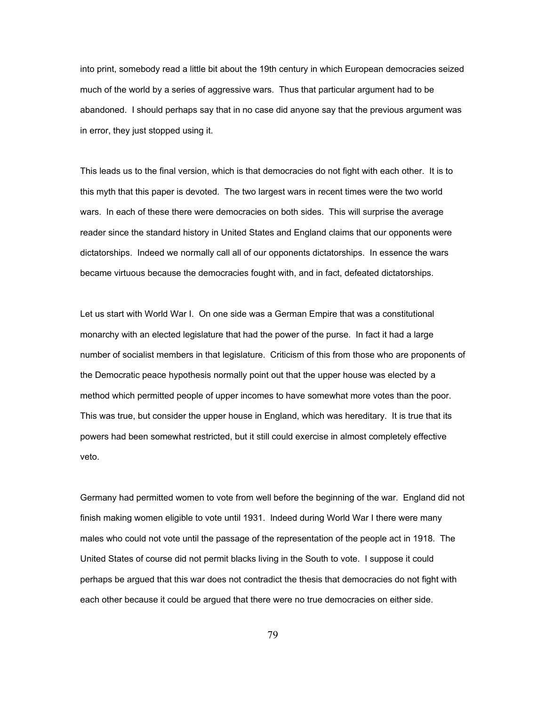into print, somebody read a little bit about the 19th century in which European democracies seized much of the world by a series of aggressive wars. Thus that particular argument had to be abandoned. I should perhaps say that in no case did anyone say that the previous argument was in error, they just stopped using it.

This leads us to the final version, which is that democracies do not fight with each other. It is to this myth that this paper is devoted. The two largest wars in recent times were the two world wars. In each of these there were democracies on both sides. This will surprise the average reader since the standard history in United States and England claims that our opponents were dictatorships. Indeed we normally call all of our opponents dictatorships. In essence the wars became virtuous because the democracies fought with, and in fact, defeated dictatorships.

Let us start with World War I. On one side was a German Empire that was a constitutional monarchy with an elected legislature that had the power of the purse. In fact it had a large number of socialist members in that legislature. Criticism of this from those who are proponents of the Democratic peace hypothesis normally point out that the upper house was elected by a method which permitted people of upper incomes to have somewhat more votes than the poor. This was true, but consider the upper house in England, which was hereditary. It is true that its powers had been somewhat restricted, but it still could exercise in almost completely effective veto.

Germany had permitted women to vote from well before the beginning of the war. England did not finish making women eligible to vote until 1931. Indeed during World War I there were many males who could not vote until the passage of the representation of the people act in 1918. The United States of course did not permit blacks living in the South to vote. I suppose it could perhaps be argued that this war does not contradict the thesis that democracies do not fight with each other because it could be argued that there were no true democracies on either side.